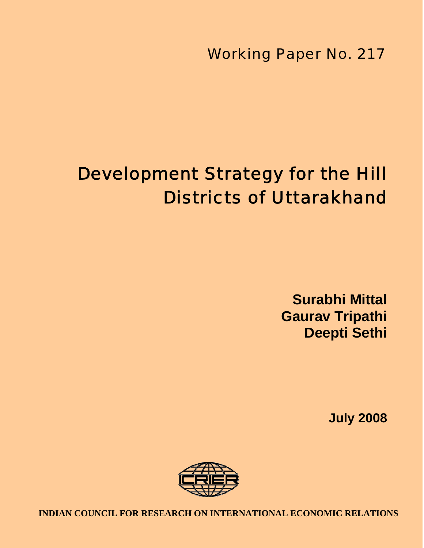Working Paper No. 217

# Development Strategy for the Hill Districts of Uttarakhand

**Surabhi Mittal Gaurav Tripathi Deepti Sethi**

**July 2008**



1 **INDIAN COUNCIL FOR RESEARCH ON INTERNATIONAL ECONOMIC RELATIONS**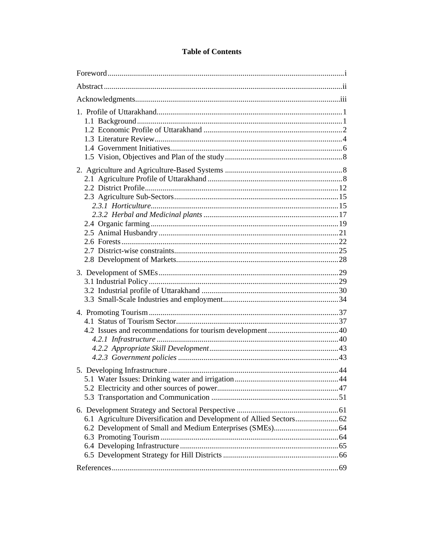# **Table of Contents**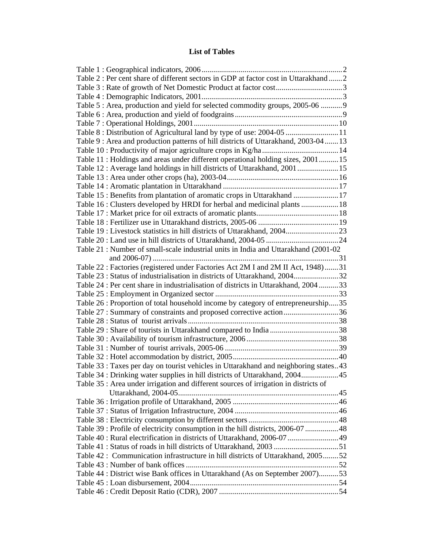# **List of Tables**

| Table 2 : Per cent share of different sectors in GDP at factor cost in Uttarakhand 2 |  |
|--------------------------------------------------------------------------------------|--|
|                                                                                      |  |
|                                                                                      |  |
| Table 5 : Area, production and yield for selected commodity groups, 2005-06  9       |  |
|                                                                                      |  |
|                                                                                      |  |
| Table 8: Distribution of Agricultural land by type of use: 2004-05  11               |  |
| Table 9 : Area and production patterns of hill districts of Uttarakhand, 2003-04  13 |  |
|                                                                                      |  |
| Table 11: Holdings and areas under different operational holding sizes, 200115       |  |
| Table 12: Average land holdings in hill districts of Uttarakhand, 2001 15            |  |
|                                                                                      |  |
|                                                                                      |  |
| Table 15 : Benefits from plantation of aromatic crops in Uttarakhand  17             |  |
| Table 16 : Clusters developed by HRDI for herbal and medicinal plants  18            |  |
|                                                                                      |  |
|                                                                                      |  |
| Table 19: Livestock statistics in hill districts of Uttarakhand, 200423              |  |
|                                                                                      |  |
| Table 21: Number of small-scale industrial units in India and Uttarakhand (2001-02   |  |
|                                                                                      |  |
| Table 22 : Factories (registered under Factories Act 2M I and 2M II Act, 1948)31     |  |
| Table 23 : Status of industrialisation in districts of Uttarakhand, 200432           |  |
| Table 24 : Per cent share in industrialisation of districts in Uttarakhand, 200433   |  |
|                                                                                      |  |
| Table 26 : Proportion of total household income by category of entrepreneurship35    |  |
|                                                                                      |  |
| Table 27 : Summary of constraints and proposed corrective action36                   |  |
|                                                                                      |  |
|                                                                                      |  |
|                                                                                      |  |
|                                                                                      |  |
|                                                                                      |  |
| Table 33 : Taxes per day on tourist vehicles in Uttarakhand and neighboring states43 |  |
| Table 34 : Drinking water supplies in hill districts of Uttarakhand, 200445          |  |
| Table 35 : Area under irrigation and different sources of irrigation in districts of |  |
|                                                                                      |  |
|                                                                                      |  |
|                                                                                      |  |
|                                                                                      |  |
| Table 39 : Profile of electricity consumption in the hill districts, 2006-07 48      |  |
| Table 40 : Rural electrification in districts of Uttarakhand, 2006-07  49            |  |
|                                                                                      |  |
| Table 42 : Communication infrastructure in hill districts of Uttarakhand, 200552     |  |
|                                                                                      |  |
| Table 44 : District wise Bank offices in Uttarakhand (As on September 2007)53        |  |
|                                                                                      |  |
|                                                                                      |  |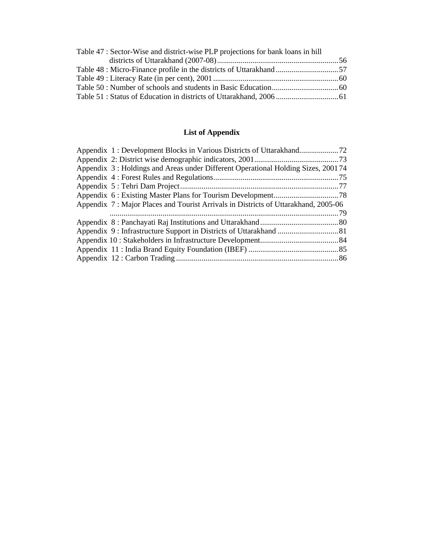| Table 47 : Sector-Wise and district-wise PLP projections for bank loans in hill |  |
|---------------------------------------------------------------------------------|--|
|                                                                                 |  |
|                                                                                 |  |
|                                                                                 |  |
|                                                                                 |  |
|                                                                                 |  |

# **List of Appendix**

| Appendix 3: Holdings and Areas under Different Operational Holding Sizes, 200174   |  |
|------------------------------------------------------------------------------------|--|
|                                                                                    |  |
|                                                                                    |  |
|                                                                                    |  |
| Appendix 7: Major Places and Tourist Arrivals in Districts of Uttarakhand, 2005-06 |  |
|                                                                                    |  |
|                                                                                    |  |
|                                                                                    |  |
|                                                                                    |  |
|                                                                                    |  |
|                                                                                    |  |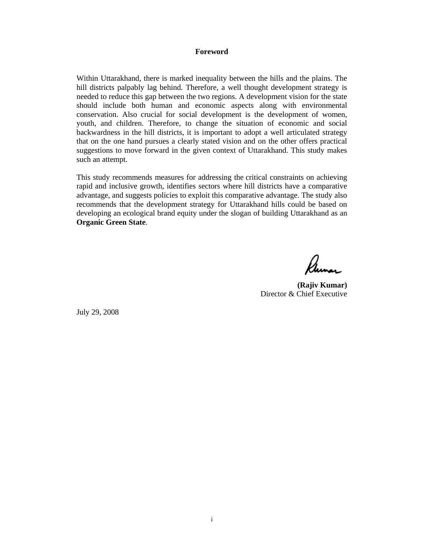#### **Foreword**

Within Uttarakhand, there is marked inequality between the hills and the plains. The hill districts palpably lag behind. Therefore, a well thought development strategy is needed to reduce this gap between the two regions. A development vision for the state should include both human and economic aspects along with environmental conservation. Also crucial for social development is the development of women, youth, and children. Therefore, to change the situation of economic and social backwardness in the hill districts, it is important to adopt a well articulated strategy that on the one hand pursues a clearly stated vision and on the other offers practical suggestions to move forward in the given context of Uttarakhand. This study makes such an attempt.

This study recommends measures for addressing the critical constraints on achieving rapid and inclusive growth, identifies sectors where hill districts have a comparative advantage, and suggests policies to exploit this comparative advantage. The study also recommends that the development strategy for Uttarakhand hills could be based on developing an ecological brand equity under the slogan of building Uttarakhand as an **Organic Green State**.

 $\mathcal{Q}$ 

**(Rajiv Kumar)**  Director & Chief Executive

July 29, 2008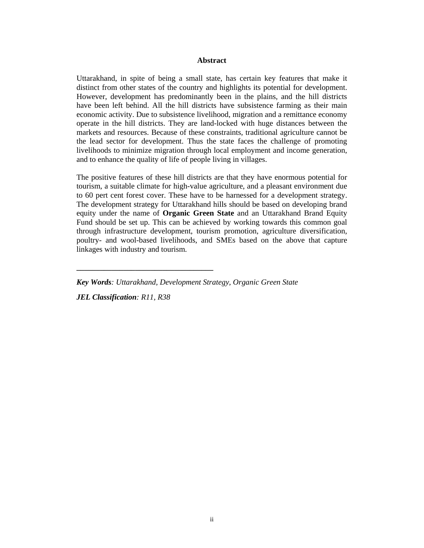#### **Abstract**

Uttarakhand, in spite of being a small state, has certain key features that make it distinct from other states of the country and highlights its potential for development. However, development has predominantly been in the plains, and the hill districts have been left behind. All the hill districts have subsistence farming as their main economic activity. Due to subsistence livelihood, migration and a remittance economy operate in the hill districts. They are land-locked with huge distances between the markets and resources. Because of these constraints, traditional agriculture cannot be the lead sector for development. Thus the state faces the challenge of promoting livelihoods to minimize migration through local employment and income generation, and to enhance the quality of life of people living in villages.

The positive features of these hill districts are that they have enormous potential for tourism, a suitable climate for high-value agriculture, and a pleasant environment due to 60 pert cent forest cover. These have to be harnessed for a development strategy. The development strategy for Uttarakhand hills should be based on developing brand equity under the name of **Organic Green State** and an Uttarakhand Brand Equity Fund should be set up. This can be achieved by working towards this common goal through infrastructure development, tourism promotion, agriculture diversification, poultry- and wool-based livelihoods, and SMEs based on the above that capture linkages with industry and tourism.

*Key Words: Uttarakhand, Development Strategy, Organic Green State JEL Classification: R11, R38* 

**\_\_\_\_\_\_\_\_\_\_\_\_\_\_\_\_\_\_\_\_\_\_\_\_\_\_\_\_\_\_\_\_\_\_\_**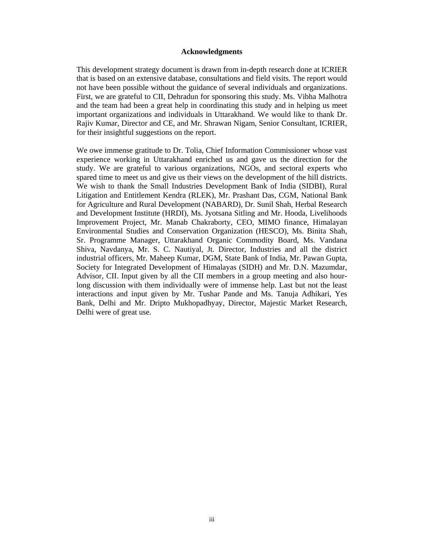#### **Acknowledgments**

This development strategy document is drawn from in-depth research done at ICRIER that is based on an extensive database, consultations and field visits. The report would not have been possible without the guidance of several individuals and organizations. First, we are grateful to CII, Dehradun for sponsoring this study. Ms. Vibha Malhotra and the team had been a great help in coordinating this study and in helping us meet important organizations and individuals in Uttarakhand. We would like to thank Dr. Rajiv Kumar, Director and CE, and Mr. Shrawan Nigam, Senior Consultant, ICRIER, for their insightful suggestions on the report.

We owe immense gratitude to Dr. Tolia, Chief Information Commissioner whose vast experience working in Uttarakhand enriched us and gave us the direction for the study. We are grateful to various organizations, NGOs, and sectoral experts who spared time to meet us and give us their views on the development of the hill districts. We wish to thank the Small Industries Development Bank of India (SIDBI), Rural Litigation and Entitlement Kendra (RLEK), Mr. Prashant Das, CGM, National Bank for Agriculture and Rural Development (NABARD), Dr. Sunil Shah, Herbal Research and Development Institute (HRDI), Ms. Jyotsana Sitling and Mr. Hooda, Livelihoods Improvement Project, Mr. Manab Chakraborty, CEO, MIMO finance, Himalayan Environmental Studies and Conservation Organization (HESCO), Ms. Binita Shah, Sr. Programme Manager, Uttarakhand Organic Commodity Board, Ms. Vandana Shiva, Navdanya, Mr. S. C. Nautiyal, Jt. Director, Industries and all the district industrial officers, Mr. Maheep Kumar, DGM, State Bank of India, Mr. Pawan Gupta, Society for Integrated Development of Himalayas (SIDH) and Mr. D.N. Mazumdar, Advisor, CII. Input given by all the CII members in a group meeting and also hourlong discussion with them individually were of immense help. Last but not the least interactions and input given by Mr. Tushar Pande and Ms. Tanuja Adhikari, Yes Bank, Delhi and Mr. Dripto Mukhopadhyay, Director, Majestic Market Research, Delhi were of great use.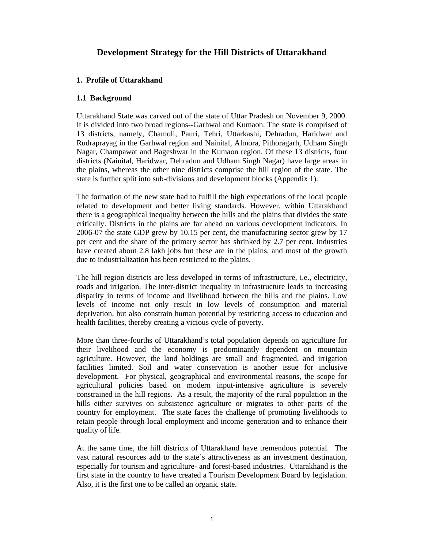# **Development Strategy for the Hill Districts of Uttarakhand**

## **1. Profile of Uttarakhand**

#### **1.1 Background**

Uttarakhand State was carved out of the state of Uttar Pradesh on November 9, 2000. It is divided into two broad regions--Garhwal and Kumaon. The state is comprised of 13 districts, namely, Chamoli, Pauri, Tehri, Uttarkashi, Dehradun, Haridwar and Rudraprayag in the Garhwal region and Nainital, Almora, Pithoragarh, Udham Singh Nagar, Champawat and Bageshwar in the Kumaon region. Of these 13 districts, four districts (Nainital, Haridwar, Dehradun and Udham Singh Nagar) have large areas in the plains, whereas the other nine districts comprise the hill region of the state. The state is further split into sub-divisions and development blocks (Appendix 1).

The formation of the new state had to fulfill the high expectations of the local people related to development and better living standards. However, within Uttarakhand there is a geographical inequality between the hills and the plains that divides the state critically. Districts in the plains are far ahead on various development indicators. In 2006-07 the state GDP grew by 10.15 per cent, the manufacturing sector grew by 17 per cent and the share of the primary sector has shrinked by 2.7 per cent. Industries have created about 2.8 lakh jobs but these are in the plains, and most of the growth due to industrialization has been restricted to the plains.

The hill region districts are less developed in terms of infrastructure, i.e., electricity, roads and irrigation. The inter-district inequality in infrastructure leads to increasing disparity in terms of income and livelihood between the hills and the plains. Low levels of income not only result in low levels of consumption and material deprivation, but also constrain human potential by restricting access to education and health facilities, thereby creating a vicious cycle of poverty.

More than three-fourths of Uttarakhand's total population depends on agriculture for their livelihood and the economy is predominantly dependent on mountain agriculture. However, the land holdings are small and fragmented, and irrigation facilities limited. Soil and water conservation is another issue for inclusive development. For physical, geographical and environmental reasons, the scope for agricultural policies based on modern input-intensive agriculture is severely constrained in the hill regions. As a result, the majority of the rural population in the hills either survives on subsistence agriculture or migrates to other parts of the country for employment. The state faces the challenge of promoting livelihoods to retain people through local employment and income generation and to enhance their quality of life.

At the same time, the hill districts of Uttarakhand have tremendous potential. The vast natural resources add to the state's attractiveness as an investment destination, especially for tourism and agriculture- and forest-based industries. Uttarakhand is the first state in the country to have created a Tourism Development Board by legislation. Also, it is the first one to be called an organic state.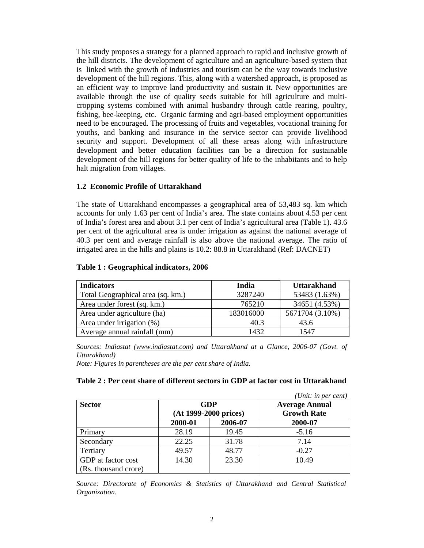This study proposes a strategy for a planned approach to rapid and inclusive growth of the hill districts. The development of agriculture and an agriculture-based system that is linked with the growth of industries and tourism can be the way towards inclusive development of the hill regions. This, along with a watershed approach, is proposed as an efficient way to improve land productivity and sustain it. New opportunities are available through the use of quality seeds suitable for hill agriculture and multicropping systems combined with animal husbandry through cattle rearing, poultry, fishing, bee-keeping, etc. Organic farming and agri-based employment opportunities need to be encouraged. The processing of fruits and vegetables, vocational training for youths, and banking and insurance in the service sector can provide livelihood security and support. Development of all these areas along with infrastructure development and better education facilities can be a direction for sustainable development of the hill regions for better quality of life to the inhabitants and to help halt migration from villages.

#### **1.2 Economic Profile of Uttarakhand**

The state of Uttarakhand encompasses a geographical area of 53,483 sq. km which accounts for only 1.63 per cent of India's area. The state contains about 4.53 per cent of India's forest area and about 3.1 per cent of India's agricultural area (Table 1). 43.6 per cent of the agricultural area is under irrigation as against the national average of 40.3 per cent and average rainfall is also above the national average. The ratio of irrigated area in the hills and plains is 10.2: 88.8 in Uttarakhand (Ref: DACNET)

| <b>Indicators</b>                 | India     | <b>Uttarakhand</b> |
|-----------------------------------|-----------|--------------------|
| Total Geographical area (sq. km.) | 3287240   | 53483 (1.63%)      |
| Area under forest (sq. km.)       | 765210    | 34651 (4.53%)      |
| Area under agriculture (ha)       | 183016000 | 5671704 (3.10%)    |
| Area under irrigation $(\%)$      | 40.3      | 43.6               |
| Average annual rainfall (mm)      | 1432      | 1547               |

#### **Table 1 : Geographical indicators, 2006**

*Sources: Indiastat (www.indiastat.com) and Uttarakhand at a Glance, 2006-07 (Govt. of Uttarakhand)* 

*Note: Figures in parentheses are the per cent share of India.* 

#### **Table 2 : Per cent share of different sectors in GDP at factor cost in Uttarakhand**

|                                            |         |                                     | (Unit: in per cent)                         |  |  |
|--------------------------------------------|---------|-------------------------------------|---------------------------------------------|--|--|
| <b>Sector</b>                              |         | <b>GDP</b><br>(At 1999-2000 prices) | <b>Average Annual</b><br><b>Growth Rate</b> |  |  |
|                                            | 2000-01 | 2006-07                             | 2000-07                                     |  |  |
| Primary                                    | 28.19   | 19.45                               | $-5.16$                                     |  |  |
| Secondary                                  | 22.25   | 31.78                               | 7.14                                        |  |  |
| Tertiary                                   | 49.57   | 48.77                               | $-0.27$                                     |  |  |
| GDP at factor cost<br>(Rs. thousand crore) | 14.30   | 23.30                               | 10.49                                       |  |  |

*Source: Directorate of Economics & Statistics of Uttarakhand and Central Statistical Organization.*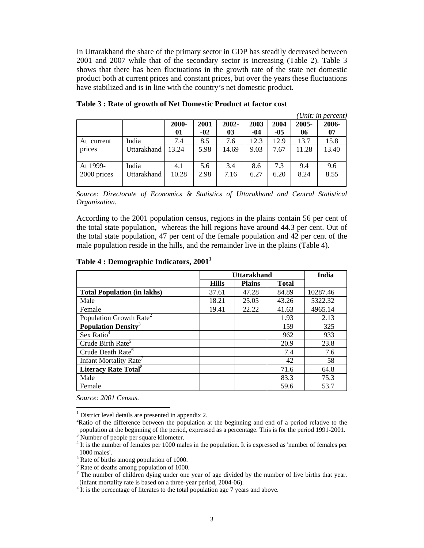In Uttarakhand the share of the primary sector in GDP has steadily decreased between 2001 and 2007 while that of the secondary sector is increasing (Table 2). Table 3 shows that there has been fluctuations in the growth rate of the state net domestic product both at current prices and constant prices, but over the years these fluctuations have stabilized and is in line with the country's net domestic product.

|             |             |       |       |       |      |       |          | (Unit: in percent) |
|-------------|-------------|-------|-------|-------|------|-------|----------|--------------------|
|             |             | 2000- | 2001  | 2002- | 2003 | 2004  | $2005 -$ | 2006-              |
|             |             | 01    | $-02$ | 03    | -04  | $-05$ | 06       | 07                 |
| At current  | India       | 7.4   | 8.5   | 7.6   | 12.3 | 12.9  | 13.7     | 15.8               |
| prices      | Uttarakhand | 13.24 | 5.98  | 14.69 | 9.03 | 7.67  | 11.28    | 13.40              |
| At 1999-    | India       | 4.1   | 5.6   | 3.4   | 8.6  | 7.3   | 9.4      | 9.6                |
| 2000 prices | Uttarakhand | 10.28 | 2.98  | 7.16  | 6.27 | 6.20  | 8.24     | 8.55               |

| Table 3 : Rate of growth of Net Domestic Product at factor cost |  |
|-----------------------------------------------------------------|--|
|-----------------------------------------------------------------|--|

*Source: Directorate of Economics & Statistics of Uttarakhand and Central Statistical Organization.* 

According to the 2001 population census, regions in the plains contain 56 per cent of the total state population, whereas the hill regions have around 44.3 per cent. Out of the total state population, 47 per cent of the female population and 42 per cent of the male population reside in the hills, and the remainder live in the plains (Table 4).

#### **Table 4 : Demographic Indicators, 20011**

|                                         | <b>Uttarakhand</b> | India         |              |          |
|-----------------------------------------|--------------------|---------------|--------------|----------|
|                                         | <b>Hills</b>       | <b>Plains</b> | <b>Total</b> |          |
| <b>Total Population (in lakhs)</b>      | 37.61              | 47.28         | 84.89        | 10287.46 |
| Male                                    | 18.21              | 25.05         | 43.26        | 5322.32  |
| Female                                  | 19.41              | 22.22         | 41.63        | 4965.14  |
| Population Growth Rate <sup>2</sup>     |                    |               | 1.93         | 2.13     |
| <b>Population Density<sup>3</sup></b>   |                    |               | 159          | 325      |
| Sex Ratio <sup>4</sup>                  |                    |               | 962          | 933      |
| Crude Birth Rate <sup>5</sup>           |                    |               | 20.9         | 23.8     |
| Crude Death Rate <sup>6</sup>           |                    |               | 7.4          | 7.6      |
| Infant Mortality Rate <sup>7</sup>      |                    |               | 42           | 58       |
| <b>Literacy Rate Total</b> <sup>8</sup> |                    |               | 71.6         | 64.8     |
| Male                                    |                    |               | 83.3         | 75.3     |
| Female                                  |                    |               | 59.6         | 53.7     |

*Source: 2001 Census.* 

 $\overline{a}$ 

<sup>&</sup>lt;sup>1</sup> District level details are presented in appendix 2.

<sup>&</sup>lt;sup>2</sup>Ratio of the difference between the population at the beginning and end of a period relative to the population at the beginning of the period, expressed as a percentage. This is for the period 1991-2001.<br><sup>3</sup> Number of people per square kilometer.

<sup>&</sup>lt;sup>4</sup> It is the number of females per 1000 males in the population. It is expressed as 'number of females per 1000 males'.

<sup>&</sup>lt;sup>5</sup> Rate of births among population of 1000.

<sup>6</sup> Rate of deaths among population of 1000.

 $<sup>7</sup>$  The number of children dying under one year of age divided by the number of live births that year.</sup> (infant mortality rate is based on a three-year period, 2004-06).

<sup>&</sup>lt;sup>8</sup> It is the percentage of literates to the total population age 7 years and above.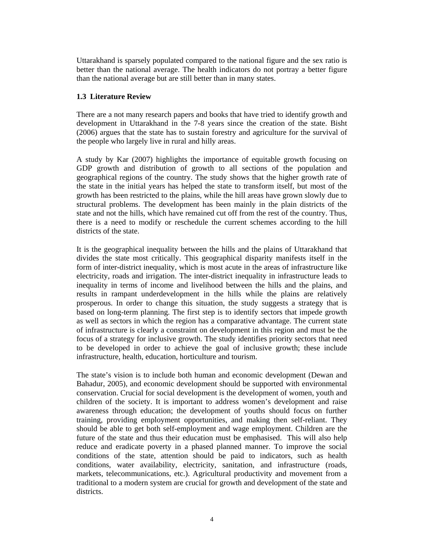Uttarakhand is sparsely populated compared to the national figure and the sex ratio is better than the national average. The health indicators do not portray a better figure than the national average but are still better than in many states.

### **1.3 Literature Review**

There are a not many research papers and books that have tried to identify growth and development in Uttarakhand in the 7-8 years since the creation of the state. Bisht (2006) argues that the state has to sustain forestry and agriculture for the survival of the people who largely live in rural and hilly areas.

A study by Kar (2007) highlights the importance of equitable growth focusing on GDP growth and distribution of growth to all sections of the population and geographical regions of the country. The study shows that the higher growth rate of the state in the initial years has helped the state to transform itself, but most of the growth has been restricted to the plains, while the hill areas have grown slowly due to structural problems. The development has been mainly in the plain districts of the state and not the hills, which have remained cut off from the rest of the country. Thus, there is a need to modify or reschedule the current schemes according to the hill districts of the state.

It is the geographical inequality between the hills and the plains of Uttarakhand that divides the state most critically. This geographical disparity manifests itself in the form of inter-district inequality, which is most acute in the areas of infrastructure like electricity, roads and irrigation. The inter-district inequality in infrastructure leads to inequality in terms of income and livelihood between the hills and the plains, and results in rampant underdevelopment in the hills while the plains are relatively prosperous. In order to change this situation, the study suggests a strategy that is based on long-term planning. The first step is to identify sectors that impede growth as well as sectors in which the region has a comparative advantage. The current state of infrastructure is clearly a constraint on development in this region and must be the focus of a strategy for inclusive growth. The study identifies priority sectors that need to be developed in order to achieve the goal of inclusive growth; these include infrastructure, health, education, horticulture and tourism.

The state's vision is to include both human and economic development (Dewan and Bahadur, 2005), and economic development should be supported with environmental conservation. Crucial for social development is the development of women, youth and children of the society. It is important to address women's development and raise awareness through education; the development of youths should focus on further training, providing employment opportunities, and making then self-reliant. They should be able to get both self-employment and wage employment. Children are the future of the state and thus their education must be emphasised. This will also help reduce and eradicate poverty in a phased planned manner. To improve the social conditions of the state, attention should be paid to indicators, such as health conditions, water availability, electricity, sanitation, and infrastructure (roads, markets, telecommunications, etc.). Agricultural productivity and movement from a traditional to a modern system are crucial for growth and development of the state and districts.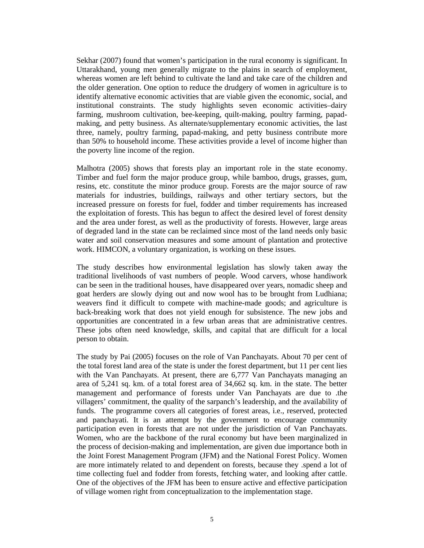Sekhar (2007) found that women's participation in the rural economy is significant. In Uttarakhand, young men generally migrate to the plains in search of employment, whereas women are left behind to cultivate the land and take care of the children and the older generation. One option to reduce the drudgery of women in agriculture is to identify alternative economic activities that are viable given the economic, social, and institutional constraints. The study highlights seven economic activities–dairy farming, mushroom cultivation, bee-keeping, quilt-making, poultry farming, papadmaking, and petty business. As alternate/supplementary economic activities, the last three, namely, poultry farming, papad-making, and petty business contribute more than 50% to household income. These activities provide a level of income higher than the poverty line income of the region.

Malhotra (2005) shows that forests play an important role in the state economy. Timber and fuel form the major produce group, while bamboo, drugs, grasses, gum, resins, etc. constitute the minor produce group. Forests are the major source of raw materials for industries, buildings, railways and other tertiary sectors, but the increased pressure on forests for fuel, fodder and timber requirements has increased the exploitation of forests. This has begun to affect the desired level of forest density and the area under forest, as well as the productivity of forests. However, large areas of degraded land in the state can be reclaimed since most of the land needs only basic water and soil conservation measures and some amount of plantation and protective work. HIMCON, a voluntary organization, is working on these issues.

The study describes how environmental legislation has slowly taken away the traditional livelihoods of vast numbers of people. Wood carvers, whose handiwork can be seen in the traditional houses, have disappeared over years, nomadic sheep and goat herders are slowly dying out and now wool has to be brought from Ludhiana; weavers find it difficult to compete with machine-made goods; and agriculture is back-breaking work that does not yield enough for subsistence. The new jobs and opportunities are concentrated in a few urban areas that are administrative centres. These jobs often need knowledge, skills, and capital that are difficult for a local person to obtain.

The study by Pai (2005) focuses on the role of Van Panchayats. About 70 per cent of the total forest land area of the state is under the forest department, but 11 per cent lies with the Van Panchayats. At present, there are 6,777 Van Panchayats managing an area of 5,241 sq. km. of a total forest area of 34,662 sq. km. in the state. The better management and performance of forests under Van Panchayats are due to .the villagers' commitment, the quality of the sarpanch's leadership, and the availability of funds. The programme covers all categories of forest areas, i.e., reserved, protected and panchayati. It is an attempt by the government to encourage community participation even in forests that are not under the jurisdiction of Van Panchayats. Women, who are the backbone of the rural economy but have been marginalized in the process of decision-making and implementation, are given due importance both in the Joint Forest Management Program (JFM) and the National Forest Policy. Women are more intimately related to and dependent on forests, because they .spend a lot of time collecting fuel and fodder from forests, fetching water, and looking after cattle. One of the objectives of the JFM has been to ensure active and effective participation of village women right from conceptualization to the implementation stage.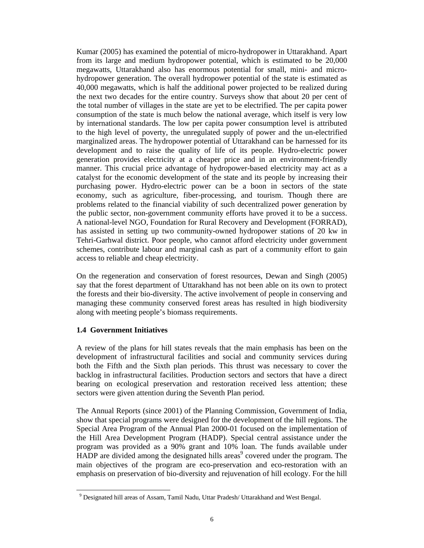Kumar (2005) has examined the potential of micro-hydropower in Uttarakhand. Apart from its large and medium hydropower potential, which is estimated to be 20,000 megawatts, Uttarakhand also has enormous potential for small, mini- and microhydropower generation. The overall hydropower potential of the state is estimated as 40,000 megawatts, which is half the additional power projected to be realized during the next two decades for the entire country. Surveys show that about 20 per cent of the total number of villages in the state are yet to be electrified. The per capita power consumption of the state is much below the national average, which itself is very low by international standards. The low per capita power consumption level is attributed to the high level of poverty, the unregulated supply of power and the un-electrified marginalized areas. The hydropower potential of Uttarakhand can be harnessed for its development and to raise the quality of life of its people. Hydro-electric power generation provides electricity at a cheaper price and in an environment-friendly manner. This crucial price advantage of hydropower-based electricity may act as a catalyst for the economic development of the state and its people by increasing their purchasing power. Hydro-electric power can be a boon in sectors of the state economy, such as agriculture, fiber-processing, and tourism. Though there are problems related to the financial viability of such decentralized power generation by the public sector, non-government community efforts have proved it to be a success. A national-level NGO, Foundation for Rural Recovery and Development (FORRAD), has assisted in setting up two community-owned hydropower stations of 20 kw in Tehri-Garhwal district. Poor people, who cannot afford electricity under government schemes, contribute labour and marginal cash as part of a community effort to gain access to reliable and cheap electricity.

On the regeneration and conservation of forest resources, Dewan and Singh (2005) say that the forest department of Uttarakhand has not been able on its own to protect the forests and their bio-diversity. The active involvement of people in conserving and managing these community conserved forest areas has resulted in high biodiversity along with meeting people's biomass requirements.

#### **1.4 Government Initiatives**

 $\overline{a}$ 

A review of the plans for hill states reveals that the main emphasis has been on the development of infrastructural facilities and social and community services during both the Fifth and the Sixth plan periods. This thrust was necessary to cover the backlog in infrastructural facilities. Production sectors and sectors that have a direct bearing on ecological preservation and restoration received less attention; these sectors were given attention during the Seventh Plan period.

The Annual Reports (since 2001) of the Planning Commission, Government of India, show that special programs were designed for the development of the hill regions. The Special Area Program of the Annual Plan 2000-01 focused on the implementation of the Hill Area Development Program (HADP). Special central assistance under the program was provided as a 90% grant and 10% loan. The funds available under  $HADP$  are divided among the designated hills areas<sup>9</sup> covered under the program. The main objectives of the program are eco-preservation and eco-restoration with an emphasis on preservation of bio-diversity and rejuvenation of hill ecology. For the hill

<sup>&</sup>lt;sup>9</sup> Designated hill areas of Assam, Tamil Nadu, Uttar Pradesh/ Uttarakhand and West Bengal.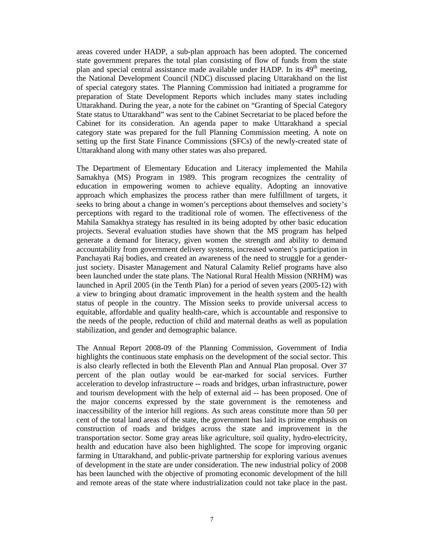areas covered under HADP, a sub-plan approach has been adopted. The concerned state government prepares the total plan consisting of flow of funds from the state plan and special central assistance made available under HADP. In its  $49<sup>th</sup>$  meeting, the National Development Council (NDC) discussed placing Uttarakhand on the list of special category states. The Planning Commission had initiated a programme for preparation of State Development Reports which includes many states including Uttarakhand. During the year, a note for the cabinet on "Granting of Special Category State status to Uttarakhand" was sent to the Cabinet Secretariat to be placed before the Cabinet for its consideration. An agenda paper to make Uttarakhand a special category state was prepared for the full Planning Commission meeting. A note on setting up the first State Finance Commissions (SFCs) of the newly-created state of Uttarakhand along with many other states was also prepared.

The Department of Elementary Education and Literacy implemented the Mahila Samakhya (MS) Program in 1989. This program recognizes the centrality of education in empowering women to achieve equality. Adopting an innovative approach which emphasizes the process rather than mere fulfillment of targets, it seeks to bring about a change in women's perceptions about themselves and society's perceptions with regard to the traditional role of women. The effectiveness of the Mahila Samakhya strategy has resulted in its being adopted by other basic education projects. Several evaluation studies have shown that the MS program has helped generate a demand for literacy, given women the strength and ability to demand accountability from government delivery systems, increased women's participation in Panchayati Raj bodies, and created an awareness of the need to struggle for a genderjust society. Disaster Management and Natural Calamity Relief programs have also been launched under the state plans. The National Rural Health Mission (NRHM) was launched in April 2005 (in the Tenth Plan) for a period of seven years (2005-12) with a view to bringing about dramatic improvement in the health system and the health status of people in the country. The Mission seeks to provide universal access to equitable, affordable and quality health-care, which is accountable and responsive to the needs of the people, reduction of child and maternal deaths as well as population stabilization, and gender and demographic balance.

The Annual Report 2008-09 of the Planning Commission, Government of India highlights the continuous state emphasis on the development of the social sector. This is also clearly reflected in both the Eleventh Plan and Annual Plan proposal. Over 37 percent of the plan outlay would be ear-marked for social services. Further acceleration to develop infrastructure -- roads and bridges, urban infrastructure, power and tourism development with the help of external aid -- has been proposed. One of the major concerns expressed by the state government is the remoteness and inaccessibility of the interior hill regions. As such areas constitute more than 50 per cent of the total land areas of the state, the government has laid its prime emphasis on construction of roads and bridges across the state and improvement in the transportation sector. Some gray areas like agriculture, soil quality, hydro-electricity, health and education have also been highlighted. The scope for improving organic farming in Uttarakhand, and public-private partnership for exploring various avenues of development in the state are under consideration. The new industrial policy of 2008 has been launched with the objective of promoting economic development of the hill and remote areas of the state where industrialization could not take place in the past.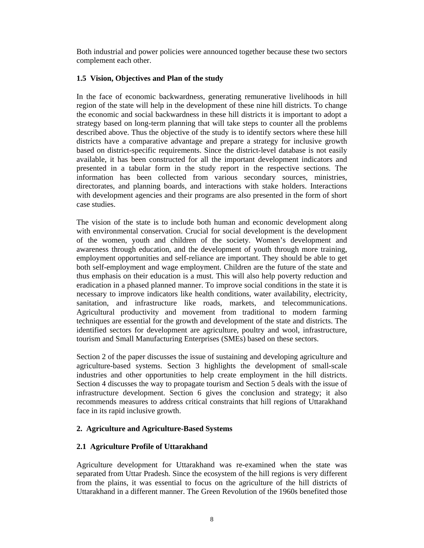Both industrial and power policies were announced together because these two sectors complement each other.

## **1.5 Vision, Objectives and Plan of the study**

In the face of economic backwardness, generating remunerative livelihoods in hill region of the state will help in the development of these nine hill districts. To change the economic and social backwardness in these hill districts it is important to adopt a strategy based on long-term planning that will take steps to counter all the problems described above. Thus the objective of the study is to identify sectors where these hill districts have a comparative advantage and prepare a strategy for inclusive growth based on district-specific requirements. Since the district-level database is not easily available, it has been constructed for all the important development indicators and presented in a tabular form in the study report in the respective sections. The information has been collected from various secondary sources, ministries, directorates, and planning boards, and interactions with stake holders. Interactions with development agencies and their programs are also presented in the form of short case studies.

The vision of the state is to include both human and economic development along with environmental conservation. Crucial for social development is the development of the women, youth and children of the society. Women's development and awareness through education, and the development of youth through more training, employment opportunities and self-reliance are important. They should be able to get both self-employment and wage employment. Children are the future of the state and thus emphasis on their education is a must. This will also help poverty reduction and eradication in a phased planned manner. To improve social conditions in the state it is necessary to improve indicators like health conditions, water availability, electricity, sanitation, and infrastructure like roads, markets, and telecommunications. Agricultural productivity and movement from traditional to modern farming techniques are essential for the growth and development of the state and districts. The identified sectors for development are agriculture, poultry and wool, infrastructure, tourism and Small Manufacturing Enterprises (SMEs) based on these sectors.

Section 2 of the paper discusses the issue of sustaining and developing agriculture and agriculture-based systems. Section 3 highlights the development of small-scale industries and other opportunities to help create employment in the hill districts. Section 4 discusses the way to propagate tourism and Section 5 deals with the issue of infrastructure development. Section 6 gives the conclusion and strategy; it also recommends measures to address critical constraints that hill regions of Uttarakhand face in its rapid inclusive growth.

# **2. Agriculture and Agriculture-Based Systems**

# **2.1 Agriculture Profile of Uttarakhand**

Agriculture development for Uttarakhand was re-examined when the state was separated from Uttar Pradesh. Since the ecosystem of the hill regions is very different from the plains, it was essential to focus on the agriculture of the hill districts of Uttarakhand in a different manner. The Green Revolution of the 1960s benefited those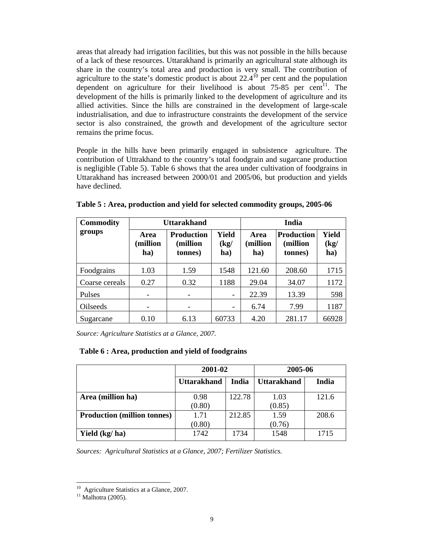areas that already had irrigation facilities, but this was not possible in the hills because of a lack of these resources. Uttarakhand is primarily an agricultural state although its share in the country's total area and production is very small. The contribution of agriculture to the state's domestic product is about  $22.4^{10}$  per cent and the population dependent on agriculture for their livelihood is about  $75-85$  per cent<sup>11</sup>. The development of the hills is primarily linked to the development of agriculture and its allied activities. Since the hills are constrained in the development of large-scale industrialisation, and due to infrastructure constraints the development of the service sector is also constrained, the growth and development of the agriculture sector remains the prime focus.

People in the hills have been primarily engaged in subsistence agriculture. The contribution of Uttrakhand to the country's total foodgrain and sugarcane production is negligible (Table 5). Table 6 shows that the area under cultivation of foodgrains in Uttarakhand has increased between 2000/01 and 2005/06, but production and yields have declined.

| <b>Commodity</b> |                         | <b>Uttarakhand</b>                       |                             |                         | <b>India</b>                             |                      |  |  |
|------------------|-------------------------|------------------------------------------|-----------------------------|-------------------------|------------------------------------------|----------------------|--|--|
| groups           | Area<br>million)<br>ha) | <b>Production</b><br>(million<br>tonnes) | <b>Yield</b><br>(kg)<br>ha) | Area<br>(million<br>ha) | <b>Production</b><br>(million<br>tonnes) | Yield<br>(kg)<br>ha) |  |  |
| Foodgrains       | 1.03                    | 1.59                                     | 1548                        | 121.60                  | 208.60                                   | 1715                 |  |  |
| Coarse cereals   | 0.27                    | 0.32                                     | 1188                        | 29.04                   | 34.07                                    | 1172                 |  |  |
| Pulses           |                         |                                          | $\qquad \qquad =$           | 22.39                   | 13.39                                    | 598                  |  |  |
| Oilseeds         |                         |                                          | -                           | 6.74                    | 7.99                                     | 1187                 |  |  |
| Sugarcane        | 0.10                    | 6.13                                     | 60733                       | 4.20                    | 281.17                                   | 66928                |  |  |

**Table 5 : Area, production and yield for selected commodity groups, 2005-06** 

*Source: Agriculture Statistics at a Glance, 2007.* 

#### **Table 6 : Area, production and yield of foodgrains**

|                                    | 2001-02            |        | 2005-06            |       |  |
|------------------------------------|--------------------|--------|--------------------|-------|--|
|                                    | <b>Uttarakhand</b> | India  | <b>Uttarakhand</b> | India |  |
| Area (million ha)                  | 0.98<br>(0.80)     | 122.78 | 1.03<br>(0.85)     | 121.6 |  |
| <b>Production (million tonnes)</b> | 1.71<br>(0.80)     | 212.85 | 1.59<br>(0.76)     | 208.6 |  |
| Yield (kg/ha)                      | 1742               | 1734   | 1548               | 1715  |  |

*Sources: Agricultural Statistics at a Glance, 2007; Fertilizer Statistics.* 

 $\overline{a}$ 

<sup>&</sup>lt;sup>10</sup> Agriculture Statistics at a Glance, 2007.

 $11$  Malhotra (2005).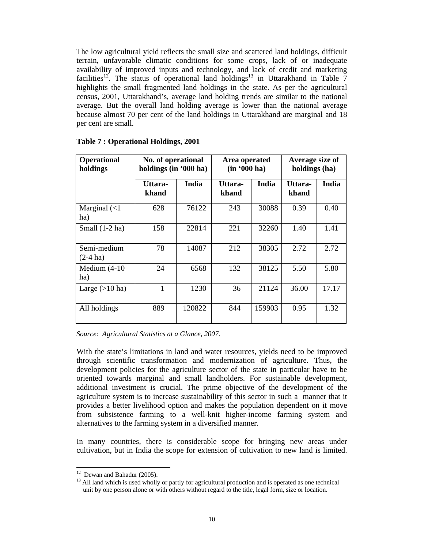The low agricultural yield reflects the small size and scattered land holdings, difficult terrain, unfavorable climatic conditions for some crops, lack of or inadequate availability of improved inputs and technology, and lack of credit and marketing facilities<sup>12</sup>. The status of operational land holdings<sup>13</sup> in Uttarakhand in Table  $\overline{7}$ highlights the small fragmented land holdings in the state. As per the agricultural census, 2001, Uttarakhand's, average land holding trends are similar to the national average. But the overall land holding average is lower than the national average because almost 70 per cent of the land holdings in Uttarakhand are marginal and 18 per cent are small.

| <b>Operational</b><br>holdings       | No. of operational<br>holdings (in '000 ha) |        | Area operated<br>(in '000 ha) |        | Average size of<br>holdings (ha) |       |  |
|--------------------------------------|---------------------------------------------|--------|-------------------------------|--------|----------------------------------|-------|--|
|                                      | Uttara-<br>khand                            | India  | Uttara-<br>khand              | India  | Uttara-<br>khand                 | India |  |
| Marginal $\left( < 1 \right)$<br>ha) | 628                                         | 76122  | 243                           | 30088  | 0.39                             | 0.40  |  |
| Small $(1-2)$ ha)                    | 158                                         | 22814  | 221                           | 32260  | 1.40                             | 1.41  |  |
| Semi-medium<br>$(2-4)$ ha)           | 78                                          | 14087  | 212                           | 38305  | 2.72                             | 2.72  |  |
| Medium $(4-10)$<br>ha)               | 24                                          | 6568   | 132                           | 38125  | 5.50                             | 5.80  |  |
| Large $(>10$ ha)                     | 1                                           | 1230   | 36                            | 21124  | 36.00                            | 17.17 |  |
| All holdings                         | 889                                         | 120822 | 844                           | 159903 | 0.95                             | 1.32  |  |

#### **Table 7 : Operational Holdings, 2001**

*Source: Agricultural Statistics at a Glance, 2007.* 

With the state's limitations in land and water resources, yields need to be improved through scientific transformation and modernization of agriculture. Thus, the development policies for the agriculture sector of the state in particular have to be oriented towards marginal and small landholders. For sustainable development, additional investment is crucial. The prime objective of the development of the agriculture system is to increase sustainability of this sector in such a manner that it provides a better livelihood option and makes the population dependent on it move from subsistence farming to a well-knit higher-income farming system and alternatives to the farming system in a diversified manner.

In many countries, there is considerable scope for bringing new areas under cultivation, but in India the scope for extension of cultivation to new land is limited.

 $\overline{a}$ 

 $12$  Dewan and Bahadur (2005).

<sup>&</sup>lt;sup>13</sup> All land which is used wholly or partly for agricultural production and is operated as one technical unit by one person alone or with others without regard to the title, legal form, size or location.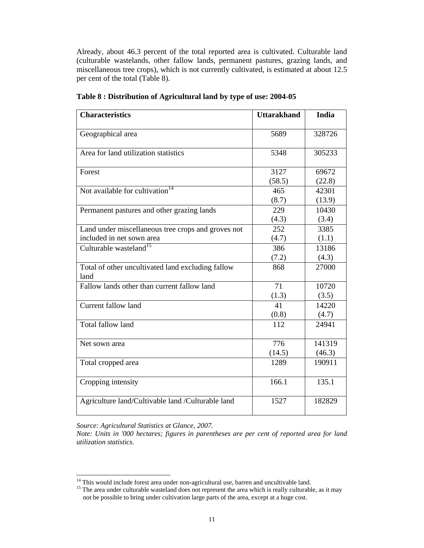Already, about 46.3 percent of the total reported area is cultivated. Culturable land (culturable wastelands, other fallow lands, permanent pastures, grazing lands, and miscellaneous tree crops), which is not currently cultivated, is estimated at about 12.5 per cent of the total (Table 8).

| <b>Characteristics</b>                                    | <b>Uttarakhand</b> | <b>India</b> |
|-----------------------------------------------------------|--------------------|--------------|
| Geographical area                                         | 5689               | 328726       |
|                                                           |                    |              |
| Area for land utilization statistics                      | 5348               | 305233       |
| Forest                                                    | 3127               | 69672        |
|                                                           | (58.5)             | (22.8)       |
| Not available for cultivation <sup>14</sup>               | 465                | 42301        |
|                                                           | (8.7)              | (13.9)       |
| Permanent pastures and other grazing lands                | 229                | 10430        |
|                                                           | (4.3)              | (3.4)        |
| Land under miscellaneous tree crops and groves not        | 252                | 3385         |
| included in net sown area                                 | (4.7)              | (1.1)        |
| Culturable wasteland <sup>15</sup>                        | 386                | 13186        |
|                                                           | (7.2)              | (4.3)        |
| Total of other uncultivated land excluding fallow<br>land | 868                | 27000        |
| Fallow lands other than current fallow land               | 71                 | 10720        |
|                                                           | (1.3)              | (3.5)        |
| Current fallow land                                       | 41                 | 14220        |
|                                                           | (0.8)              | (4.7)        |
| Total fallow land                                         | 112                | 24941        |
| Net sown area                                             | 776                | 141319       |
|                                                           | (14.5)             | (46.3)       |
| Total cropped area                                        | 1289               | 190911       |
| Cropping intensity                                        | 166.1              | 135.1        |
| Agriculture land/Cultivable land /Culturable land         | 1527               | 182829       |

**Table 8 : Distribution of Agricultural land by type of use: 2004-05** 

*Source: Agricultural Statistics at Glance, 2007.* 

 $\overline{a}$ 

*Note: Units in '000 hectares; figures in parentheses are per cent of reported area for land utilization statistics.*

 $14$  This would include forest area under non-agricultural use, barren and uncultivable land.

<sup>&</sup>lt;sup>15</sup> The area under culturable wasteland does not represent the area which is really culturable, as it may not be possible to bring under cultivation large parts of the area, except at a huge cost.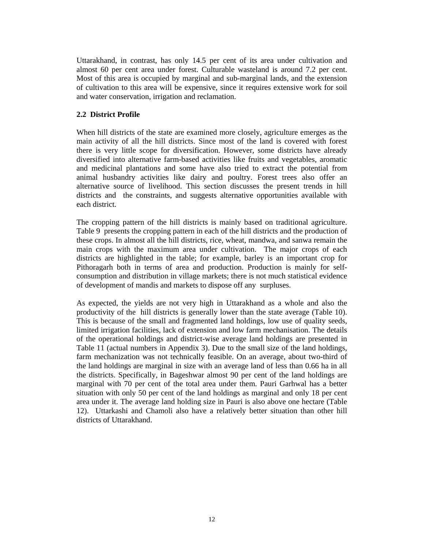Uttarakhand, in contrast, has only 14.5 per cent of its area under cultivation and almost 60 per cent area under forest. Culturable wasteland is around 7.2 per cent. Most of this area is occupied by marginal and sub-marginal lands, and the extension of cultivation to this area will be expensive, since it requires extensive work for soil and water conservation, irrigation and reclamation.

## **2.2 District Profile**

When hill districts of the state are examined more closely, agriculture emerges as the main activity of all the hill districts. Since most of the land is covered with forest there is very little scope for diversification. However, some districts have already diversified into alternative farm-based activities like fruits and vegetables, aromatic and medicinal plantations and some have also tried to extract the potential from animal husbandry activities like dairy and poultry. Forest trees also offer an alternative source of livelihood. This section discusses the present trends in hill districts and the constraints, and suggests alternative opportunities available with each district.

The cropping pattern of the hill districts is mainly based on traditional agriculture. Table 9 presents the cropping pattern in each of the hill districts and the production of these crops. In almost all the hill districts, rice, wheat, mandwa, and sanwa remain the main crops with the maximum area under cultivation. The major crops of each districts are highlighted in the table; for example, barley is an important crop for Pithoragarh both in terms of area and production. Production is mainly for selfconsumption and distribution in village markets; there is not much statistical evidence of development of mandis and markets to dispose off any surpluses.

As expected, the yields are not very high in Uttarakhand as a whole and also the productivity of the hill districts is generally lower than the state average (Table 10). This is because of the small and fragmented land holdings, low use of quality seeds, limited irrigation facilities, lack of extension and low farm mechanisation. The details of the operational holdings and district-wise average land holdings are presented in Table 11 (actual numbers in Appendix 3). Due to the small size of the land holdings, farm mechanization was not technically feasible. On an average, about two-third of the land holdings are marginal in size with an average land of less than 0.66 ha in all the districts. Specifically, in Bageshwar almost 90 per cent of the land holdings are marginal with 70 per cent of the total area under them. Pauri Garhwal has a better situation with only 50 per cent of the land holdings as marginal and only 18 per cent area under it. The average land holding size in Pauri is also above one hectare (Table 12). Uttarkashi and Chamoli also have a relatively better situation than other hill districts of Uttarakhand.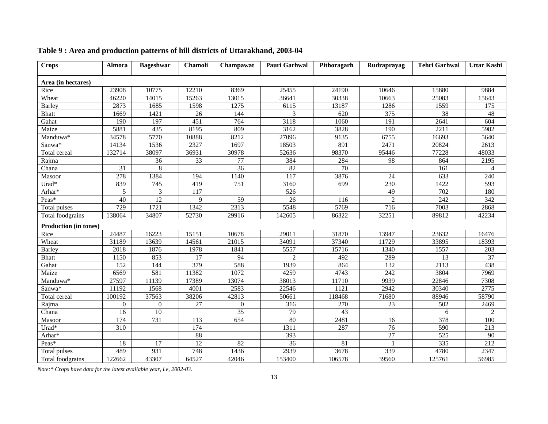| <b>Crops</b>                 | <b>Almora</b>  | <b>Bageshwar</b> | <b>Chamoli</b>   | Champawat        | Pauri Garhwal  | Pithoragarh     | Rudraprayag     | <b>Tehri Garhwal</b> | <b>Uttar Kashi</b> |
|------------------------------|----------------|------------------|------------------|------------------|----------------|-----------------|-----------------|----------------------|--------------------|
| Area (in hectares)           |                |                  |                  |                  |                |                 |                 |                      |                    |
| Rice                         | 23908          | 10775            | 12210            | 8369             | 25455          | 24190           | 10646           | 15880                | 9884               |
| Wheat                        | 46220          | 14015            | 15263            | 13015            | 36641          | 30338           | 10663           | 25083                | 15643              |
| <b>Barley</b>                | 2873           | 1685             | 1598             | 1275             | 6115           | 13187           | 1286            | 1559                 | 175                |
| <b>Bhatt</b>                 | 1669           | 1421             | 26               | 144              | 3              | 620             | 375             | 38                   | 48                 |
| Gahat                        | 190            | 197              | 451              | 764              | 3118           | 1060            | 191             | 2641                 | $\overline{604}$   |
| Maize                        | 5881           | $\overline{435}$ | 8195             | 809              | 3162           | 3828            | 190             | 2211                 | 5982               |
| Manduwa*                     | 34578          | 5770             | 10888            | 8212             | 27096          | 9135            | 6755            | 16693                | 5640               |
| Sanwa*                       | 14134          | 1536             | 2327             | 1697             | 18503          | 891             | 2471            | 20824                | 2613               |
| Total cereal                 | 132714         | 38097            | 36931            | 30978            | 52636          | 98370           | 95446           | 77228                | 48033              |
| Rajma                        |                | 36               | 33               | 77               | 384            | 284             | 98              | 864                  | 2195               |
| Chana                        | 31             | 8                |                  | $\overline{36}$  | 82             | $\overline{70}$ |                 | 161                  | 4                  |
| Masoor                       | 278            | 1384             | 194              | 1140             | 117            | 3876            | 24              | 633                  | 240                |
| Urad*                        | 839            | 745              | 419              | 751              | 3160           | 699             | 230             | 1422                 | $\overline{593}$   |
| Arhar*                       | 5              | 3                | 117              |                  | 526            |                 | 49              | 702                  | 180                |
| Peas*                        | 40             | 12               | 9                | 59               | 26             | 116             | $\overline{2}$  | 242                  | 342                |
| Total pulses                 | 729            | 1721             | 1342             | 2313             | 5548           | 5769            | 716             | 7003                 | 2868               |
| <b>Total</b> foodgrains      | 138064         | 34807            | 52730            | 29916            | 142605         | 86322           | 32251           | 89812                | 42234              |
| <b>Production (in tones)</b> |                |                  |                  |                  |                |                 |                 |                      |                    |
| Rice                         | 24487          | 16223            | 15151            | 10678            | 29011          | 31870           | 13947           | 23632                | 16476              |
| Wheat                        | 31189          | 13639            | 14561            | 21015            | 34091          | 37340           | 11729           | 33895                | 18393              |
| <b>Barley</b>                | 2018           | 1876             | 1978             | 1841             | 5557           | 15716           | 1340            | 1557                 | 203                |
| <b>Bhatt</b>                 | 1150           | 853              | 17               | 94               | $\overline{2}$ | 492             | 289             | 13                   | 37                 |
| Gahat                        | 152            | 144              | 379              | 588              | 1939           | 864             | 132             | 2113                 | 438                |
| Maize                        | 6569           | 581              | 11382            | 1072             | 4259           | 4743            | 242             | 3804                 | 7969               |
| Manduwa*                     | 27597          | 11139            | 17389            | 13074            | 38013          | 11710           | 9939            | 22846                | 7308               |
| Sanwa*                       | 11192          | 1568             | 4001             | 2583             | 22546          | 1121            | 2942            | 30340                | 2775               |
| Total cereal                 | 100192         | 37563            | 38206            | 42813            | 50661          | 118468          | 71680           | 88946                | 58790              |
| Rajma                        | $\overline{0}$ | $\boldsymbol{0}$ | $\overline{27}$  | $\mathbf{0}$     | 316            | 270             | 23              | 502                  | 2469               |
| Chana                        | 16             | 10               |                  | 35               | 79             | 43              |                 | 6                    | $\overline{c}$     |
| Masoor                       | 174            | $\overline{731}$ | 113              | $\overline{654}$ | 80             | 2481            | 16              | 378                  | 100                |
| Urad*                        | 310            |                  | $\overline{174}$ |                  | 1311           | 287             | $\overline{76}$ | 590                  | 213                |
| Arhar*                       |                |                  | 88               |                  | 393            |                 | 27              | 525                  | 90                 |
| Peas*                        | 18             | 17               | $\overline{12}$  | 82               | 36             | 81              |                 | 335                  | $\overline{212}$   |
| <b>Total pulses</b>          | 489            | 931              | 748              | 1436             | 2939           | 3678            | 339             | 4780                 | 2347               |
| Total foodgrains             | 122662         | 43307            | 64527            | 42046            | 153400         | 106578          | 39560           | 125761               | 56985              |

# **Table 9 : Area and production patterns of hill districts of Uttarakhand, 2003-04**

*Note:\* Crops have data for the latest available year, i.e, 2002-03.*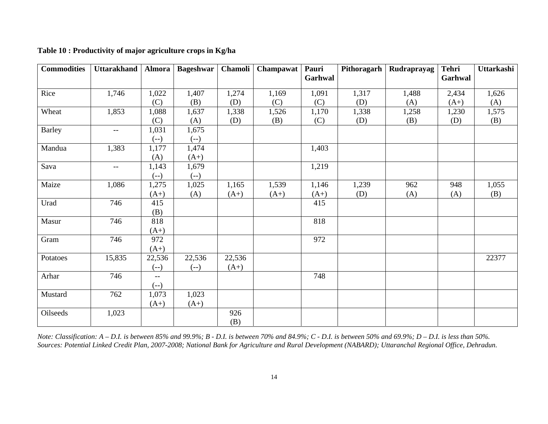| <b>Commodities</b> | Uttarakhand | Almora | <b>Bageshwar</b> | Chamoli | <b>Champawat</b> | Pauri   | Pithoragarh | Rudraprayag | <b>Tehri</b> | Uttarkashi |
|--------------------|-------------|--------|------------------|---------|------------------|---------|-------------|-------------|--------------|------------|
|                    |             |        |                  |         |                  | Garhwal |             |             | Garhwal      |            |
|                    |             |        |                  |         |                  |         |             |             |              |            |
| Rice               | 1,746       | 1,022  | 1,407            | 1,274   | 1,169            | 1,091   | 1,317       | 1,488       | 2,434        | 1,626      |
|                    |             | (C)    | (B)              | (D)     | (C)              | (C)     | (D)         | (A)         | $(A+)$       | (A)        |
| Wheat              | 1,853       | 1,088  | 1,637            | 1,338   | 1,526            | 1,170   | 1,338       | 1,258       | 1,230        | 1,575      |
|                    |             | (C)    | (A)              | (D)     | (B)              | (C)     | (D)         | (B)         | (D)          | (B)        |
| <b>Barley</b>      | $--$        | 1,031  | 1,675            |         |                  |         |             |             |              |            |
|                    |             | $(-)$  | $(-)$            |         |                  |         |             |             |              |            |
| Mandua             | 1,383       | 1,177  | 1,474            |         |                  | 1,403   |             |             |              |            |
|                    |             | (A)    | $(A+)$           |         |                  |         |             |             |              |            |
| Sava               | $--$        | 1,143  | 1,679            |         |                  | 1,219   |             |             |              |            |
|                    |             | $(-)$  | $(-)$            |         |                  |         |             |             |              |            |
| Maize              | 1,086       | 1,275  | 1,025            | 1,165   | 1,539            | 1,146   | 1,239       | 962         | 948          | 1,055      |
|                    |             | $(A+)$ | (A)              | $(A+)$  | $(A+)$           | $(A+)$  | (D)         | (A)         | (A)          | (B)        |
| Urad               | 746         | 415    |                  |         |                  | 415     |             |             |              |            |
|                    |             | (B)    |                  |         |                  |         |             |             |              |            |
| Masur              | 746         | 818    |                  |         |                  | 818     |             |             |              |            |
|                    |             | $(A+)$ |                  |         |                  |         |             |             |              |            |
| Gram               | 746         | 972    |                  |         |                  | 972     |             |             |              |            |
|                    |             | $(A+)$ |                  |         |                  |         |             |             |              |            |
| Potatoes           | 15,835      | 22,536 | 22,536           | 22,536  |                  |         |             |             |              | 22377      |
|                    |             | $(-)$  | $(-)$            | $(A+)$  |                  |         |             |             |              |            |
| Arhar              | 746         | $- -$  |                  |         |                  | 748     |             |             |              |            |
|                    |             | $(-)$  |                  |         |                  |         |             |             |              |            |
| Mustard            | 762         | 1,073  | 1,023            |         |                  |         |             |             |              |            |
|                    |             | $(A+)$ | $(A+)$           |         |                  |         |             |             |              |            |
| Oilseeds           | 1,023       |        |                  | 926     |                  |         |             |             |              |            |
|                    |             |        |                  | (B)     |                  |         |             |             |              |            |

**Table 10 : Productivity of major agriculture crops in Kg/ha** 

*Note: Classification: A – D.I. is between 85% and 99.9%; B - D.I. is between 70% and 84.9%; C - D.I. is between 50% and 69.9%; D – D.I. is less than 50%. Sources: Potential Linked Credit Plan, 2007-2008; National Bank for Agriculture and Rural Development (NABARD); Uttaranchal Regional Office, Dehradun.*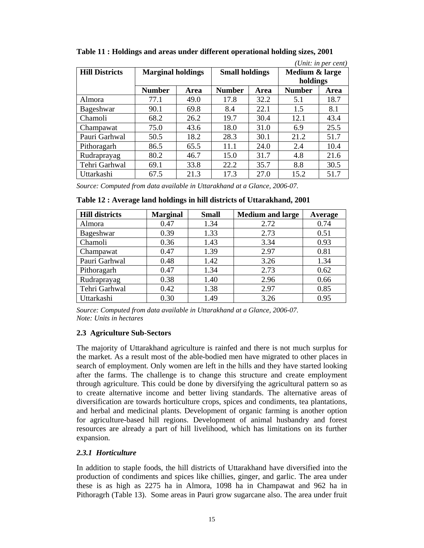| (Unit: in per cent)   |                          |      |                       |      |                |             |  |
|-----------------------|--------------------------|------|-----------------------|------|----------------|-------------|--|
| <b>Hill Districts</b> | <b>Marginal holdings</b> |      | <b>Small holdings</b> |      | Medium & large |             |  |
|                       |                          |      |                       |      | holdings       |             |  |
|                       | <b>Number</b>            | Area | <b>Number</b>         | Area | <b>Number</b>  | <b>Area</b> |  |
| Almora                | 77.1                     | 49.0 | 17.8                  | 32.2 | 5.1            | 18.7        |  |
| Bageshwar             | 90.1                     | 69.8 | 8.4                   | 22.1 | 1.5            | 8.1         |  |
| Chamoli               | 68.2                     | 26.2 | 19.7                  | 30.4 | 12.1           | 43.4        |  |
| Champawat             | 75.0                     | 43.6 | 18.0                  | 31.0 | 6.9            | 25.5        |  |
| Pauri Garhwal         | 50.5                     | 18.2 | 28.3                  | 30.1 | 21.2           | 51.7        |  |
| Pithoragarh           | 86.5                     | 65.5 | 11.1                  | 24.0 | 2.4            | 10.4        |  |
| Rudraprayag           | 80.2                     | 46.7 | 15.0                  | 31.7 | 4.8            | 21.6        |  |
| Tehri Garhwal         | 69.1                     | 33.8 | 22.2                  | 35.7 | 8.8            | 30.5        |  |
| Uttarkashi            | 67.5                     | 21.3 | 17.3                  | 27.0 | 15.2           | 51.7        |  |

**Table 11 : Holdings and areas under different operational holding sizes, 2001** 

*Source: Computed from data available in Uttarakhand at a Glance, 2006-07.*

| Table 12, Avelage land holdings in this districts of Uttarakhand, 2001 |                 |              |                         |         |  |  |
|------------------------------------------------------------------------|-----------------|--------------|-------------------------|---------|--|--|
| <b>Hill districts</b>                                                  | <b>Marginal</b> | <b>Small</b> | <b>Medium and large</b> | Average |  |  |
| Almora                                                                 | 0.47            | 1.34         | 2.72                    | 0.74    |  |  |
| Bageshwar                                                              | 0.39            | 1.33         | 2.73                    | 0.51    |  |  |
| Chamoli                                                                | 0.36            | 1.43         | 3.34                    | 0.93    |  |  |
| Champawat                                                              | 0.47            | 1.39         | 2.97                    | 0.81    |  |  |
| Pauri Garhwal                                                          | 0.48            | 1.42         | 3.26                    | 1.34    |  |  |
| Pithoragarh                                                            | 0.47            | 1.34         | 2.73                    | 0.62    |  |  |

Rudraprayag | 0.38 | 1.40 | 2.96 | 0.66 Tehri Garhwal  $\begin{array}{|c|c|c|c|c|c|} \hline 0.42 & 1.38 & 2.97 & 0.85 \ \hline \end{array}$ Uttarkashi 0.30 1.49 3.26 0.95

**Table 12 : Average land holdings in hill districts of Uttarakhand, 2001** 

*Source: Computed from data available in Uttarakhand at a Glance, 2006-07. Note: Units in hectares*

# **2.3 Agriculture Sub-Sectors**

The majority of Uttarakhand agriculture is rainfed and there is not much surplus for the market. As a result most of the able-bodied men have migrated to other places in search of employment. Only women are left in the hills and they have started looking after the farms. The challenge is to change this structure and create employment through agriculture. This could be done by diversifying the agricultural pattern so as to create alternative income and better living standards. The alternative areas of diversification are towards horticulture crops, spices and condiments, tea plantations, and herbal and medicinal plants. Development of organic farming is another option for agriculture-based hill regions. Development of animal husbandry and forest resources are already a part of hill livelihood, which has limitations on its further expansion.

# *2.3.1 Horticulture*

In addition to staple foods, the hill districts of Uttarakhand have diversified into the production of condiments and spices like chillies, ginger, and garlic. The area under these is as high as 2275 ha in Almora, 1098 ha in Champawat and 962 ha in Pithoragrh (Table 13). Some areas in Pauri grow sugarcane also. The area under fruit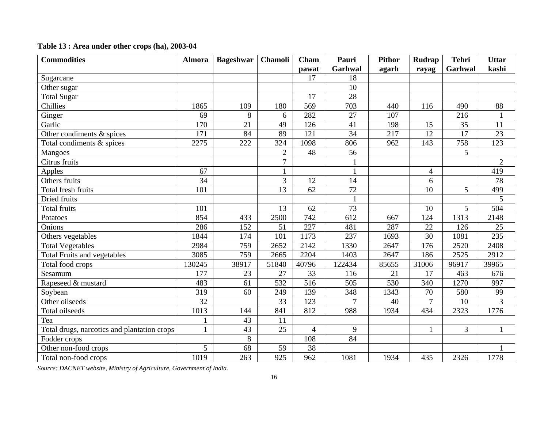| <b>Commodities</b>                          | <b>Almora</b> | <b>Bageshwar</b> | <b>Chamoli</b> | Cham             | Pauri          | <b>Pithor</b> | <b>Rudrap</b>  | <b>Tehri</b> | <b>Uttar</b>   |
|---------------------------------------------|---------------|------------------|----------------|------------------|----------------|---------------|----------------|--------------|----------------|
|                                             |               |                  |                | pawat            | Garhwal        | agarh         | rayag          | Garhwal      | kashi          |
| Sugarcane                                   |               |                  |                | 17               | 18             |               |                |              |                |
| Other sugar                                 |               |                  |                |                  | 10             |               |                |              |                |
| <b>Total Sugar</b>                          |               |                  |                | 17               | 28             |               |                |              |                |
| Chillies                                    | 1865          | 109              | 180            | 569              | 703            | 440           | 116            | 490          | 88             |
| Ginger                                      | 69            | 8                | 6              | 282              | 27             | 107           |                | 216          |                |
| Garlic                                      | 170           | 21               | 49             | 126              | 41             | 198           | 15             | 35           | 11             |
| Other condiments & spices                   | 171           | 84               | 89             | 121              | 34             | 217           | 12             | 17           | 23             |
| Total condiments & spices                   | 2275          | 222              | 324            | 1098             | 806            | 962           | 143            | 758          | 123            |
| Mangoes                                     |               |                  | $\overline{2}$ | 48               | 56             |               |                | 5            |                |
| Citrus fruits                               |               |                  | $\overline{7}$ |                  |                |               |                |              | $\overline{2}$ |
| Apples                                      | 67            |                  |                |                  |                |               | $\overline{4}$ |              | 419            |
| Others fruits                               | 34            |                  | 3              | 12               | 14             |               | 6              |              | 78             |
| Total fresh fruits                          | 101           |                  | 13             | 62               | 72             |               | 10             | 5            | 499            |
| Dried fruits                                |               |                  |                |                  |                |               |                |              | 5              |
| Total fruits                                | 101           |                  | 13             | 62               | 73             |               | 10             | 5            | 504            |
| Potatoes                                    | 854           | 433              | 2500           | 742              | 612            | 667           | 124            | 1313         | 2148           |
| Onions                                      | 286           | 152              | 51             | 227              | 481            | 287           | 22             | 126          | 25             |
| Others vegetables                           | 1844          | 174              | 101            | 1173             | 237            | 1693          | 30             | 1081         | 235            |
| <b>Total Vegetables</b>                     | 2984          | 759              | 2652           | 2142             | 1330           | 2647          | 176            | 2520         | 2408           |
| <b>Total Fruits and vegetables</b>          | 3085          | 759              | 2665           | 2204             | 1403           | 2647          | 186            | 2525         | 2912           |
| Total food crops                            | 130245        | 38917            | 51840          | 40796            | 122434         | 85655         | 31006          | 96917        | 39965          |
| Sesamum                                     | 177           | 23               | 27             | 33               | 116            | 21            | 17             | 463          | 676            |
| Rapeseed & mustard                          | 483           | 61               | 532            | $\overline{516}$ | 505            | 530           | 340            | 1270         | 997            |
| Soybean                                     | 319           | 60               | 249            | 139              | 348            | 1343          | 70             | 580          | 99             |
| Other oilseeds                              | 32            |                  | 33             | 123              | $\overline{7}$ | 40            | $\overline{7}$ | 10           | $\overline{3}$ |
| Total oilseeds                              | 1013          | 144              | 841            | 812              | 988            | 1934          | 434            | 2323         | 1776           |
| Tea                                         | $\mathbf{1}$  | 43               | 11             |                  |                |               |                |              |                |
| Total drugs, narcotics and plantation crops | $\mathbf{1}$  | 43               | 25             | $\overline{4}$   | 9              |               | 1              | 3            | 1              |
| Fodder crops                                |               | 8                |                | 108              | 84             |               |                |              |                |
| Other non-food crops                        | 5             | 68               | 59             | 38               |                |               |                |              |                |
| Total non-food crops                        | 1019          | 263              | 925            | 962              | 1081           | 1934          | 435            | 2326         | 1778           |

# **Table 13 : Area under other crops (ha), 2003-04**

*Source: DACNET website, Ministry of Agriculture, Government of India.*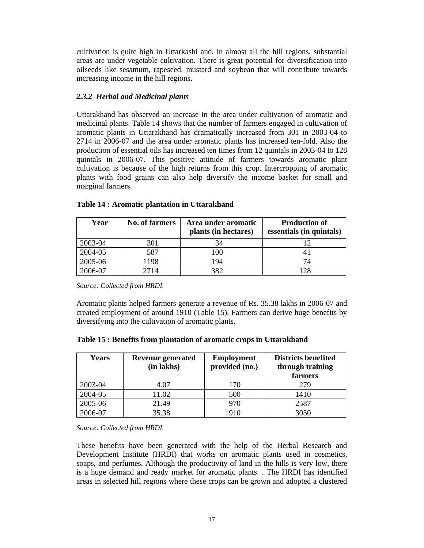cultivation is quite high in Uttarkashi and, in almost all the hill regions, substantial areas are under vegetable cultivation. There is great potential for diversification into oilseeds like sesamum, rapeseed, mustard and soybean that will contribute towards increasing income in the hill regions.

# *2.3.2 Herbal and Medicinal plants*

Uttarakhand has observed an increase in the area under cultivation of aromatic and medicinal plants. Table 14 shows that the number of farmers engaged in cultivation of aromatic plants in Uttarakhand has dramatically increased from 301 in 2003-04 to 2714 in 2006-07 and the area under aromatic plants has increased ten-fold. Also the production of essential oils has increased ten times from 12 quintals in 2003-04 to 128 quintals in 2006-07. This positive attitude of farmers towards aromatic plant cultivation is because of the high returns from this crop. Intercropping of aromatic plants with food grains can also help diversify the income basket for small and marginal farmers.

| Year    | <b>No. of farmers</b> | Area under aromatic<br>plants (in hectares) | <b>Production of</b><br>essentials (in quintals) |
|---------|-----------------------|---------------------------------------------|--------------------------------------------------|
| 2003-04 | 301                   | 34                                          |                                                  |
| 2004-05 | 587                   | 100                                         |                                                  |
| 2005-06 | 1198                  | 194                                         | 74                                               |
| 2006-07 | 2714                  | 382                                         | 128                                              |

#### **Table 14 : Aromatic plantation in Uttarakhand**

*Source: Collected from HRDI.* 

Aromatic plants helped farmers generate a revenue of Rs. 35.38 lakhs in 2006-07 and created employment of around 1910 (Table 15). Farmers can derive huge benefits by diversifying into the cultivation of aromatic plants.

| <b>Years</b> | <b>Revenue generated</b><br>(in lakhs) | <b>Employment</b><br>provided (no.) | <b>Districts benefited</b><br>through training<br>farmers |
|--------------|----------------------------------------|-------------------------------------|-----------------------------------------------------------|
| 2003-04      | 4.07                                   | 170                                 | 279                                                       |
| 2004-05      | 11.02                                  | 500                                 | 1410                                                      |
| 2005-06      | 21.49                                  | 970                                 | 2587                                                      |
| 2006-07      | 35.38                                  | 1910                                | 3050                                                      |

*Source: Collected from HRDI.*

These benefits have been generated with the help of the Herbal Research and Development Institute (HRDI) that works on aromatic plants used in cosmetics, soaps, and perfumes. Although the productivity of land in the hills is very low, there is a huge demand and ready market for aromatic plants. . The HRDI has identified areas in selected hill regions where these crops can be grown and adopted a clustered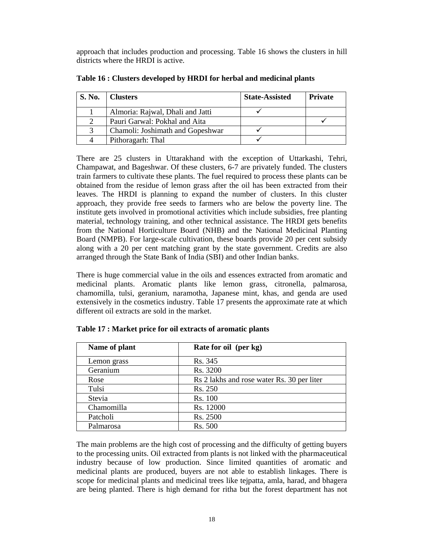approach that includes production and processing. Table 16 shows the clusters in hill districts where the HRDI is active.

| <b>S. No.</b> | <b>Clusters</b>                  | <b>State-Assisted</b> | <b>Private</b> |
|---------------|----------------------------------|-----------------------|----------------|
|               | Almoria: Rajwal, Dhali and Jatti |                       |                |
|               | Pauri Garwal: Pokhal and Aita    |                       |                |
| 3             | Chamoli: Joshimath and Gopeshwar |                       |                |
|               | Pithoragarh: Thal                |                       |                |

**Table 16 : Clusters developed by HRDI for herbal and medicinal plants** 

There are 25 clusters in Uttarakhand with the exception of Uttarkashi, Tehri, Champawat, and Bageshwar. Of these clusters, 6-7 are privately funded. The clusters train farmers to cultivate these plants. The fuel required to process these plants can be obtained from the residue of lemon grass after the oil has been extracted from their leaves. The HRDI is planning to expand the number of clusters. In this cluster approach, they provide free seeds to farmers who are below the poverty line. The institute gets involved in promotional activities which include subsidies, free planting material, technology training, and other technical assistance. The HRDI gets benefits from the National Horticulture Board (NHB) and the National Medicinal Planting Board (NMPB). For large-scale cultivation, these boards provide 20 per cent subsidy along with a 20 per cent matching grant by the state government. Credits are also arranged through the State Bank of India (SBI) and other Indian banks.

There is huge commercial value in the oils and essences extracted from aromatic and medicinal plants. Aromatic plants like lemon grass, citronella, palmarosa, chamomilla, tulsi, geranium, naramotha, Japanese mint, khas, and genda are used extensively in the cosmetics industry. Table 17 presents the approximate rate at which different oil extracts are sold in the market.

| Name of plant | Rate for oil (per kg)                      |
|---------------|--------------------------------------------|
| Lemon grass   | Rs. 345                                    |
| Geranium      | Rs. 3200                                   |
| Rose          | Rs 2 lakhs and rose water Rs. 30 per liter |
| Tulsi         | Rs. 250                                    |
| Stevia        | Rs. 100                                    |
| Chamomilla    | Rs. 12000                                  |
| Patcholi      | Rs. 2500                                   |
| Palmarosa     | Rs. 500                                    |

**Table 17 : Market price for oil extracts of aromatic plants** 

The main problems are the high cost of processing and the difficulty of getting buyers to the processing units. Oil extracted from plants is not linked with the pharmaceutical industry because of low production. Since limited quantities of aromatic and medicinal plants are produced, buyers are not able to establish linkages. There is scope for medicinal plants and medicinal trees like tejpatta, amla, harad, and bhagera are being planted. There is high demand for ritha but the forest department has not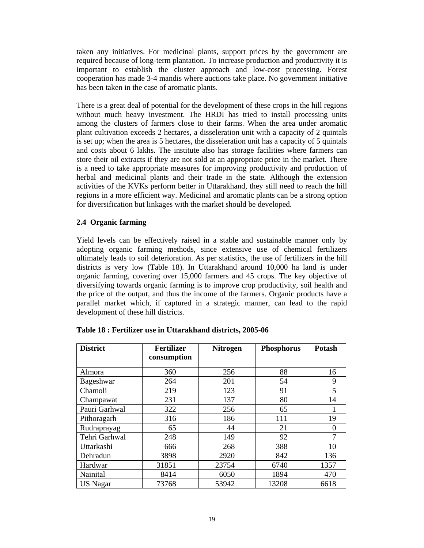taken any initiatives. For medicinal plants, support prices by the government are required because of long-term plantation. To increase production and productivity it is important to establish the cluster approach and low-cost processing. Forest cooperation has made 3-4 mandis where auctions take place. No government initiative has been taken in the case of aromatic plants.

There is a great deal of potential for the development of these crops in the hill regions without much heavy investment. The HRDI has tried to install processing units among the clusters of farmers close to their farms. When the area under aromatic plant cultivation exceeds 2 hectares, a disseleration unit with a capacity of 2 quintals is set up; when the area is 5 hectares, the disseleration unit has a capacity of 5 quintals and costs about 6 lakhs. The institute also has storage facilities where farmers can store their oil extracts if they are not sold at an appropriate price in the market. There is a need to take appropriate measures for improving productivity and production of herbal and medicinal plants and their trade in the state. Although the extension activities of the KVKs perform better in Uttarakhand, they still need to reach the hill regions in a more efficient way. Medicinal and aromatic plants can be a strong option for diversification but linkages with the market should be developed.

# **2.4 Organic farming**

Yield levels can be effectively raised in a stable and sustainable manner only by adopting organic farming methods, since extensive use of chemical fertilizers ultimately leads to soil deterioration. As per statistics, the use of fertilizers in the hill districts is very low (Table 18). In Uttarakhand around 10,000 ha land is under organic farming, covering over 15,000 farmers and 45 crops. The key objective of diversifying towards organic farming is to improve crop productivity, soil health and the price of the output, and thus the income of the farmers. Organic products have a parallel market which, if captured in a strategic manner, can lead to the rapid development of these hill districts.

| <b>District</b> | <b>Fertilizer</b><br>consumption | <b>Nitrogen</b> | <b>Phosphorus</b> | <b>Potash</b> |
|-----------------|----------------------------------|-----------------|-------------------|---------------|
| Almora          | 360                              | 256             | 88                | 16            |
| Bageshwar       | 264                              | 201             | 54                | 9             |
| Chamoli         | 219                              | 123             | 91                | 5             |
| Champawat       | 231                              | 137             | 80                | 14            |
| Pauri Garhwal   | 322                              | 256             | 65                |               |
| Pithoragarh     | 316                              | 186             | 111               | 19            |
| Rudraprayag     | 65                               | 44              | 21                | 0             |
| Tehri Garhwal   | 248                              | 149             | 92                |               |
| Uttarkashi      | 666                              | 268             | 388               | 10            |
| Dehradun        | 3898                             | 2920            | 842               | 136           |
| Hardwar         | 31851                            | 23754           | 6740              | 1357          |
| Nainital        | 8414                             | 6050            | 1894              | 470           |
| <b>US Nagar</b> | 73768                            | 53942           | 13208             | 6618          |

# **Table 18 : Fertilizer use in Uttarakhand districts, 2005-06**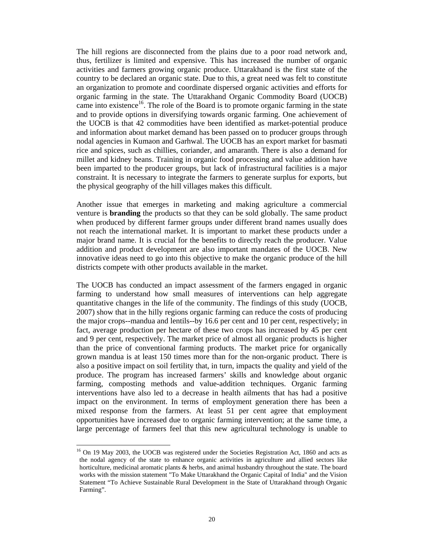The hill regions are disconnected from the plains due to a poor road network and, thus, fertilizer is limited and expensive. This has increased the number of organic activities and farmers growing organic produce. Uttarakhand is the first state of the country to be declared an organic state. Due to this, a great need was felt to constitute an organization to promote and coordinate dispersed organic activities and efforts for organic farming in the state. The Uttarakhand Organic Commodity Board (UOCB) came into existence<sup>16</sup>. The role of the Board is to promote organic farming in the state and to provide options in diversifying towards organic farming. One achievement of the UOCB is that 42 commodities have been identified as market-potential produce and information about market demand has been passed on to producer groups through nodal agencies in Kumaon and Garhwal. The UOCB has an export market for basmati rice and spices, such as chillies, coriander, and amaranth. There is also a demand for millet and kidney beans. Training in organic food processing and value addition have been imparted to the producer groups, but lack of infrastructural facilities is a major constraint. It is necessary to integrate the farmers to generate surplus for exports, but the physical geography of the hill villages makes this difficult.

Another issue that emerges in marketing and making agriculture a commercial venture is **branding** the products so that they can be sold globally. The same product when produced by different farmer groups under different brand names usually does not reach the international market. It is important to market these products under a major brand name. It is crucial for the benefits to directly reach the producer. Value addition and product development are also important mandates of the UOCB. New innovative ideas need to go into this objective to make the organic produce of the hill districts compete with other products available in the market.

The UOCB has conducted an impact assessment of the farmers engaged in organic farming to understand how small measures of interventions can help aggregate quantitative changes in the life of the community. The findings of this study (UOCB, 2007) show that in the hilly regions organic farming can reduce the costs of producing the major crops--mandua and lentils--by 16.6 per cent and 10 per cent, respectively; in fact, average production per hectare of these two crops has increased by 45 per cent and 9 per cent, respectively. The market price of almost all organic products is higher than the price of conventional farming products. The market price for organically grown mandua is at least 150 times more than for the non-organic product. There is also a positive impact on soil fertility that, in turn, impacts the quality and yield of the produce. The program has increased farmers' skills and knowledge about organic farming, composting methods and value-addition techniques. Organic farming interventions have also led to a decrease in health ailments that has had a positive impact on the environment. In terms of employment generation there has been a mixed response from the farmers. At least 51 per cent agree that employment opportunities have increased due to organic farming intervention; at the same time, a large percentage of farmers feel that this new agricultural technology is unable to

 $\overline{a}$ 

<sup>&</sup>lt;sup>16</sup> On 19 May 2003, the UOCB was registered under the Societies Registration Act, 1860 and acts as the nodal agency of the state to enhance organic activities in agriculture and allied sectors like horticulture, medicinal aromatic plants & herbs, and animal husbandry throughout the state. The board works with the mission statement "To Make Uttarakhand the Organic Capital of India" and the Vision Statement "To Achieve Sustainable Rural Development in the State of Uttarakhand through Organic Farming".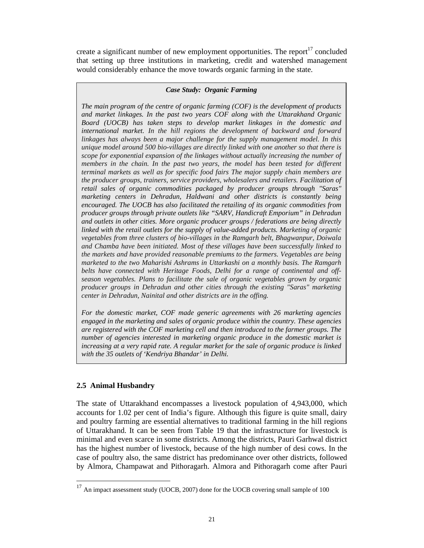create a significant number of new employment opportunities. The report<sup>17</sup> concluded that setting up three institutions in marketing, credit and watershed management would considerably enhance the move towards organic farming in the state.

#### *Case Study: Organic Farming*

*The main program of the centre of organic farming (COF) is the development of products and market linkages. In the past two years COF along with the Uttarakhand Organic Board (UOCB) has taken steps to develop market linkages in the domestic and international market. In the hill regions the development of backward and forward linkages has always been a major challenge for the supply management model. In this unique model around 500 bio-villages are directly linked with one another so that there is scope for exponential expansion of the linkages without actually increasing the number of members in the chain. In the past two years, the model has been tested for different terminal markets as well as for specific food fairs The major supply chain members are the producer groups, trainers, service providers, wholesalers and retailers. Facilitation of retail sales of organic commodities packaged by producer groups through "Saras" marketing centers in Dehradun, Haldwani and other districts is constantly being encouraged. The UOCB has also facilitated the retailing of its organic commodities from producer groups through private outlets like "SARV, Handicraft Emporium" in Dehradun and outlets in other cities. More organic producer groups / federations are being directly linked with the retail outlets for the supply of value-added products. Marketing of organic vegetables from three clusters of bio-villages in the Ramgarh belt, Bhagwanpur, Doiwala and Chamba have been initiated. Most of these villages have been successfully linked to the markets and have provided reasonable premiums to the farmers. Vegetables are being marketed to the two Maharishi Ashrams in Uttarkashi on a monthly basis. The Ramgarh belts have connected with Heritage Foods, Delhi for a range of continental and offseason vegetables. Plans to facilitate the sale of organic vegetables grown by organic producer groups in Dehradun and other cities through the existing "Saras" marketing center in Dehradun, Nainital and other districts are in the offing.* 

*For the domestic market, COF made generic agreements with 26 marketing agencies engaged in the marketing and sales of organic produce within the country. These agencies are registered with the COF marketing cell and then introduced to the farmer groups. The number of agencies interested in marketing organic produce in the domestic market is increasing at a very rapid rate. A regular market for the sale of organic produce is linked with the 35 outlets of 'Kendriya Bhandar' in Delhi.* 

#### **2.5 Animal Husbandry**

 $\overline{a}$ 

The state of Uttarakhand encompasses a livestock population of 4,943,000, which accounts for 1.02 per cent of India's figure. Although this figure is quite small, dairy and poultry farming are essential alternatives to traditional farming in the hill regions of Uttarakhand. It can be seen from Table 19 that the infrastructure for livestock is minimal and even scarce in some districts. Among the districts, Pauri Garhwal district has the highest number of livestock, because of the high number of desi cows. In the case of poultry also, the same district has predominance over other districts, followed by Almora, Champawat and Pithoragarh. Almora and Pithoragarh come after Pauri

 $17$  An impact assessment study (UOCB, 2007) done for the UOCB covering small sample of 100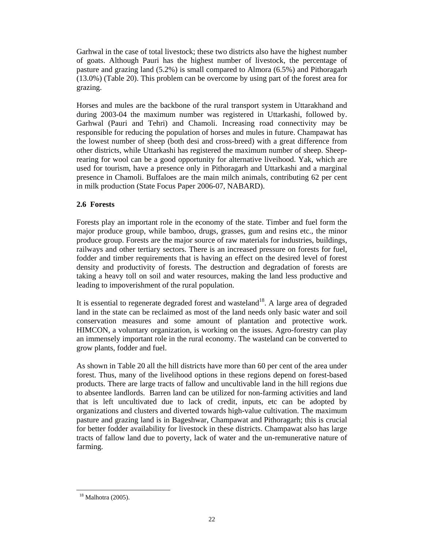Garhwal in the case of total livestock; these two districts also have the highest number of goats. Although Pauri has the highest number of livestock, the percentage of pasture and grazing land (5.2%) is small compared to Almora (6.5%) and Pithoragarh (13.0%) (Table 20). This problem can be overcome by using part of the forest area for grazing.

Horses and mules are the backbone of the rural transport system in Uttarakhand and during 2003-04 the maximum number was registered in Uttarkashi, followed by. Garhwal (Pauri and Tehri) and Chamoli. Increasing road connectivity may be responsible for reducing the population of horses and mules in future. Champawat has the lowest number of sheep (both desi and cross-breed) with a great difference from other districts, while Uttarkashi has registered the maximum number of sheep. Sheeprearing for wool can be a good opportunity for alternative liveihood. Yak, which are used for tourism, have a presence only in Pithoragarh and Uttarkashi and a marginal presence in Chamoli. Buffaloes are the main milch animals, contributing 62 per cent in milk production (State Focus Paper 2006-07, NABARD).

# **2.6 Forests**

Forests play an important role in the economy of the state. Timber and fuel form the major produce group, while bamboo, drugs, grasses, gum and resins etc., the minor produce group. Forests are the major source of raw materials for industries, buildings, railways and other tertiary sectors. There is an increased pressure on forests for fuel, fodder and timber requirements that is having an effect on the desired level of forest density and productivity of forests. The destruction and degradation of forests are taking a heavy toll on soil and water resources, making the land less productive and leading to impoverishment of the rural population.

It is essential to regenerate degraded forest and wasteland<sup>18</sup>. A large area of degraded land in the state can be reclaimed as most of the land needs only basic water and soil conservation measures and some amount of plantation and protective work. HIMCON, a voluntary organization, is working on the issues. Agro-forestry can play an immensely important role in the rural economy. The wasteland can be converted to grow plants, fodder and fuel.

As shown in Table 20 all the hill districts have more than 60 per cent of the area under forest. Thus, many of the livelihood options in these regions depend on forest-based products. There are large tracts of fallow and uncultivable land in the hill regions due to absentee landlords. Barren land can be utilized for non-farming activities and land that is left uncultivated due to lack of credit, inputs, etc can be adopted by organizations and clusters and diverted towards high-value cultivation. The maximum pasture and grazing land is in Bageshwar, Champawat and Pithoragarh; this is crucial for better fodder availability for livestock in these districts. Champawat also has large tracts of fallow land due to poverty, lack of water and the un-remunerative nature of farming.

 $\overline{a}$ 

<sup>18</sup> Malhotra (2005).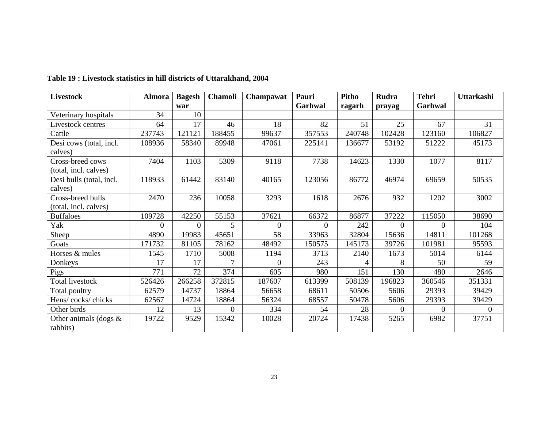| <b>Livestock</b>         | <b>Almora</b> | <b>Bagesh</b> | <b>Chamoli</b> | Champawat | Pauri    | Pitho  | <b>Rudra</b>   | <b>Tehri</b> | Uttarkashi |
|--------------------------|---------------|---------------|----------------|-----------|----------|--------|----------------|--------------|------------|
|                          |               | war           |                |           | Garhwal  | ragarh | prayag         | Garhwal      |            |
| Veterinary hospitals     | 34            | 10            |                |           |          |        |                |              |            |
| Livestock centres        | 64            | 17            | 46             | 18        | 82       | 51     | 25             | 67           | 31         |
| Cattle                   | 237743        | 121121        | 188455         | 99637     | 357553   | 240748 | 102428         | 123160       | 106827     |
| Desi cows (total, incl.  | 108936        | 58340         | 89948          | 47061     | 225141   | 136677 | 53192          | 51222        | 45173      |
| calves)                  |               |               |                |           |          |        |                |              |            |
| Cross-breed cows         | 7404          | 1103          | 5309           | 9118      | 7738     | 14623  | 1330           | 1077         | 8117       |
| (total, incl. calves)    |               |               |                |           |          |        |                |              |            |
| Desi bulls (total, incl. | 118933        | 61442         | 83140          | 40165     | 123056   | 86772  | 46974          | 69659        | 50535      |
| calves)                  |               |               |                |           |          |        |                |              |            |
| Cross-breed bulls        | 2470          | 236           | 10058          | 3293      | 1618     | 2676   | 932            | 1202         | 3002       |
| (total, incl. calves)    |               |               |                |           |          |        |                |              |            |
| <b>Buffaloes</b>         | 109728        | 42250         | 55153          | 37621     | 66372    | 86877  | 37222          | 115050       | 38690      |
| Yak                      | $\theta$      | $\Omega$      | 5              | $\Omega$  | $\Omega$ | 242    | $\overline{0}$ | $\Omega$     | 104        |
| Sheep                    | 4890          | 19983         | 45651          | 58        | 33963    | 32804  | 15636          | 14811        | 101268     |
| Goats                    | 171732        | 81105         | 78162          | 48492     | 150575   | 145173 | 39726          | 101981       | 95593      |
| Horses & mules           | 1545          | 1710          | 5008           | 1194      | 3713     | 2140   | 1673           | 5014         | 6144       |
| Donkeys                  | 17            | 17            | 7              | $\Omega$  | 243      | 4      | 8              | 50           | 59         |
| Pigs                     | 771           | 72            | 374            | 605       | 980      | 151    | 130            | 480          | 2646       |
| <b>Total livestock</b>   | 526426        | 266258        | 372815         | 187607    | 613399   | 508139 | 196823         | 360546       | 351331     |
| Total poultry            | 62579         | 14737         | 18864          | 56658     | 68611    | 50506  | 5606           | 29393        | 39429      |
| Hens/cocks/chicks        | 62567         | 14724         | 18864          | 56324     | 68557    | 50478  | 5606           | 29393        | 39429      |
| Other birds              | 12            | 13            | $\overline{0}$ | 334       | 54       | 28     | $\overline{0}$ | $\Omega$     | $\Omega$   |
| Other animals (dogs $\&$ | 19722         | 9529          | 15342          | 10028     | 20724    | 17438  | 5265           | 6982         | 37751      |
| rabbits)                 |               |               |                |           |          |        |                |              |            |

**Table 19 : Livestock statistics in hill districts of Uttarakhand, 2004**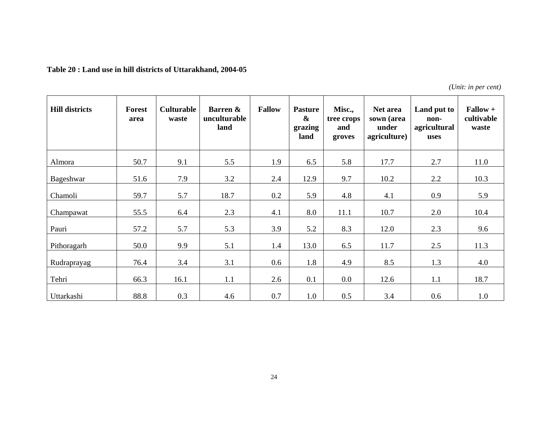| Table 20 : Land use in hill districts of Uttarakhand, 2004-05 |  |
|---------------------------------------------------------------|--|
|---------------------------------------------------------------|--|

*(Unit: in per cent)* 

| <b>Hill districts</b> | Forest<br>area | <b>Culturable</b><br>waste | Barren &<br>unculturable<br>land | <b>Fallow</b> | <b>Pasture</b><br>$\boldsymbol{\&}$<br>grazing<br>land | Misc.,<br>tree crops<br>and<br>groves | Net area<br>sown (area<br>under<br>agriculture) | Land put to<br>non-<br>agricultural<br>uses | $Fallow +$<br>cultivable<br>waste |
|-----------------------|----------------|----------------------------|----------------------------------|---------------|--------------------------------------------------------|---------------------------------------|-------------------------------------------------|---------------------------------------------|-----------------------------------|
| Almora                | 50.7           | 9.1                        | 5.5                              | 1.9           | 6.5                                                    | 5.8                                   | 17.7                                            | 2.7                                         | 11.0                              |
| Bageshwar             | 51.6           | 7.9                        | 3.2                              | 2.4           | 12.9                                                   | 9.7                                   | 10.2                                            | 2.2                                         | 10.3                              |
| Chamoli               | 59.7           | 5.7                        | 18.7                             | 0.2           | 5.9                                                    | 4.8                                   | 4.1                                             | 0.9                                         | 5.9                               |
| Champawat             | 55.5           | 6.4                        | 2.3                              | 4.1           | 8.0                                                    | 11.1                                  | 10.7                                            | 2.0                                         | 10.4                              |
| Pauri                 | 57.2           | 5.7                        | 5.3                              | 3.9           | 5.2                                                    | 8.3                                   | 12.0                                            | 2.3                                         | 9.6                               |
| Pithoragarh           | 50.0           | 9.9                        | 5.1                              | 1.4           | 13.0                                                   | 6.5                                   | 11.7                                            | 2.5                                         | 11.3                              |
| Rudraprayag           | 76.4           | 3.4                        | 3.1                              | 0.6           | 1.8                                                    | 4.9                                   | 8.5                                             | 1.3                                         | 4.0                               |
| Tehri                 | 66.3           | 16.1                       | 1.1                              | 2.6           | 0.1                                                    | 0.0                                   | 12.6                                            | 1.1                                         | 18.7                              |
| Uttarkashi            | 88.8           | 0.3                        | 4.6                              | 0.7           | 1.0                                                    | 0.5                                   | 3.4                                             | 0.6                                         | 1.0                               |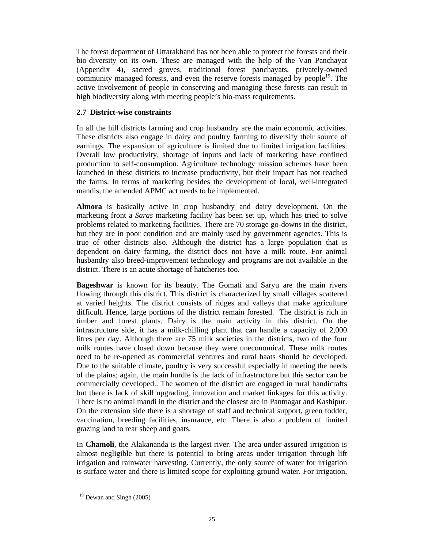The forest department of Uttarakhand has not been able to protect the forests and their bio-diversity on its own. These are managed with the help of the Van Panchayat (Appendix 4), sacred groves, traditional forest panchayats, privately-owned community managed forests, and even the reserve forests managed by people<sup>19</sup>. The active involvement of people in conserving and managing these forests can result in high biodiversity along with meeting people's bio-mass requirements.

# **2.7 District-wise constraints**

In all the hill districts farming and crop husbandry are the main economic activities. These districts also engage in dairy and poultry farming to diversify their source of earnings. The expansion of agriculture is limited due to limited irrigation facilities. Overall low productivity, shortage of inputs and lack of marketing have confined production to self-consumption. Agriculture technology mission schemes have been launched in these districts to increase productivity, but their impact has not reached the farms. In terms of marketing besides the development of local, well-integrated mandis, the amended APMC act needs to be implemented.

**Almora** is basically active in crop husbandry and dairy development. On the marketing front a *Saras* marketing facility has been set up, which has tried to solve problems related to marketing facilities. There are 70 storage go-downs in the district, but they are in poor condition and are mainly used by government agencies. This is true of other districts also. Although the district has a large population that is dependent on dairy farming, the district does not have a milk route. For animal husbandry also breed-improvement technology and programs are not available in the district. There is an acute shortage of hatcheries too.

**Bageshwar** is known for its beauty. The Gomati and Saryu are the main rivers flowing through this district. This district is characterized by small villages scattered at varied heights. The district consists of ridges and valleys that make agriculture difficult. Hence, large portions of the district remain forested. The district is rich in timber and forest plants. Dairy is the main activity in this district. On the infrastructure side, it has a milk-chilling plant that can handle a capacity of 2,000 litres per day. Although there are 75 milk societies in the districts, two of the four milk routes have closed down because they were uneconomical. These milk routes need to be re-opened as commercial ventures and rural haats should be developed. Due to the suitable climate, poultry is very successful especially in meeting the needs of the plains; again, the main hurdle is the lack of infrastructure but this sector can be commercially developed.. The women of the district are engaged in rural handicrafts but there is lack of skill upgrading, innovation and market linkages for this activity. There is no animal mandi in the district and the closest are in Pantnagar and Kashipur. On the extension side there is a shortage of staff and technical support, green fodder, vaccination, breeding facilities, insurance, etc. There is also a problem of limited grazing land to rear sheep and goats.

In **Chamoli**, the Alakananda is the largest river. The area under assured irrigation is almost negligible but there is potential to bring areas under irrigation through lift irrigation and rainwater harvesting. Currently, the only source of water for irrigation is surface water and there is limited scope for exploiting ground water. For irrigation,

 $\overline{a}$ 

<sup>&</sup>lt;sup>19</sup> Dewan and Singh (2005)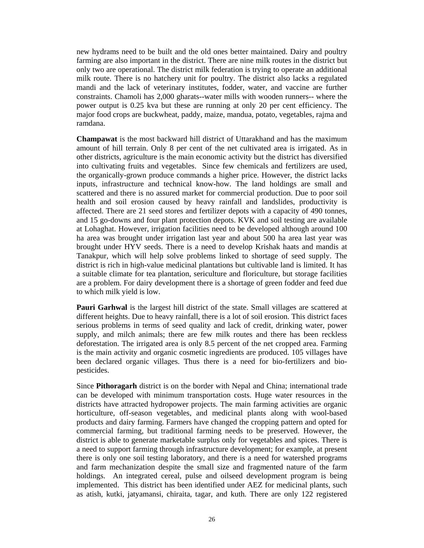new hydrams need to be built and the old ones better maintained. Dairy and poultry farming are also important in the district. There are nine milk routes in the district but only two are operational. The district milk federation is trying to operate an additional milk route. There is no hatchery unit for poultry. The district also lacks a regulated mandi and the lack of veterinary institutes, fodder, water, and vaccine are further constraints. Chamoli has 2,000 gharats--water mills with wooden runners-- where the power output is 0.25 kva but these are running at only 20 per cent efficiency. The major food crops are buckwheat, paddy, maize, mandua, potato, vegetables, rajma and ramdana.

**Champawat** is the most backward hill district of Uttarakhand and has the maximum amount of hill terrain. Only 8 per cent of the net cultivated area is irrigated. As in other districts, agriculture is the main economic activity but the district has diversified into cultivating fruits and vegetables. Since few chemicals and fertilizers are used, the organically-grown produce commands a higher price. However, the district lacks inputs, infrastructure and technical know-how. The land holdings are small and scattered and there is no assured market for commercial production. Due to poor soil health and soil erosion caused by heavy rainfall and landslides, productivity is affected. There are 21 seed stores and fertilizer depots with a capacity of 490 tonnes, and 15 go-downs and four plant protection depots. KVK and soil testing are available at Lohaghat. However, irrigation facilities need to be developed although around 100 ha area was brought under irrigation last year and about 500 ha area last year was brought under HYV seeds. There is a need to develop Krishak haats and mandis at Tanakpur, which will help solve problems linked to shortage of seed supply. The district is rich in high-value medicinal plantations but cultivable land is limited. It has a suitable climate for tea plantation, sericulture and floriculture, but storage facilities are a problem. For dairy development there is a shortage of green fodder and feed due to which milk yield is low.

**Pauri Garhwal** is the largest hill district of the state. Small villages are scattered at different heights. Due to heavy rainfall, there is a lot of soil erosion. This district faces serious problems in terms of seed quality and lack of credit, drinking water, power supply, and milch animals; there are few milk routes and there has been reckless deforestation. The irrigated area is only 8.5 percent of the net cropped area. Farming is the main activity and organic cosmetic ingredients are produced. 105 villages have been declared organic villages. Thus there is a need for bio-fertilizers and biopesticides.

Since **Pithoragarh** district is on the border with Nepal and China; international trade can be developed with minimum transportation costs. Huge water resources in the districts have attracted hydropower projects. The main farming activities are organic horticulture, off-season vegetables, and medicinal plants along with wool-based products and dairy farming. Farmers have changed the cropping pattern and opted for commercial farming, but traditional farming needs to be preserved. However, the district is able to generate marketable surplus only for vegetables and spices. There is a need to support farming through infrastructure development; for example, at present there is only one soil testing laboratory, and there is a need for watershed programs and farm mechanization despite the small size and fragmented nature of the farm holdings. An integrated cereal, pulse and oilseed development program is being implemented. This district has been identified under AEZ for medicinal plants, such as atish, kutki, jatyamansi, chiraita, tagar, and kuth. There are only 122 registered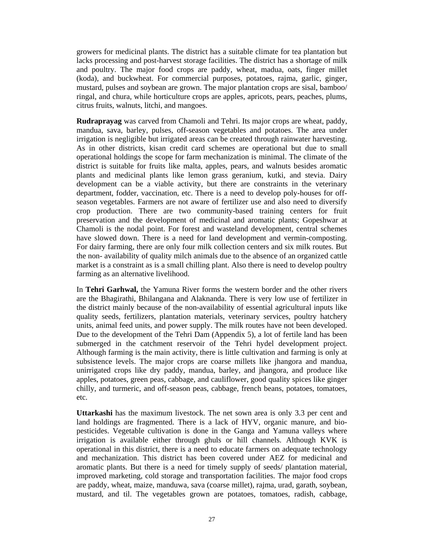growers for medicinal plants. The district has a suitable climate for tea plantation but lacks processing and post-harvest storage facilities. The district has a shortage of milk and poultry. The major food crops are paddy, wheat, madua, oats, finger millet (koda), and buckwheat. For commercial purposes, potatoes, rajma, garlic, ginger, mustard, pulses and soybean are grown. The major plantation crops are sisal, bamboo/ ringal, and chura, while horticulture crops are apples, apricots, pears, peaches, plums, citrus fruits, walnuts, litchi, and mangoes.

**Rudraprayag** was carved from Chamoli and Tehri. Its major crops are wheat, paddy, mandua, sava, barley, pulses, off-season vegetables and potatoes. The area under irrigation is negligible but irrigated areas can be created through rainwater harvesting. As in other districts, kisan credit card schemes are operational but due to small operational holdings the scope for farm mechanization is minimal. The climate of the district is suitable for fruits like malta, apples, pears, and walnuts besides aromatic plants and medicinal plants like lemon grass geranium, kutki, and stevia. Dairy development can be a viable activity, but there are constraints in the veterinary department, fodder, vaccination, etc. There is a need to develop poly-houses for offseason vegetables. Farmers are not aware of fertilizer use and also need to diversify crop production. There are two community-based training centers for fruit preservation and the development of medicinal and aromatic plants; Gopeshwar at Chamoli is the nodal point. For forest and wasteland development, central schemes have slowed down. There is a need for land development and vermin-composting. For dairy farming, there are only four milk collection centers and six milk routes. But the non- availability of quality milch animals due to the absence of an organized cattle market is a constraint as is a small chilling plant. Also there is need to develop poultry farming as an alternative livelihood.

In **Tehri Garhwal,** the Yamuna River forms the western border and the other rivers are the Bhagirathi, Bhilangana and Alaknanda. There is very low use of fertilizer in the district mainly because of the non-availability of essential agricultural inputs like quality seeds, fertilizers, plantation materials, veterinary services, poultry hatchery units, animal feed units, and power supply. The milk routes have not been developed. Due to the development of the Tehri Dam (Appendix 5), a lot of fertile land has been submerged in the catchment reservoir of the Tehri hydel development project. Although farming is the main activity, there is little cultivation and farming is only at subsistence levels. The major crops are coarse millets like jhangora and mandua, unirrigated crops like dry paddy, mandua, barley, and jhangora, and produce like apples, potatoes, green peas, cabbage, and cauliflower, good quality spices like ginger chilly, and turmeric, and off-season peas, cabbage, french beans, potatoes, tomatoes, etc.

**Uttarkashi** has the maximum livestock. The net sown area is only 3.3 per cent and land holdings are fragmented. There is a lack of HYV, organic manure, and biopesticides. Vegetable cultivation is done in the Ganga and Yamuna valleys where irrigation is available either through ghuls or hill channels. Although KVK is operational in this district, there is a need to educate farmers on adequate technology and mechanization. This district has been covered under AEZ for medicinal and aromatic plants. But there is a need for timely supply of seeds/ plantation material, improved marketing, cold storage and transportation facilities. The major food crops are paddy, wheat, maize, manduwa, sava (coarse millet), rajma, urad, garath, soybean, mustard, and til. The vegetables grown are potatoes, tomatoes, radish, cabbage,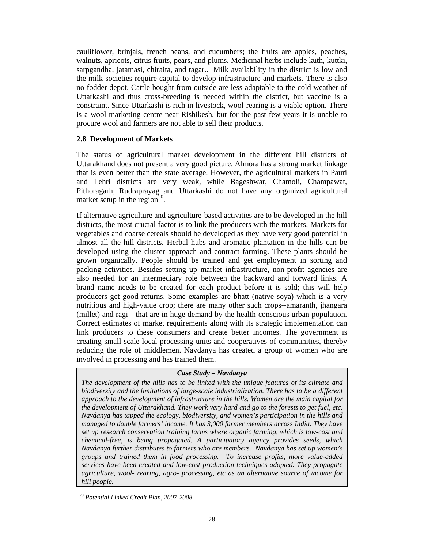cauliflower, brinjals, french beans, and cucumbers; the fruits are apples, peaches, walnuts, apricots, citrus fruits, pears, and plums. Medicinal herbs include kuth, kuttki, sarpgandha, jatamasi, chiraita, and tagar.. Milk availability in the district is low and the milk societies require capital to develop infrastructure and markets. There is also no fodder depot. Cattle bought from outside are less adaptable to the cold weather of Uttarkashi and thus cross-breeding is needed within the district, but vaccine is a constraint. Since Uttarkashi is rich in livestock, wool-rearing is a viable option. There is a wool-marketing centre near Rishikesh, but for the past few years it is unable to procure wool and farmers are not able to sell their products.

### **2.8 Development of Markets**

The status of agricultural market development in the different hill districts of Uttarakhand does not present a very good picture. Almora has a strong market linkage that is even better than the state average. However, the agricultural markets in Pauri and Tehri districts are very weak, while Bageshwar, Chamoli, Champawat, Pithoragarh, Rudraprayag and Uttarkashi do not have any organized agricultural market setup in the region<sup>20</sup>.

If alternative agriculture and agriculture-based activities are to be developed in the hill districts, the most crucial factor is to link the producers with the markets. Markets for vegetables and coarse cereals should be developed as they have very good potential in almost all the hill districts. Herbal hubs and aromatic plantation in the hills can be developed using the cluster approach and contract farming. These plants should be grown organically. People should be trained and get employment in sorting and packing activities. Besides setting up market infrastructure, non-profit agencies are also needed for an intermediary role between the backward and forward links. A brand name needs to be created for each product before it is sold; this will help producers get good returns. Some examples are bhatt (native soya) which is a very nutritious and high-value crop; there are many other such crops--amaranth, jhangara (millet) and ragi—that are in huge demand by the health-conscious urban population. Correct estimates of market requirements along with its strategic implementation can link producers to these consumers and create better incomes. The government is creating small-scale local processing units and cooperatives of communities, thereby reducing the role of middlemen. Navdanya has created a group of women who are involved in processing and has trained them.

#### *Case Study – Navdanya*

*The development of the hills has to be linked with the unique features of its climate and biodiversity and the limitations of large-scale industrialization. There has to be a different approach to the development of infrastructure in the hills. Women are the main capital for the development of Uttarakhand. They work very hard and go to the forests to get fuel, etc. Navdanya has tapped the ecology, biodiversity, and women's participation in the hills and managed to double farmers' income. It has 3,000 farmer members across India. They have set up research conservation training farms where organic farming, which is low-cost and chemical-free, is being propagated. A participatory agency provides seeds, which Navdanya further distributes to farmers who are members. Navdanya has set up women's groups and trained them in food processing. To increase profits, more value-added services have been created and low-cost production techniques adopted. They propagate agriculture, wool- rearing, agro- processing, etc as an alternative source of income for hill people.* 

Ī

<sup>20</sup> *Potential Linked Credit Plan, 2007-2008.*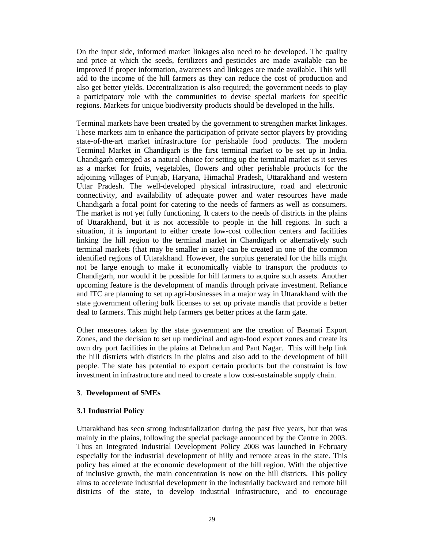On the input side, informed market linkages also need to be developed. The quality and price at which the seeds, fertilizers and pesticides are made available can be improved if proper information, awareness and linkages are made available. This will add to the income of the hill farmers as they can reduce the cost of production and also get better yields. Decentralization is also required; the government needs to play a participatory role with the communities to devise special markets for specific regions. Markets for unique biodiversity products should be developed in the hills.

Terminal markets have been created by the government to strengthen market linkages. These markets aim to enhance the participation of private sector players by providing state-of-the-art market infrastructure for perishable food products. The modern Terminal Market in Chandigarh is the first terminal market to be set up in India. Chandigarh emerged as a natural choice for setting up the terminal market as it serves as a market for fruits, vegetables, flowers and other perishable products for the adjoining villages of Punjab, Haryana, Himachal Pradesh, Uttarakhand and western Uttar Pradesh. The well-developed physical infrastructure, road and electronic connectivity, and availability of adequate power and water resources have made Chandigarh a focal point for catering to the needs of farmers as well as consumers. The market is not yet fully functioning. It caters to the needs of districts in the plains of Uttarakhand, but it is not accessible to people in the hill regions. In such a situation, it is important to either create low-cost collection centers and facilities linking the hill region to the terminal market in Chandigarh or alternatively such terminal markets (that may be smaller in size) can be created in one of the common identified regions of Uttarakhand. However, the surplus generated for the hills might not be large enough to make it economically viable to transport the products to Chandigarh, nor would it be possible for hill farmers to acquire such assets. Another upcoming feature is the development of mandis through private investment. Reliance and ITC are planning to set up agri-businesses in a major way in Uttarakhand with the state government offering bulk licenses to set up private mandis that provide a better deal to farmers. This might help farmers get better prices at the farm gate.

Other measures taken by the state government are the creation of Basmati Export Zones, and the decision to set up medicinal and agro-food export zones and create its own dry port facilities in the plains at Dehradun and Pant Nagar. This will help link the hill districts with districts in the plains and also add to the development of hill people. The state has potential to export certain products but the constraint is low investment in infrastructure and need to create a low cost-sustainable supply chain.

#### **3**. **Development of SMEs**

#### **3.1 Industrial Policy**

Uttarakhand has seen strong industrialization during the past five years, but that was mainly in the plains, following the special package announced by the Centre in 2003. Thus an Integrated Industrial Development Policy 2008 was launched in February especially for the industrial development of hilly and remote areas in the state. This policy has aimed at the economic development of the hill region. With the objective of inclusive growth, the main concentration is now on the hill districts. This policy aims to accelerate industrial development in the industrially backward and remote hill districts of the state, to develop industrial infrastructure, and to encourage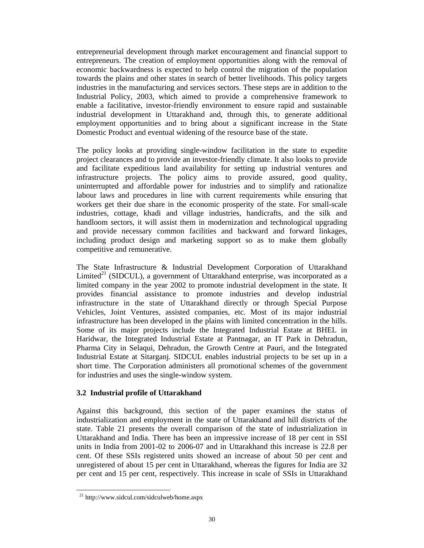entrepreneurial development through market encouragement and financial support to entrepreneurs. The creation of employment opportunities along with the removal of economic backwardness is expected to help control the migration of the population towards the plains and other states in search of better livelihoods. This policy targets industries in the manufacturing and services sectors. These steps are in addition to the Industrial Policy, 2003, which aimed to provide a comprehensive framework to enable a facilitative, investor-friendly environment to ensure rapid and sustainable industrial development in Uttarakhand and, through this, to generate additional employment opportunities and to bring about a significant increase in the State Domestic Product and eventual widening of the resource base of the state.

The policy looks at providing single-window facilitation in the state to expedite project clearances and to provide an investor-friendly climate. It also looks to provide and facilitate expeditious land availability for setting up industrial ventures and infrastructure projects. The policy aims to provide assured, good quality, uninterrupted and affordable power for industries and to simplify and rationalize labour laws and procedures in line with current requirements while ensuring that workers get their due share in the economic prosperity of the state. For small-scale industries, cottage, khadi and village industries, handicrafts, and the silk and handloom sectors, it will assist them in modernization and technological upgrading and provide necessary common facilities and backward and forward linkages, including product design and marketing support so as to make them globally competitive and remunerative.

The State Infrastructure & Industrial Development Corporation of Uttarakhand Limited<sup>21</sup> (SIDCUL), a government of Uttarakhand enterprise, was incorporated as a limited company in the year 2002 to promote industrial development in the state. It provides financial assistance to promote industries and develop industrial infrastructure in the state of Uttarakhand directly or through Special Purpose Vehicles, Joint Ventures, assisted companies, etc. Most of its major industrial infrastructure has been developed in the plains with limited concentration in the hills. Some of its major projects include the Integrated Industrial Estate at BHEL in Haridwar, the Integrated Industrial Estate at Pantnagar, an IT Park in Dehradun, Pharma City in Selaqui, Dehradun, the Growth Centre at Pauri, and the Integrated Industrial Estate at Sitarganj. SIDCUL enables industrial projects to be set up in a short time. The Corporation administers all promotional schemes of the government for industries and uses the single-window system.

## **3.2 Industrial profile of Uttarakhand**

Against this background, this section of the paper examines the status of industrialization and employment in the state of Uttarakhand and hill districts of the state. Table 21 presents the overall comparison of the state of industrialization in Uttarakhand and India. There has been an impressive increase of 18 per cent in SSI units in India from 2001-02 to 2006-07 and in Uttarakhand this increase is 22.8 per cent. Of these SSIs registered units showed an increase of about 50 per cent and unregistered of about 15 per cent in Uttarakhand, whereas the figures for India are 32 per cent and 15 per cent, respectively. This increase in scale of SSIs in Uttarakhand

 $\overline{a}$ 

<sup>21</sup> http://www.sidcul.com/sidculweb/home.aspx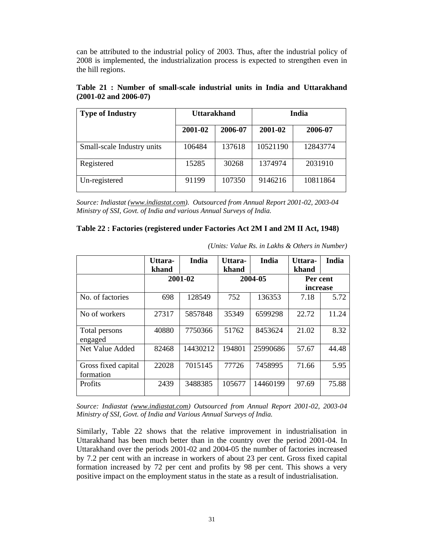can be attributed to the industrial policy of 2003. Thus, after the industrial policy of 2008 is implemented, the industrialization process is expected to strengthen even in the hill regions.

| <b>Type of Industry</b>    | <b>Uttarakhand</b> |         | India    |          |
|----------------------------|--------------------|---------|----------|----------|
|                            | 2001-02            | 2006-07 | 2001-02  | 2006-07  |
| Small-scale Industry units | 106484             | 137618  | 10521190 | 12843774 |
| Registered                 | 15285              | 30268   | 1374974  | 2031910  |
| Un-registered              | 91199              | 107350  | 9146216  | 10811864 |

**Table 21 : Number of small-scale industrial units in India and Uttarakhand (2001-02 and 2006-07)** 

*Source: Indiastat (www.indiastat.com). Outsourced from Annual Report 2001-02, 2003-04 Ministry of SSI, Govt. of India and various Annual Surveys of India.* 

| Table 22 : Factories (registered under Factories Act 2M I and 2M II Act, 1948) |  |  |  |  |
|--------------------------------------------------------------------------------|--|--|--|--|
|--------------------------------------------------------------------------------|--|--|--|--|

|                                  | Uttara-<br>khand | India    | Uttara-<br>khand | India    | Uttara-<br>khand | <b>India</b> |
|----------------------------------|------------------|----------|------------------|----------|------------------|--------------|
|                                  |                  | 2001-02  |                  | 2004-05  | Per cent         |              |
|                                  |                  |          |                  |          | increase         |              |
| No. of factories                 | 698              | 128549   | 752              | 136353   | 7.18             | 5.72         |
| No of workers                    | 27317            | 5857848  | 35349            | 6599298  | 22.72            | 11.24        |
| Total persons<br>engaged         | 40880            | 7750366  | 51762            | 8453624  | 21.02            | 8.32         |
| Net Value Added                  | 82468            | 14430212 | 194801           | 25990686 | 57.67            | 44.48        |
| Gross fixed capital<br>formation | 22028            | 7015145  | 77726            | 7458995  | 71.66            | 5.95         |
| <b>Profits</b>                   | 2439             | 3488385  | 105677           | 14460199 | 97.69            | 75.88        |

*(Units: Value Rs. in Lakhs & Others in Number)* 

*Source: Indiastat (www.indiastat.com) Outsourced from Annual Report 2001-02, 2003-04 Ministry of SSI, Govt. of India and Various Annual Surveys of India.* 

Similarly, Table 22 shows that the relative improvement in industrialisation in Uttarakhand has been much better than in the country over the period 2001-04. In Uttarakhand over the periods 2001-02 and 2004-05 the number of factories increased by 7.2 per cent with an increase in workers of about 23 per cent. Gross fixed capital formation increased by 72 per cent and profits by 98 per cent. This shows a very positive impact on the employment status in the state as a result of industrialisation.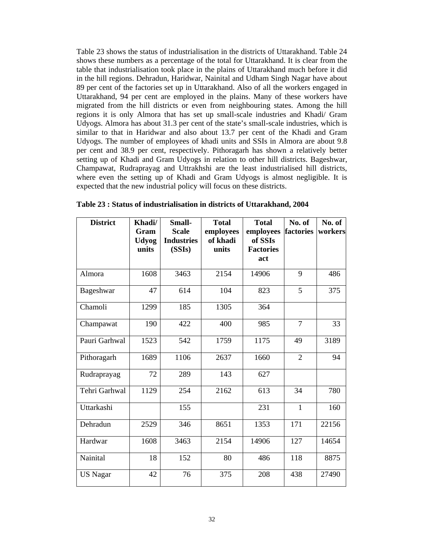Table 23 shows the status of industrialisation in the districts of Uttarakhand. Table 24 shows these numbers as a percentage of the total for Uttarakhand. It is clear from the table that industrialisation took place in the plains of Uttarakhand much before it did in the hill regions. Dehradun, Haridwar, Nainital and Udham Singh Nagar have about 89 per cent of the factories set up in Uttarakhand. Also of all the workers engaged in Uttarakhand, 94 per cent are employed in the plains. Many of these workers have migrated from the hill districts or even from neighbouring states. Among the hill regions it is only Almora that has set up small-scale industries and Khadi/ Gram Udyogs. Almora has about 31.3 per cent of the state's small-scale industries, which is similar to that in Haridwar and also about 13.7 per cent of the Khadi and Gram Udyogs. The number of employees of khadi units and SSIs in Almora are about 9.8 per cent and 38.9 per cent, respectively. Pithoragarh has shown a relatively better setting up of Khadi and Gram Udyogs in relation to other hill districts. Bageshwar, Champawat, Rudraprayag and Uttrakhshi are the least industrialised hill districts, where even the setting up of Khadi and Gram Udyogs is almost negligible. It is expected that the new industrial policy will focus on these districts.

| <b>District</b> | Khadi/               | <b>Small-</b>                     | <b>Total</b>          | <b>Total</b>         | No. of         | No. of  |
|-----------------|----------------------|-----------------------------------|-----------------------|----------------------|----------------|---------|
|                 | Gram<br><b>Udyog</b> | <b>Scale</b><br><b>Industries</b> | employees<br>of khadi | employees<br>of SSIs | factories      | workers |
|                 | units                | (SSIs)                            | units                 | <b>Factories</b>     |                |         |
|                 |                      |                                   |                       | act                  |                |         |
| Almora          | 1608                 | 3463                              | 2154                  | 14906                | 9              | 486     |
| Bageshwar       | 47                   | 614                               | 104                   | 823                  | 5              | 375     |
| Chamoli         | 1299                 | 185                               | 1305                  | 364                  |                |         |
| Champawat       | 190                  | 422                               | 400                   | 985                  | $\overline{7}$ | 33      |
| Pauri Garhwal   | 1523                 | 542                               | 1759                  | 1175                 | 49             | 3189    |
| Pithoragarh     | 1689                 | 1106                              | 2637                  | 1660                 | $\overline{2}$ | 94      |
| Rudraprayag     | 72                   | 289                               | 143                   | 627                  |                |         |
| Tehri Garhwal   | 1129                 | 254                               | 2162                  | 613                  | 34             | 780     |
| Uttarkashi      |                      | 155                               |                       | 231                  | $\mathbf{1}$   | 160     |
| Dehradun        | 2529                 | 346                               | 8651                  | 1353                 | 171            | 22156   |
| Hardwar         | 1608                 | 3463                              | 2154                  | 14906                | 127            | 14654   |
| Nainital        | 18                   | 152                               | 80                    | 486                  | 118            | 8875    |
| <b>US Nagar</b> | 42                   | 76                                | 375                   | 208                  | 438            | 27490   |

**Table 23 : Status of industrialisation in districts of Uttarakhand, 2004**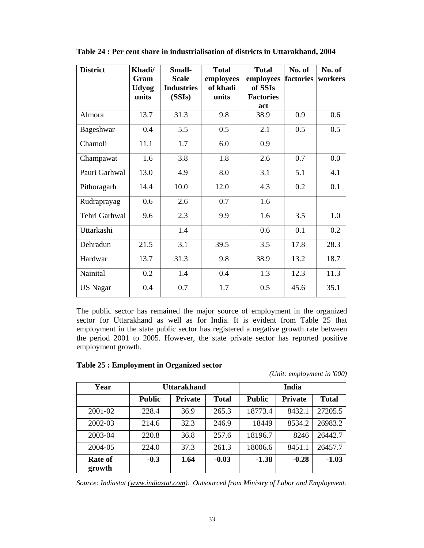| <b>District</b> | Khadi/<br>Gram<br><b>Udyog</b><br>units | <b>Small-</b><br><b>Scale</b><br><b>Industries</b><br>(SSIs) | <b>Total</b><br>employees<br>of khadi<br>units | <b>Total</b><br>employees<br>of SSIs<br><b>Factories</b><br>act | No. of<br>factories | No. of<br>workers |
|-----------------|-----------------------------------------|--------------------------------------------------------------|------------------------------------------------|-----------------------------------------------------------------|---------------------|-------------------|
| Almora          | 13.7                                    | 31.3                                                         | 9.8                                            | 38.9                                                            | 0.9                 | 0.6               |
| Bageshwar       | 0.4                                     | 5.5                                                          | 0.5                                            | 2.1                                                             | 0.5                 | 0.5               |
| Chamoli         | 11.1                                    | 1.7                                                          | 6.0                                            | 0.9                                                             |                     |                   |
| Champawat       | 1.6                                     | 3.8                                                          | 1.8                                            | 2.6                                                             | 0.7                 | 0.0               |
| Pauri Garhwal   | 13.0                                    | 4.9                                                          | 8.0                                            | 3.1                                                             | 5.1                 | 4.1               |
| Pithoragarh     | 14.4                                    | 10.0                                                         | 12.0                                           | 4.3                                                             | 0.2                 | 0.1               |
| Rudraprayag     | 0.6                                     | 2.6                                                          | 0.7                                            | 1.6                                                             |                     |                   |
| Tehri Garhwal   | 9.6                                     | 2.3                                                          | 9.9                                            | 1.6                                                             | 3.5                 | 1.0               |
| Uttarkashi      |                                         | 1.4                                                          |                                                | 0.6                                                             | 0.1                 | 0.2               |
| Dehradun        | 21.5                                    | 3.1                                                          | 39.5                                           | 3.5                                                             | 17.8                | 28.3              |
| Hardwar         | 13.7                                    | 31.3                                                         | 9.8                                            | 38.9                                                            | 13.2                | 18.7              |
| Nainital        | 0.2                                     | 1.4                                                          | 0.4                                            | 1.3                                                             | 12.3                | 11.3              |
| <b>US Nagar</b> | 0.4                                     | 0.7                                                          | 1.7                                            | 0.5                                                             | 45.6                | 35.1              |

**Table 24 : Per cent share in industrialisation of districts in Uttarakhand, 2004** 

The public sector has remained the major source of employment in the organized sector for Uttarakhand as well as for India. It is evident from Table 25 that employment in the state public sector has registered a negative growth rate between the period 2001 to 2005. However, the state private sector has reported positive employment growth.

| Year                     | Uttarakhand   |                |              | India         |                |              |
|--------------------------|---------------|----------------|--------------|---------------|----------------|--------------|
|                          | <b>Public</b> | <b>Private</b> | <b>Total</b> | <b>Public</b> | <b>Private</b> | <b>Total</b> |
| 2001-02                  | 228.4         | 36.9           | 265.3        | 18773.4       | 8432.1         | 27205.5      |
| 2002-03                  | 214.6         | 32.3           | 246.9        | 18449         | 8534.2         | 26983.2      |
| 2003-04                  | 220.8         | 36.8           | 257.6        | 18196.7       | 8246           | 26442.7      |
| 2004-05                  | 224.0         | 37.3           | 261.3        | 18006.6       | 8451.1         | 26457.7      |
| <b>Rate of</b><br>growth | $-0.3$        | 1.64           | $-0.03$      | $-1.38$       | $-0.28$        | $-1.03$      |

|  |  | Table 25 : Employment in Organized sector |
|--|--|-------------------------------------------|
|--|--|-------------------------------------------|

*(Unit: employment in '000)*

*Source: Indiastat (www.indiastat.com). Outsourced from Ministry of Labor and Employment.*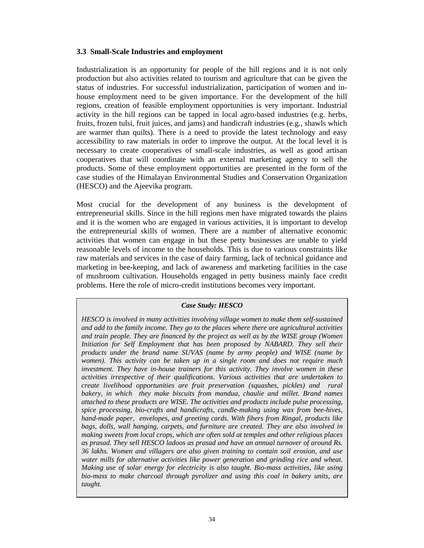## **3.3 Small-Scale Industries and employment**

Industrialization is an opportunity for people of the hill regions and it is not only production but also activities related to tourism and agriculture that can be given the status of industries. For successful industrialization, participation of women and inhouse employment need to be given importance. For the development of the hill regions, creation of feasible employment opportunities is very important. Industrial activity in the hill regions can be tapped in local agro-based industries (e.g. herbs, fruits, frozen tulsi, fruit juices, and jams) and handicraft industries (e.g., shawls which are warmer than quilts). There is a need to provide the latest technology and easy accessibility to raw materials in order to improve the output. At the local level it is necessary to create cooperatives of small-scale industries, as well as good artisan cooperatives that will coordinate with an external marketing agency to sell the products. Some of these employment opportunities are presented in the form of the case studies of the Himalayan Environmental Studies and Conservation Organization (HESCO) and the Ajeevika program.

Most crucial for the development of any business is the development of entrepreneurial skills. Since in the hill regions men have migrated towards the plains and it is the women who are engaged in various activities, it is important to develop the entrepreneurial skills of women. There are a number of alternative economic activities that women can engage in but these petty businesses are unable to yield reasonable levels of income to the households. This is due to various constraints like raw materials and services in the case of dairy farming, lack of technical guidance and marketing in bee-keeping, and lack of awareness and marketing facilities in the case of mushroom cultivation. Households engaged in petty business mainly face credit problems. Here the role of micro-credit institutions becomes very important.

## *Case Study: HESCO*

*HESCO is involved in many activities involving village women to make them self-sustained and add to the family income. They go to the places where there are agricultural activities and train people. They are financed by the project as well as by the WISE group (Women Initiation for Self Employment that has been proposed by NABARD. They sell their products under the brand name SUVAS (name by army people) and WISE (name by women). This activity can be taken up in a single room and does not require much investment. They have in-house trainers for this activity. They involve women in these activities irrespective of their qualifications. Various activities that are undertaken to create livelihood opportunities are fruit preservation (squashes, pickles) and rural bakery, in which they make biscuits from mandua, chaulie and millet. Brand names attached to these products are WISE. The activities and products include pulse processing, spice processing, bio-crafts and handicrafts, candle-making using wax from bee-hives, hand-made paper, envelopes, and greeting cards. With fibers from Ringal, products like bags, dolls, wall hanging, carpets, and furniture are created. They are also involved in making sweets from local crops, which are often sold at temples and other religious places as prasad. They sell HESCO ladoos as prasad and have an annual turnover of around Rs. 36 lakhs. Women and villagers are also given training to contain soil erosion, and use water mills for alternative activities like power generation and grinding rice and wheat. Making use of solar energy for electricity is also taught. Bio-mass activities, like using bio-mass to make charcoal through pyrolizer and using this coal in bakery units, are taught.*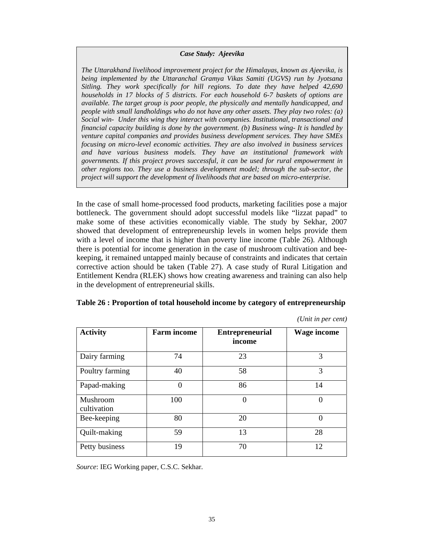#### *Case Study: Ajeevika*

*The Uttarakhand livelihood improvement project for the Himalayas, known as Ajeevika, is being implemented by the Uttaranchal Gramya Vikas Samiti (UGVS) run by Jyotsana Sitling. They work specifically for hill regions. To date they have helped 42,690 households in 17 blocks of 5 districts. For each household 6-7 baskets of options are available. The target group is poor people, the physically and mentally handicapped, and people with small landholdings who do not have any other assets. They play two roles: (a) Social win- Under this wing they interact with companies. Institutional, transactional and financial capacity building is done by the government. (b) Business wing- It is handled by venture capital companies and provides business development services. They have SMEs focusing on micro-level economic activities. They are also involved in business services and have various business models. They have an institutional framework with governments. If this project proves successful, it can be used for rural empowerment in other regions too. They use a business development model; through the sub-sector, the project will support the development of livelihoods that are based on micro-enterprise.* 

In the case of small home-processed food products, marketing facilities pose a major bottleneck. The government should adopt successful models like "lizzat papad" to make some of these activities economically viable. The study by Sekhar, 2007 showed that development of entrepreneurship levels in women helps provide them with a level of income that is higher than poverty line income (Table 26). Although there is potential for income generation in the case of mushroom cultivation and beekeeping, it remained untapped mainly because of constraints and indicates that certain corrective action should be taken (Table 27). A case study of Rural Litigation and Entitlement Kendra (RLEK) shows how creating awareness and training can also help in the development of entrepreneurial skills.

| <b>Activity</b>         | <b>Farm income</b> | <b>Entrepreneurial</b><br>income | <b>Wage income</b> |
|-------------------------|--------------------|----------------------------------|--------------------|
| Dairy farming           | 74                 | 23                               | 3                  |
| Poultry farming         | 40                 | 58                               | 3                  |
| Papad-making            | $\Omega$           | 86                               | 14                 |
| Mushroom<br>cultivation | 100                | $\theta$                         | $\Omega$           |
| Bee-keeping             | 80                 | 20                               | $\Omega$           |
| Quilt-making            | 59                 | 13                               | 28                 |
| Petty business          | 19                 | 70                               | 12                 |

**Table 26 : Proportion of total household income by category of entrepreneurship** 

*(Unit in per cent)*

*Source*: IEG Working paper, C.S.C. Sekhar.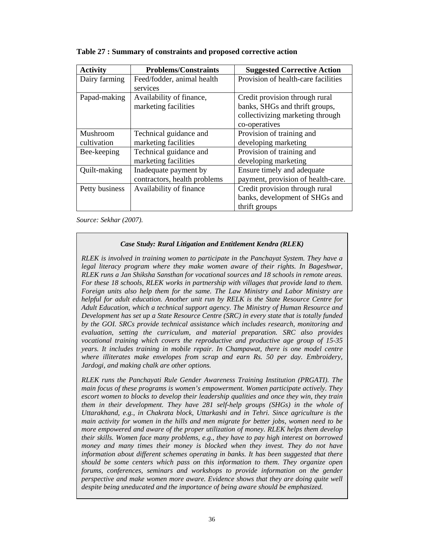| <b>Activity</b> | <b>Problems/Constraints</b>  | <b>Suggested Corrective Action</b>  |
|-----------------|------------------------------|-------------------------------------|
| Dairy farming   | Feed/fodder, animal health   | Provision of health-care facilities |
|                 | services                     |                                     |
| Papad-making    | Availability of finance,     | Credit provision through rural      |
|                 | marketing facilities         | banks, SHGs and thrift groups,      |
|                 |                              | collectivizing marketing through    |
|                 |                              | co-operatives                       |
| Mushroom        | Technical guidance and       | Provision of training and           |
| cultivation     | marketing facilities         | developing marketing                |
| Bee-keeping     | Technical guidance and       | Provision of training and           |
|                 | marketing facilities         | developing marketing                |
| Quilt-making    | Inadequate payment by        | Ensure timely and adequate          |
|                 | contractors, health problems | payment, provision of health-care.  |
| Petty business  | Availability of finance      | Credit provision through rural      |
|                 |                              | banks, development of SHGs and      |
|                 |                              | thrift groups                       |

**Table 27 : Summary of constraints and proposed corrective action** 

*Source: Sekhar (2007).* 

## *Case Study: Rural Litigation and Entitlement Kendra (RLEK)*

*RLEK is involved in training women to participate in the Panchayat System. They have a legal literacy program where they make women aware of their rights. In Bageshwar, RLEK runs a Jan Shiksha Sansthan for vocational sources and 18 schools in remote areas. For these 18 schools, RLEK works in partnership with villages that provide land to them. Foreign units also help them for the same. The Law Ministry and Labor Ministry are helpful for adult education. Another unit run by RELK is the State Resource Centre for Adult Education, which a technical support agency. The Ministry of Human Resource and Development has set up a State Resource Centre (SRC) in every state that is totally funded by the GOI. SRCs provide technical assistance which includes research, monitoring and evaluation, setting the curriculum, and material preparation. SRC also provides vocational training which covers the reproductive and productive age group of 15-35 years. It includes training in mobile repair. In Champawat, there is one model centre where illiterates make envelopes from scrap and earn Rs. 50 per day. Embroidery, Jardogi, and making chalk are other options.* 

*RLEK runs the Panchayati Rule Gender Awareness Training Institution (PRGATI). The main focus of these programs is women's empowerment. Women participate actively. They escort women to blocks to develop their leadership qualities and once they win, they train them in their development. They have 281 self-help groups (SHGs) in the whole of Uttarakhand, e.g., in Chakrata block, Uttarkashi and in Tehri. Since agriculture is the main activity for women in the hills and men migrate for better jobs, women need to be more empowered and aware of the proper utilization of money. RLEK helps them develop their skills. Women face many problems, e.g., they have to pay high interest on borrowed money and many times their money is blocked when they invest. They do not have information about different schemes operating in banks. It has been suggested that there should be some centers which pass on this information to them. They organize open forums, conferences, seminars and workshops to provide information on the gender perspective and make women more aware. Evidence shows that they are doing quite well despite being uneducated and the importance of being aware should be emphasized.*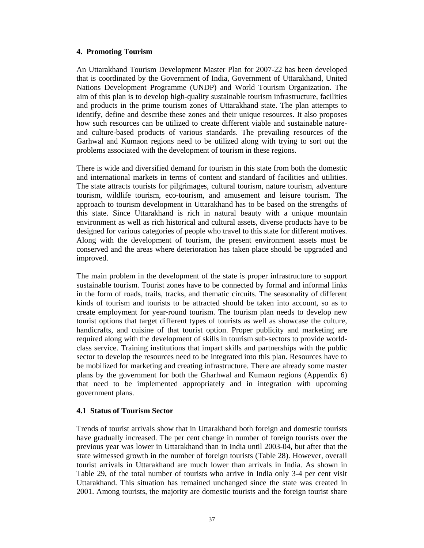## **4. Promoting Tourism**

An Uttarakhand Tourism Development Master Plan for 2007-22 has been developed that is coordinated by the Government of India, Government of Uttarakhand, United Nations Development Programme (UNDP) and World Tourism Organization. The aim of this plan is to develop high-quality sustainable tourism infrastructure, facilities and products in the prime tourism zones of Uttarakhand state. The plan attempts to identify, define and describe these zones and their unique resources. It also proposes how such resources can be utilized to create different viable and sustainable natureand culture-based products of various standards. The prevailing resources of the Garhwal and Kumaon regions need to be utilized along with trying to sort out the problems associated with the development of tourism in these regions.

There is wide and diversified demand for tourism in this state from both the domestic and international markets in terms of content and standard of facilities and utilities. The state attracts tourists for pilgrimages, cultural tourism, nature tourism, adventure tourism, wildlife tourism, eco-tourism, and amusement and leisure tourism. The approach to tourism development in Uttarakhand has to be based on the strengths of this state. Since Uttarakhand is rich in natural beauty with a unique mountain environment as well as rich historical and cultural assets, diverse products have to be designed for various categories of people who travel to this state for different motives. Along with the development of tourism, the present environment assets must be conserved and the areas where deterioration has taken place should be upgraded and improved.

The main problem in the development of the state is proper infrastructure to support sustainable tourism. Tourist zones have to be connected by formal and informal links in the form of roads, trails, tracks, and thematic circuits. The seasonality of different kinds of tourism and tourists to be attracted should be taken into account, so as to create employment for year-round tourism. The tourism plan needs to develop new tourist options that target different types of tourists as well as showcase the culture, handicrafts, and cuisine of that tourist option. Proper publicity and marketing are required along with the development of skills in tourism sub-sectors to provide worldclass service. Training institutions that impart skills and partnerships with the public sector to develop the resources need to be integrated into this plan. Resources have to be mobilized for marketing and creating infrastructure. There are already some master plans by the government for both the Gharhwal and Kumaon regions (Appendix 6) that need to be implemented appropriately and in integration with upcoming government plans.

## **4.1 Status of Tourism Sector**

Trends of tourist arrivals show that in Uttarakhand both foreign and domestic tourists have gradually increased. The per cent change in number of foreign tourists over the previous year was lower in Uttarakhand than in India until 2003-04, but after that the state witnessed growth in the number of foreign tourists (Table 28). However, overall tourist arrivals in Uttarakhand are much lower than arrivals in India. As shown in Table 29, of the total number of tourists who arrive in India only 3-4 per cent visit Uttarakhand. This situation has remained unchanged since the state was created in 2001. Among tourists, the majority are domestic tourists and the foreign tourist share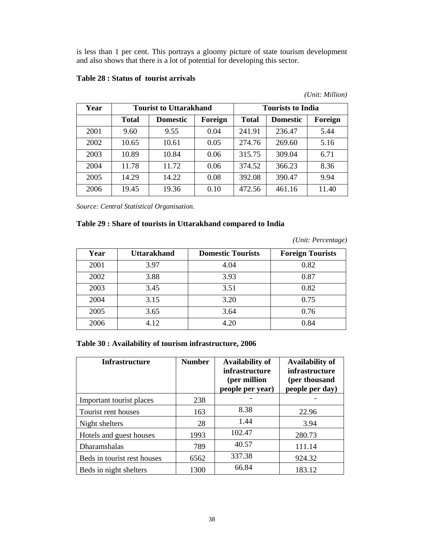is less than 1 per cent. This portrays a gloomy picture of state tourism development and also shows that there is a lot of potential for developing this sector.

| Year | <b>Tourist to Uttarakhand</b> |                 |         |              | <b>Tourists to India</b> |         |
|------|-------------------------------|-----------------|---------|--------------|--------------------------|---------|
|      | <b>Total</b>                  | <b>Domestic</b> | Foreign | <b>Total</b> | <b>Domestic</b>          | Foreign |
| 2001 | 9.60                          | 9.55            | 0.04    | 241.91       | 236.47                   | 5.44    |
| 2002 | 10.65                         | 10.61           | 0.05    | 274.76       | 269.60                   | 5.16    |
| 2003 | 10.89                         | 10.84           | 0.06    | 315.75       | 309.04                   | 6.71    |
| 2004 | 11.78                         | 11.72           | 0.06    | 374.52       | 366.23                   | 8.36    |
| 2005 | 14.29                         | 14.22           | 0.08    | 392.08       | 390.47                   | 9.94    |
| 2006 | 19.45                         | 19.36           | 0.10    | 472.56       | 461.16                   | 11.40   |

## **Table 28 : Status of tourist arrivals**

*Source: Central Statistical Organisation.* 

## **Table 29 : Share of tourists in Uttarakhand compared to India**

*(Unit: Percentage)* 

| Year | <b>Uttarakhand</b> | <b>Domestic Tourists</b> | <b>Foreign Tourists</b> |
|------|--------------------|--------------------------|-------------------------|
| 2001 | 3.97               | 4.04                     | 0.82                    |
| 2002 | 3.88               | 3.93                     | 0.87                    |
| 2003 | 3.45               | 3.51                     | 0.82                    |
| 2004 | 3.15               | 3.20                     | 0.75                    |
| 2005 | 3.65               | 3.64                     | 0.76                    |
| 2006 | 4.12               | 4.20                     | 0.84                    |

## **Table 30 : Availability of tourism infrastructure, 2006**

| <b>Infrastructure</b>       | <b>Number</b> | <b>Availability of</b><br>infrastructure<br>(per million<br>people per year) | <b>Availability of</b><br><i>infrastructure</i><br>(per thousand<br>people per day) |
|-----------------------------|---------------|------------------------------------------------------------------------------|-------------------------------------------------------------------------------------|
| Important tourist places    | 238           |                                                                              |                                                                                     |
| Tourist rent houses         | 163           | 8.38                                                                         | 22.96                                                                               |
| Night shelters              | 28            | 1.44                                                                         | 3.94                                                                                |
| Hotels and guest houses     | 1993          | 102.47                                                                       | 280.73                                                                              |
| Dharamshalas                | 789           | 40.57                                                                        | 111.14                                                                              |
| Beds in tourist rest houses | 6562          | 337.38                                                                       | 924.32                                                                              |
| Beds in night shelters      | 1300          | 66.84                                                                        | 183.12                                                                              |

*(Unit: Million)*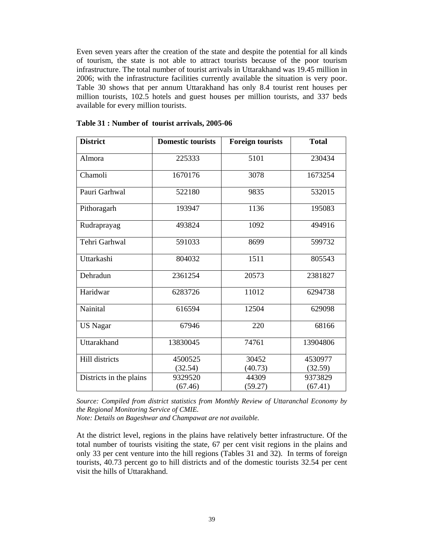Even seven years after the creation of the state and despite the potential for all kinds of tourism, the state is not able to attract tourists because of the poor tourism infrastructure. The total number of tourist arrivals in Uttarakhand was 19.45 million in 2006; with the infrastructure facilities currently available the situation is very poor. Table 30 shows that per annum Uttarakhand has only 8.4 tourist rent houses per million tourists, 102.5 hotels and guest houses per million tourists, and 337 beds available for every million tourists.

| <b>District</b>         | <b>Domestic tourists</b> | <b>Foreign tourists</b> | <b>Total</b> |  |
|-------------------------|--------------------------|-------------------------|--------------|--|
| Almora                  | 225333                   | 5101                    | 230434       |  |
| Chamoli                 | 1670176                  | 3078                    | 1673254      |  |
| Pauri Garhwal           | 522180                   | 9835                    | 532015       |  |
| Pithoragarh             | 193947                   | 1136                    | 195083       |  |
| Rudraprayag             | 493824                   | 1092                    | 494916       |  |
| Tehri Garhwal           | 591033                   | 8699                    | 599732       |  |
| Uttarkashi              | 804032                   | 1511                    | 805543       |  |
| Dehradun                | 2361254                  | 20573                   | 2381827      |  |
| Haridwar                | 6283726                  | 11012                   | 6294738      |  |
| Nainital                | 616594                   | 12504                   | 629098       |  |
| <b>US Nagar</b>         | 67946                    | 220                     | 68166        |  |
| Uttarakhand             | 13830045                 | 74761                   | 13904806     |  |
| Hill districts          | 4500525                  | 30452                   | 4530977      |  |
|                         | (32.54)                  | (40.73)                 | (32.59)      |  |
| Districts in the plains | 9329520                  | 44309                   | 9373829      |  |
|                         | (67.46)                  | (59.27)                 | (67.41)      |  |

| Table 31 : Number of tourist arrivals, 2005-06 |  |  |  |  |  |  |  |
|------------------------------------------------|--|--|--|--|--|--|--|
|------------------------------------------------|--|--|--|--|--|--|--|

*Source: Compiled from district statistics from Monthly Review of Uttaranchal Economy by the Regional Monitoring Service of CMIE.* 

*Note: Details on Bageshwar and Champawat are not available.* 

At the district level, regions in the plains have relatively better infrastructure. Of the total number of tourists visiting the state, 67 per cent visit regions in the plains and only 33 per cent venture into the hill regions (Tables 31 and 32). In terms of foreign tourists, 40.73 percent go to hill districts and of the domestic tourists 32.54 per cent visit the hills of Uttarakhand.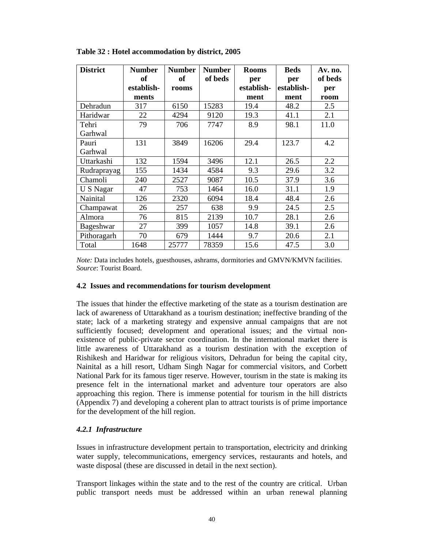| <b>District</b> | <b>Number</b> | <b>Number</b> | <b>Number</b> | <b>Rooms</b> | <b>Beds</b> | Av. no. |
|-----------------|---------------|---------------|---------------|--------------|-------------|---------|
|                 | <b>of</b>     | <b>of</b>     | of beds       | per          | per         | of beds |
|                 | establish-    | rooms         |               | establish-   | establish-  | per     |
|                 | ments         |               |               | ment         | ment        | room    |
| Dehradun        | 317           | 6150          | 15283         | 19.4         | 48.2        | 2.5     |
| Haridwar        | 22            | 4294          | 9120          | 19.3         | 41.1        | 2.1     |
| Tehri           | 79            | 706           | 7747          | 8.9          | 98.1        | 11.0    |
| Garhwal         |               |               |               |              |             |         |
| Pauri           | 131           | 3849          | 16206         | 29.4         | 123.7       | 4.2     |
| Garhwal         |               |               |               |              |             |         |
| Uttarkashi      | 132           | 1594          | 3496          | 12.1         | 26.5        | 2.2     |
| Rudraprayag     | 155           | 1434          | 4584          | 9.3          | 29.6        | 3.2     |
| Chamoli         | 240           | 2527          | 9087          | 10.5         | 37.9        | 3.6     |
| U S Nagar       | 47            | 753           | 1464          | 16.0         | 31.1        | 1.9     |
| Nainital        | 126           | 2320          | 6094          | 18.4         | 48.4        | 2.6     |
| Champawat       | 26            | 257           | 638           | 9.9          | 24.5        | 2.5     |
| Almora          | 76            | 815           | 2139          | 10.7         | 28.1        | 2.6     |
| Bageshwar       | 27            | 399           | 1057          | 14.8         | 39.1        | 2.6     |
| Pithoragarh     | 70            | 679           | 1444          | 9.7          | 20.6        | 2.1     |
| Total           | 1648          | 25777         | 78359         | 15.6         | 47.5        | 3.0     |

**Table 32 : Hotel accommodation by district, 2005** 

*Note:* Data includes hotels, guesthouses, ashrams, dormitories and GMVN/KMVN facilities. *Source*: Tourist Board.

#### **4.2 Issues and recommendations for tourism development**

The issues that hinder the effective marketing of the state as a tourism destination are lack of awareness of Uttarakhand as a tourism destination; ineffective branding of the state; lack of a marketing strategy and expensive annual campaigns that are not sufficiently focused; development and operational issues; and the virtual nonexistence of public-private sector coordination. In the international market there is little awareness of Uttarakhand as a tourism destination with the exception of Rishikesh and Haridwar for religious visitors, Dehradun for being the capital city, Nainital as a hill resort, Udham Singh Nagar for commercial visitors, and Corbett National Park for its famous tiger reserve. However, tourism in the state is making its presence felt in the international market and adventure tour operators are also approaching this region. There is immense potential for tourism in the hill districts (Appendix 7) and developing a coherent plan to attract tourists is of prime importance for the development of the hill region.

## *4.2.1 Infrastructure*

Issues in infrastructure development pertain to transportation, electricity and drinking water supply, telecommunications, emergency services, restaurants and hotels, and waste disposal (these are discussed in detail in the next section).

Transport linkages within the state and to the rest of the country are critical. Urban public transport needs must be addressed within an urban renewal planning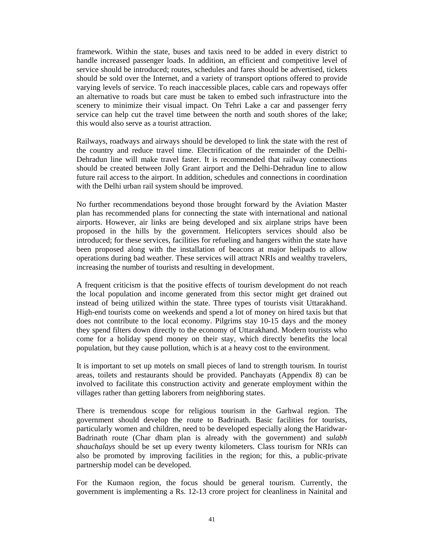framework. Within the state, buses and taxis need to be added in every district to handle increased passenger loads. In addition, an efficient and competitive level of service should be introduced; routes, schedules and fares should be advertised, tickets should be sold over the Internet, and a variety of transport options offered to provide varying levels of service. To reach inaccessible places, cable cars and ropeways offer an alternative to roads but care must be taken to embed such infrastructure into the scenery to minimize their visual impact. On Tehri Lake a car and passenger ferry service can help cut the travel time between the north and south shores of the lake; this would also serve as a tourist attraction.

Railways, roadways and airways should be developed to link the state with the rest of the country and reduce travel time. Electrification of the remainder of the Delhi-Dehradun line will make travel faster. It is recommended that railway connections should be created between Jolly Grant airport and the Delhi-Dehradun line to allow future rail access to the airport. In addition, schedules and connections in coordination with the Delhi urban rail system should be improved.

No further recommendations beyond those brought forward by the Aviation Master plan has recommended plans for connecting the state with international and national airports. However, air links are being developed and six airplane strips have been proposed in the hills by the government. Helicopters services should also be introduced; for these services, facilities for refueling and hangers within the state have been proposed along with the installation of beacons at major helipads to allow operations during bad weather. These services will attract NRIs and wealthy travelers, increasing the number of tourists and resulting in development.

A frequent criticism is that the positive effects of tourism development do not reach the local population and income generated from this sector might get drained out instead of being utilized within the state. Three types of tourists visit Uttarakhand. High-end tourists come on weekends and spend a lot of money on hired taxis but that does not contribute to the local economy. Pilgrims stay 10-15 days and the money they spend filters down directly to the economy of Uttarakhand. Modern tourists who come for a holiday spend money on their stay, which directly benefits the local population, but they cause pollution, which is at a heavy cost to the environment.

It is important to set up motels on small pieces of land to strength tourism. In tourist areas, toilets and restaurants should be provided. Panchayats (Appendix 8) can be involved to facilitate this construction activity and generate employment within the villages rather than getting laborers from neighboring states.

There is tremendous scope for religious tourism in the Garhwal region. The government should develop the route to Badrinath. Basic facilities for tourists, particularly women and children, need to be developed especially along the Haridwar-Badrinath route (Char dham plan is already with the government) and s*ulabh shauchalays* should be set up every twenty kilometers. Class tourism for NRIs can also be promoted by improving facilities in the region; for this, a public-private partnership model can be developed.

For the Kumaon region, the focus should be general tourism. Currently, the government is implementing a Rs. 12-13 crore project for cleanliness in Nainital and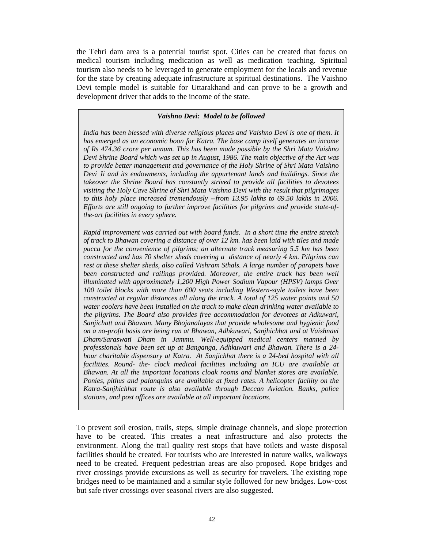the Tehri dam area is a potential tourist spot. Cities can be created that focus on medical tourism including medication as well as medication teaching. Spiritual tourism also needs to be leveraged to generate employment for the locals and revenue for the state by creating adequate infrastructure at spiritual destinations. The Vaishno Devi temple model is suitable for Uttarakhand and can prove to be a growth and development driver that adds to the income of the state.

#### *Vaishno Devi: Model to be followed*

*India has been blessed with diverse religious places and Vaishno Devi is one of them. It has emerged as an economic boon for Katra. The base camp itself generates an income of Rs 474.36 crore per annum. This has been made possible by the Shri Mata Vaishno Devi Shrine Board which was set up in August, 1986. The main objective of the Act was to provide better management and governance of the Holy Shrine of Shri Mata Vaishno Devi Ji and its endowments, including the appurtenant lands and buildings. Since the takeover the Shrine Board has constantly strived to provide all facilities to devotees visiting the Holy Cave Shrine of Shri Mata Vaishno Devi with the result that pilgrimages*  to this holy place increased tremendously --from 13.95 lakhs to 69.50 lakhs in 2006. *Efforts are still ongoing to further improve facilities for pilgrims and provide state-ofthe-art facilities in every sphere.* 

*Rapid improvement was carried out with board funds. In a short time the entire stretch of track to Bhawan covering a distance of over 12 km. has been laid with tiles and made pucca for the convenience of pilgrims; an alternate track measuring 5.5 km has been constructed and has 70 shelter sheds covering a distance of nearly 4 km. Pilgrims can rest at these shelter sheds, also called Vishram Sthals. A large number of parapets have been constructed and railings provided. Moreover, the entire track has been well illuminated with approximately 1,200 High Power Sodium Vapour (HPSV) lamps Over 100 toilet blocks with more than 600 seats including Western-style toilets have been constructed at regular distances all along the track. A total of 125 water points and 50 water coolers have been installed on the track to make clean drinking water available to the pilgrims. The Board also provides free accommodation for devotees at Adkuwari, Sanjichatt and Bhawan. Many Bhojanalayas that provide wholesome and hygienic food on a no-profit basis are being run at Bhawan, Adhkuwari, Sanjhichhat and at Vaishnavi Dham/Saraswati Dham in Jammu. Well-equipped medical centers manned by professionals have been set up at Banganga, Adhkuwari and Bhawan. There is a 24 hour charitable dispensary at Katra. At Sanjichhat there is a 24-bed hospital with all*  facilities. Round- the- clock medical facilities including an ICU are available at *Bhawan. At all the important locations cloak rooms and blanket stores are available. Ponies, pithus and palanquins are available at fixed rates. A helicopter facility on the Katra-Sanjhichhat route is also available through Deccan Aviation. Banks, police stations, and post offices are available at all important locations.* 

To prevent soil erosion, trails, steps, simple drainage channels, and slope protection have to be created. This creates a neat infrastructure and also protects the environment. Along the trail quality rest stops that have toilets and waste disposal facilities should be created. For tourists who are interested in nature walks, walkways need to be created. Frequent pedestrian areas are also proposed. Rope bridges and river crossings provide excursions as well as security for travelers. The existing rope bridges need to be maintained and a similar style followed for new bridges. Low-cost but safe river crossings over seasonal rivers are also suggested.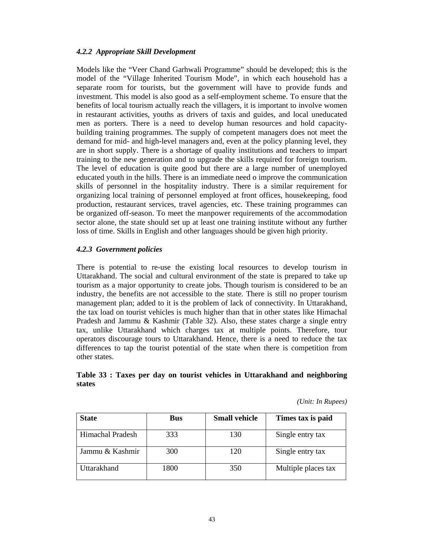## *4.2.2 Appropriate Skill Development*

Models like the "Veer Chand Garhwali Programme" should be developed; this is the model of the "Village Inherited Tourism Mode", in which each household has a separate room for tourists, but the government will have to provide funds and investment. This model is also good as a self-employment scheme. To ensure that the benefits of local tourism actually reach the villagers, it is important to involve women in restaurant activities, youths as drivers of taxis and guides, and local uneducated men as porters. There is a need to develop human resources and hold capacitybuilding training programmes. The supply of competent managers does not meet the demand for mid- and high-level managers and, even at the policy planning level, they are in short supply. There is a shortage of quality institutions and teachers to impart training to the new generation and to upgrade the skills required for foreign tourism. The level of education is quite good but there are a large number of unemployed educated youth in the hills. There is an immediate need o improve the communication skills of personnel in the hospitality industry. There is a similar requirement for organizing local training of personnel employed at front offices, housekeeping, food production, restaurant services, travel agencies, etc. These training programmes can be organized off-season. To meet the manpower requirements of the accommodation sector alone, the state should set up at least one training institute without any further loss of time. Skills in English and other languages should be given high priority.

## *4.2.3 Government policies*

There is potential to re-use the existing local resources to develop tourism in Uttarakhand. The social and cultural environment of the state is prepared to take up tourism as a major opportunity to create jobs. Though tourism is considered to be an industry, the benefits are not accessible to the state. There is still no proper tourism management plan; added to it is the problem of lack of connectivity. In Uttarakhand, the tax load on tourist vehicles is much higher than that in other states like Himachal Pradesh and Jammu & Kashmir (Table 32). Also, these states charge a single entry tax, unlike Uttarakhand which charges tax at multiple points. Therefore, tour operators discourage tours to Uttarakhand. Hence, there is a need to reduce the tax differences to tap the tourist potential of the state when there is competition from other states.

## **Table 33 : Taxes per day on tourist vehicles in Uttarakhand and neighboring states**

*(Unit: In Rupees)* 

| <b>State</b>            | <b>Bus</b> | <b>Small vehicle</b> | Times tax is paid   |
|-------------------------|------------|----------------------|---------------------|
| <b>Himachal Pradesh</b> | 333        | 130                  | Single entry tax    |
| Jammu & Kashmir         | 300        | 120                  | Single entry tax    |
| Uttarakhand             | 1800       | 350                  | Multiple places tax |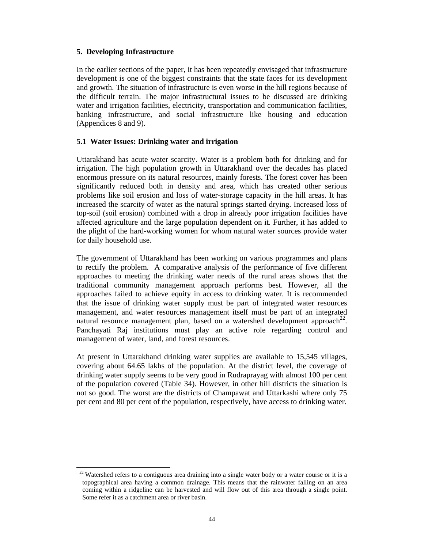## **5. Developing Infrastructure**

 $\overline{a}$ 

In the earlier sections of the paper, it has been repeatedly envisaged that infrastructure development is one of the biggest constraints that the state faces for its development and growth. The situation of infrastructure is even worse in the hill regions because of the difficult terrain. The major infrastructural issues to be discussed are drinking water and irrigation facilities, electricity, transportation and communication facilities, banking infrastructure, and social infrastructure like housing and education (Appendices 8 and 9).

## **5.1 Water Issues: Drinking water and irrigation**

Uttarakhand has acute water scarcity. Water is a problem both for drinking and for irrigation. The high population growth in Uttarakhand over the decades has placed enormous pressure on its natural resources, mainly forests. The forest cover has been significantly reduced both in density and area, which has created other serious problems like soil erosion and loss of water-storage capacity in the hill areas. It has increased the scarcity of water as the natural springs started drying. Increased loss of top-soil (soil erosion) combined with a drop in already poor irrigation facilities have affected agriculture and the large population dependent on it. Further, it has added to the plight of the hard-working women for whom natural water sources provide water for daily household use.

The government of Uttarakhand has been working on various programmes and plans to rectify the problem. A comparative analysis of the performance of five different approaches to meeting the drinking water needs of the rural areas shows that the traditional community management approach performs best. However, all the approaches failed to achieve equity in access to drinking water. It is recommended that the issue of drinking water supply must be part of integrated water resources management, and water resources management itself must be part of an integrated natural resource management plan, based on a watershed development approach<sup>22</sup>. Panchayati Raj institutions must play an active role regarding control and management of water, land, and forest resources.

At present in Uttarakhand drinking water supplies are available to 15,545 villages, covering about 64.65 lakhs of the population. At the district level, the coverage of drinking water supply seems to be very good in Rudraprayag with almost 100 per cent of the population covered (Table 34). However, in other hill districts the situation is not so good. The worst are the districts of Champawat and Uttarkashi where only 75 per cent and 80 per cent of the population, respectively, have access to drinking water.

<sup>&</sup>lt;sup>22</sup> Watershed refers to a contiguous area draining into a single water body or a water course or it is a topographical area having a common drainage. This means that the rainwater falling on an area coming within a ridgeline can be harvested and will flow out of this area through a single point. Some refer it as a catchment area or river basin.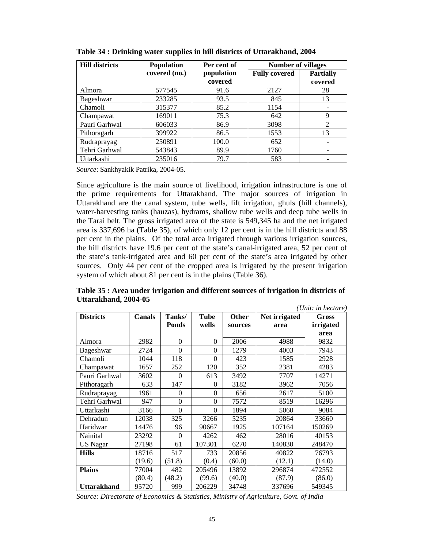| <b>Hill districts</b> | <b>Population</b> | Per cent of | <b>Number of villages</b> |                          |  |
|-----------------------|-------------------|-------------|---------------------------|--------------------------|--|
|                       | covered (no.)     | population  | <b>Fully covered</b>      | <b>Partially</b>         |  |
|                       |                   | covered     |                           | covered                  |  |
| Almora                | 577545            | 91.6        | 2127                      | 28                       |  |
| Bageshwar             | 233285            | 93.5        | 845                       | 13                       |  |
| Chamoli               | 315377            | 85.2        | 1154                      |                          |  |
| Champawat             | 169011            | 75.3        | 642                       | 9                        |  |
| Pauri Garhwal         | 606033            | 86.9        | 3098                      | $\overline{2}$           |  |
| Pithoragarh           | 399922            | 86.5        | 1553                      | 13                       |  |
| Rudraprayag           | 250891            | 100.0       | 652                       | -                        |  |
| Tehri Garhwal         | 543843            | 89.9        | 1760                      | $\overline{\phantom{a}}$ |  |
| Uttarkashi            | 235016            | 79.7        | 583                       | -                        |  |

**Table 34 : Drinking water supplies in hill districts of Uttarakhand, 2004** 

*Source*: Sankhyakik Patrika, 2004-05.

Since agriculture is the main source of livelihood, irrigation infrastructure is one of the prime requirements for Uttarakhand. The major sources of irrigation in Uttarakhand are the canal system, tube wells, lift irrigation, ghuls (hill channels), water-harvesting tanks (hauzas), hydrams, shallow tube wells and deep tube wells in the Tarai belt. The gross irrigated area of the state is 549,345 ha and the net irrigated area is 337,696 ha (Table 35), of which only 12 per cent is in the hill districts and 88 per cent in the plains. Of the total area irrigated through various irrigation sources, the hill districts have 19.6 per cent of the state's canal-irrigated area, 52 per cent of the state's tank-irrigated area and 60 per cent of the state's area irrigated by other sources. Only 44 per cent of the cropped area is irrigated by the present irrigation system of which about 81 per cent is in the plains (Table 36).

| Unit: in hectare   |        |              |                |              |               |              |
|--------------------|--------|--------------|----------------|--------------|---------------|--------------|
| <b>Districts</b>   | Canals | Tanks/       | Tube           | <b>Other</b> | Net irrigated | <b>Gross</b> |
|                    |        | <b>Ponds</b> | wells          | sources      | area          | irrigated    |
|                    |        |              |                |              |               | area         |
| Almora             | 2982   | $\theta$     | $\Omega$       | 2006         | 4988          | 9832         |
| Bageshwar          | 2724   | $\theta$     | $\theta$       | 1279         | 4003          | 7943         |
| Chamoli            | 1044   | 118          | $\theta$       | 423          | 1585          | 2928         |
| Champawat          | 1657   | 252          | 120            | 352          | 2381          | 4283         |
| Pauri Garhwal      | 3602   | $\theta$     | 613            | 3492         | 7707          | 14271        |
| Pithoragarh        | 633    | 147          | $\overline{0}$ | 3182         | 3962          | 7056         |
| Rudraprayag        | 1961   | $\theta$     | $\theta$       | 656          | 2617          | 5100         |
| Tehri Garhwal      | 947    | $\theta$     | $\theta$       | 7572         | 8519          | 16296        |
| Uttarkashi         | 3166   | $\theta$     | $\theta$       | 1894         | 5060          | 9084         |
| Dehradun           | 12038  | 325          | 3266           | 5235         | 20864         | 33660        |
| Haridwar           | 14476  | 96           | 90667          | 1925         | 107164        | 150269       |
| Nainital           | 23292  | $\Omega$     | 4262           | 462          | 28016         | 40153        |
| US Nagar           | 27198  | 61           | 107301         | 6270         | 140830        | 248470       |
| <b>Hills</b>       | 18716  | 517          | 733            | 20856        | 40822         | 76793        |
|                    | (19.6) | (51.8)       | (0.4)          | (60.0)       | (12.1)        | (14.0)       |
| <b>Plains</b>      | 77004  | 482          | 205496         | 13892        | 296874        | 472552       |
|                    | (80.4) | (48.2)       | (99.6)         | (40.0)       | (87.9)        | (86.0)       |
| <b>Uttarakhand</b> | 95720  | 999          | 206229         | 34748        | 337696        | 549345       |

**Table 35 : Area under irrigation and different sources of irrigation in districts of Uttarakhand, 2004-05**  *(Unit: in hectare)*

*Source: Directorate of Economics & Statistics, Ministry of Agriculture, Govt. of India*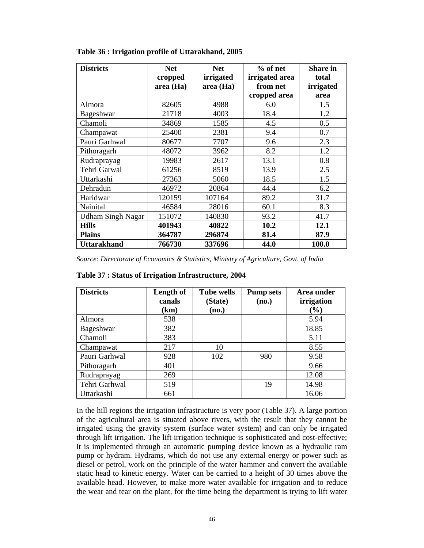| <b>Districts</b>         | <b>Net</b><br>cropped<br>area (Ha) | <b>Net</b><br>irrigated<br>area (Ha) | $%$ of net<br>irrigated area<br>from net<br>cropped area | <b>Share in</b><br>total<br>irrigated<br>area |
|--------------------------|------------------------------------|--------------------------------------|----------------------------------------------------------|-----------------------------------------------|
| Almora                   | 82605                              | 4988                                 | 6.0                                                      | 1.5                                           |
| <b>Bageshwar</b>         | 21718                              | 4003                                 | 18.4                                                     | 1.2                                           |
| Chamoli                  | 34869                              | 1585                                 | 4.5                                                      | 0.5                                           |
| Champawat                | 25400                              | 2381                                 | 9.4                                                      | 0.7                                           |
| Pauri Garhwal            | 80677                              | 7707                                 | 9.6                                                      | 2.3                                           |
| Pithoragarh              | 48072                              | 3962                                 | 8.2                                                      | 1.2                                           |
| Rudraprayag              | 19983                              | 2617                                 | 13.1                                                     | 0.8                                           |
| Tehri Garwal             | 61256                              | 8519                                 | 13.9                                                     | 2.5                                           |
| Uttarkashi               | 27363                              | 5060                                 | 18.5                                                     | 1.5                                           |
| Dehradun                 | 46972                              | 20864                                | 44.4                                                     | 6.2                                           |
| Haridwar                 | 120159                             | 107164                               | 89.2                                                     | 31.7                                          |
| Nainital                 | 46584                              | 28016                                | 60.1                                                     | 8.3                                           |
| <b>Udham Singh Nagar</b> | 151072                             | 140830                               | 93.2                                                     | 41.7                                          |
| <b>Hills</b>             | 401943                             | 40822                                | 10.2                                                     | 12.1                                          |
| <b>Plains</b>            | 364787                             | 296874                               | 81.4                                                     | 87.9                                          |
| <b>Uttarakhand</b>       | 766730                             | 337696                               | 44.0                                                     | 100.0                                         |

### **Table 36 : Irrigation profile of Uttarakhand, 2005**

*Source: Directorate of Economics & Statistics, Ministry of Agriculture, Govt. of India* 

| <b>Districts</b> | Length of<br>canals | <b>Tube wells</b><br>(State) | <b>Pump sets</b><br>(no.) | Area under<br>irrigation |
|------------------|---------------------|------------------------------|---------------------------|--------------------------|
|                  | (km)                | (no.)                        |                           | $(\%)$                   |
| Almora           | 538                 |                              |                           | 5.94                     |
| Bageshwar        | 382                 |                              |                           | 18.85                    |
| Chamoli          | 383                 |                              |                           | 5.11                     |
| Champawat        | 217                 | 10                           |                           | 8.55                     |
| Pauri Garhwal    | 928                 | 102                          | 980                       | 9.58                     |
| Pithoragarh      | 401                 |                              |                           | 9.66                     |
| Rudraprayag      | 269                 |                              |                           | 12.08                    |
| Tehri Garhwal    | 519                 |                              | 19                        | 14.98                    |
| Uttarkashi       | 661                 |                              |                           | 16.06                    |

**Table 37 : Status of Irrigation Infrastructure, 2004** 

In the hill regions the irrigation infrastructure is very poor (Table 37). A large portion of the agricultural area is situated above rivers, with the result that they cannot be irrigated using the gravity system (surface water system) and can only be irrigated through lift irrigation. The lift irrigation technique is sophisticated and cost-effective; it is implemented through an automatic pumping device known as a hydraulic ram pump or hydram. Hydrams, which do not use any external energy or power such as diesel or petrol, work on the principle of the water hammer and convert the available static head to kinetic energy. Water can be carried to a height of 30 times above the available head. However, to make more water available for irrigation and to reduce the wear and tear on the plant, for the time being the department is trying to lift water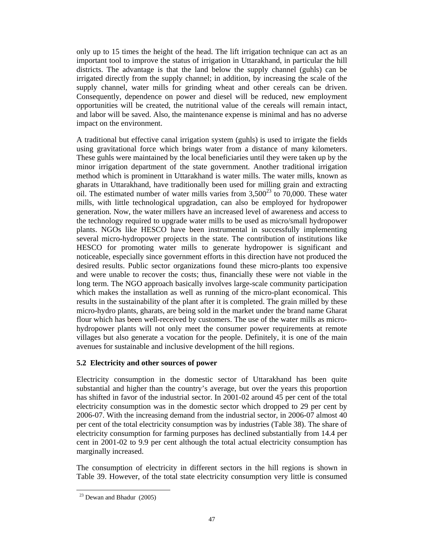only up to 15 times the height of the head. The lift irrigation technique can act as an important tool to improve the status of irrigation in Uttarakhand, in particular the hill districts. The advantage is that the land below the supply channel (guhls) can be irrigated directly from the supply channel; in addition, by increasing the scale of the supply channel, water mills for grinding wheat and other cereals can be driven. Consequently, dependence on power and diesel will be reduced, new employment opportunities will be created, the nutritional value of the cereals will remain intact, and labor will be saved. Also, the maintenance expense is minimal and has no adverse impact on the environment.

A traditional but effective canal irrigation system (guhls) is used to irrigate the fields using gravitational force which brings water from a distance of many kilometers. These guhls were maintained by the local beneficiaries until they were taken up by the minor irrigation department of the state government. Another traditional irrigation method which is prominent in Uttarakhand is water mills. The water mills, known as gharats in Uttarakhand, have traditionally been used for milling grain and extracting oil. The estimated number of water mills varies from  $3,500^{23}$  to 70,000. These water mills, with little technological upgradation, can also be employed for hydropower generation. Now, the water millers have an increased level of awareness and access to the technology required to upgrade water mills to be used as micro/small hydropower plants. NGOs like HESCO have been instrumental in successfully implementing several micro-hydropower projects in the state. The contribution of institutions like HESCO for promoting water mills to generate hydropower is significant and noticeable, especially since government efforts in this direction have not produced the desired results. Public sector organizations found these micro-plants too expensive and were unable to recover the costs; thus, financially these were not viable in the long term. The NGO approach basically involves large-scale community participation which makes the installation as well as running of the micro-plant economical. This results in the sustainability of the plant after it is completed. The grain milled by these micro-hydro plants, gharats, are being sold in the market under the brand name Gharat flour which has been well-received by customers. The use of the water mills as microhydropower plants will not only meet the consumer power requirements at remote villages but also generate a vocation for the people. Definitely, it is one of the main avenues for sustainable and inclusive development of the hill regions.

## **5.2 Electricity and other sources of power**

Electricity consumption in the domestic sector of Uttarakhand has been quite substantial and higher than the country's average, but over the years this proportion has shifted in favor of the industrial sector. In 2001-02 around 45 per cent of the total electricity consumption was in the domestic sector which dropped to 29 per cent by 2006-07. With the increasing demand from the industrial sector, in 2006-07 almost 40 per cent of the total electricity consumption was by industries (Table 38). The share of electricity consumption for farming purposes has declined substantially from 14.4 per cent in 2001-02 to 9.9 per cent although the total actual electricity consumption has marginally increased.

The consumption of electricity in different sectors in the hill regions is shown in Table 39. However, of the total state electricity consumption very little is consumed

 $\overline{a}$  $23$  Dewan and Bhadur (2005)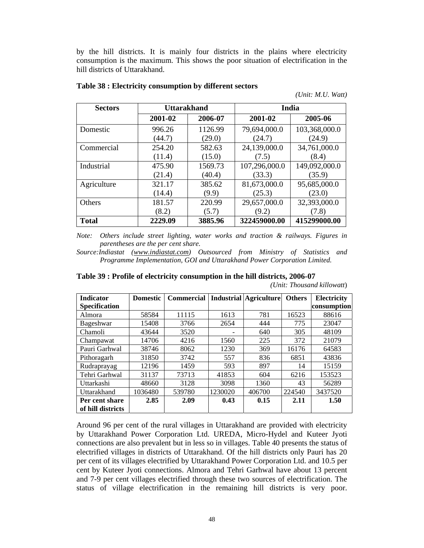by the hill districts. It is mainly four districts in the plains where electricity consumption is the maximum. This shows the poor situation of electrification in the hill districts of Uttarakhand.

| <b>Sectors</b> |         | <b>Uttarakhand</b> |               | India         |
|----------------|---------|--------------------|---------------|---------------|
|                | 2001-02 | 2006-07            | 2001-02       | 2005-06       |
| Domestic       | 996.26  | 1126.99            | 79,694,000.0  | 103,368,000.0 |
|                | (44.7)  | (29.0)             | (24.7)        | (24.9)        |
| Commercial     | 254.20  | 582.63             | 24,139,000.0  | 34,761,000.0  |
|                | (11.4)  | (15.0)             | (7.5)         | (8.4)         |
| Industrial     | 475.90  | 1569.73            | 107,296,000.0 | 149,092,000.0 |
|                | (21.4)  | (40.4)             | (33.3)        | (35.9)        |
| Agriculture    | 321.17  | 385.62             | 81,673,000.0  | 95,685,000.0  |
|                | (14.4)  | (9.9)              | (25.3)        | (23.0)        |
| <b>Others</b>  | 181.57  | 220.99             | 29,657,000.0  | 32,393,000.0  |
|                | (8.2)   | (5.7)              | (9.2)         | (7.8)         |
| <b>Total</b>   | 2229.09 | 3885.96            | 322459000.00  | 415299000.00  |

#### **Table 38 : Electricity consumption by different sectors**

*Note: Others include street lighting, water works and traction & railways. Figures in parentheses are the per cent share.* 

*Source:Indiastat (www.indiastat.com) Outsourced from Ministry of Statistics and Programme Implementation, GOI and Uttarakhand Power Corporation Limited.* 

**Table 39 : Profile of electricity consumption in the hill districts, 2006-07** 

| <b>Indicator</b>     | <b>Domestic</b> | <b>Commercial</b> |         | <b>Industrial Agriculture</b> | <b>Others</b> | Electricity |
|----------------------|-----------------|-------------------|---------|-------------------------------|---------------|-------------|
| <b>Specification</b> |                 |                   |         |                               |               | consumption |
| Almora               | 58584           | 11115             | 1613    | 781                           | 16523         | 88616       |
| Bageshwar            | 15408           | 3766              | 2654    | 444                           | 775           | 23047       |
| Chamoli              | 43644           | 3520              |         | 640                           | 305           | 48109       |
| Champawat            | 14706           | 4216              | 1560    | 225                           | 372           | 21079       |
| Pauri Garhwal        | 38746           | 8062              | 1230    | 369                           | 16176         | 64583       |
| Pithoragarh          | 31850           | 3742              | 557     | 836                           | 6851          | 43836       |
| Rudraprayag          | 12196           | 1459              | 593     | 897                           | 14            | 15159       |
| Tehri Garhwal        | 31137           | 73713             | 41853   | 604                           | 6216          | 153523      |
| Uttarkashi           | 48660           | 3128              | 3098    | 1360                          | 43            | 56289       |
| Uttarakhand          | 1036480         | 539780            | 1230020 | 406700                        | 224540        | 3437520     |
| Per cent share       | 2.85            | 2.09              | 0.43    | 0.15                          | 2.11          | 1.50        |
| of hill districts    |                 |                   |         |                               |               |             |

*(Unit: Thousand killowatt*)

*(Unit: M.U. Watt)* 

Around 96 per cent of the rural villages in Uttarakhand are provided with electricity by Uttarakhand Power Corporation Ltd. UREDA, Micro-Hydel and Kuteer Jyoti connections are also prevalent but in less so in villages. Table 40 presents the status of electrified villages in districts of Uttarakhand. Of the hill districts only Pauri has 20 per cent of its villages electrified by Uttarakhand Power Corporation Ltd. and 10.5 per cent by Kuteer Jyoti connections. Almora and Tehri Garhwal have about 13 percent and 7-9 per cent villages electrified through these two sources of electrification. The status of village electrification in the remaining hill districts is very poor.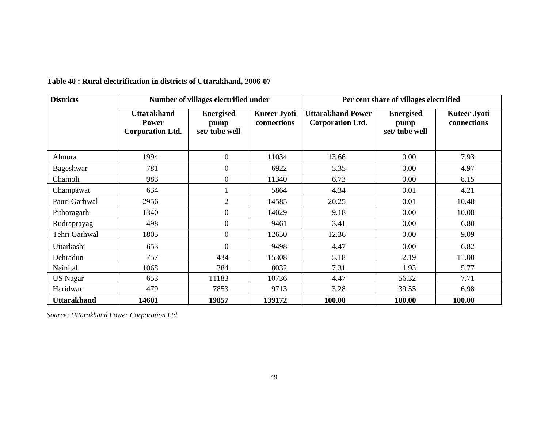| <b>Districts</b>   | Number of villages electrified under                          |                                           |                                    | Per cent share of villages electrified              |                                           |                                    |  |
|--------------------|---------------------------------------------------------------|-------------------------------------------|------------------------------------|-----------------------------------------------------|-------------------------------------------|------------------------------------|--|
|                    | <b>Uttarakhand</b><br><b>Power</b><br><b>Corporation Ltd.</b> | <b>Energised</b><br>pump<br>set/tube well | <b>Kuteer Jyoti</b><br>connections | <b>Uttarakhand Power</b><br><b>Corporation Ltd.</b> | <b>Energised</b><br>pump<br>set/tube well | <b>Kuteer Jyoti</b><br>connections |  |
| Almora             | 1994                                                          | $\overline{0}$                            | 11034                              | 13.66                                               | 0.00                                      | 7.93                               |  |
| Bageshwar          | 781                                                           | $\overline{0}$                            | 6922                               | 5.35                                                | 0.00                                      | 4.97                               |  |
| Chamoli            | 983                                                           | $\overline{0}$                            | 11340                              | 6.73                                                | 0.00                                      | 8.15                               |  |
| Champawat          | 634                                                           |                                           | 5864                               | 4.34                                                | 0.01                                      | 4.21                               |  |
| Pauri Garhwal      | 2956                                                          | $\overline{2}$                            | 14585                              | 20.25                                               | 0.01                                      | 10.48                              |  |
| Pithoragarh        | 1340                                                          | $\boldsymbol{0}$                          | 14029                              | 9.18                                                | 0.00                                      | 10.08                              |  |
| Rudraprayag        | 498                                                           | $\overline{0}$                            | 9461                               | 3.41                                                | 0.00                                      | 6.80                               |  |
| Tehri Garhwal      | 1805                                                          | $\overline{0}$                            | 12650                              | 12.36                                               | 0.00                                      | 9.09                               |  |
| Uttarkashi         | 653                                                           | $\overline{0}$                            | 9498                               | 4.47                                                | 0.00                                      | 6.82                               |  |
| Dehradun           | 757                                                           | 434                                       | 15308                              | 5.18                                                | 2.19                                      | 11.00                              |  |
| Nainital           | 1068                                                          | 384                                       | 8032                               | 7.31                                                | 1.93                                      | 5.77                               |  |
| <b>US</b> Nagar    | 653                                                           | 11183                                     | 10736                              | 4.47                                                | 56.32                                     | 7.71                               |  |
| Haridwar           | 479                                                           | 7853                                      | 9713                               | 3.28                                                | 39.55                                     | 6.98                               |  |
| <b>Uttarakhand</b> | 14601                                                         | 19857                                     | 139172                             | 100.00                                              | 100.00                                    | 100.00                             |  |

# **Table 40 : Rural electrification in districts of Uttarakhand, 2006-07**

*Source: Uttarakhand Power Corporation Ltd.*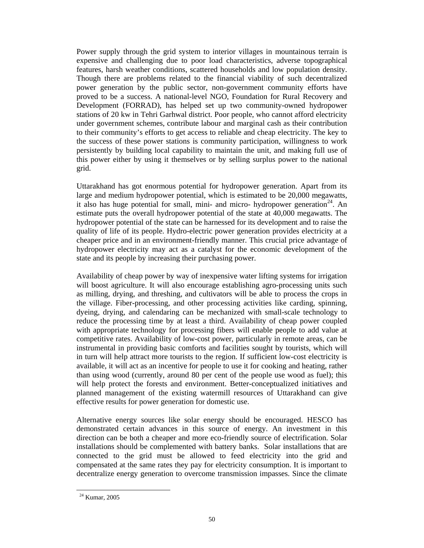Power supply through the grid system to interior villages in mountainous terrain is expensive and challenging due to poor load characteristics, adverse topographical features, harsh weather conditions, scattered households and low population density. Though there are problems related to the financial viability of such decentralized power generation by the public sector, non-government community efforts have proved to be a success. A national-level NGO, Foundation for Rural Recovery and Development (FORRAD), has helped set up two community-owned hydropower stations of 20 kw in Tehri Garhwal district. Poor people, who cannot afford electricity under government schemes, contribute labour and marginal cash as their contribution to their community's efforts to get access to reliable and cheap electricity. The key to the success of these power stations is community participation, willingness to work persistently by building local capability to maintain the unit, and making full use of this power either by using it themselves or by selling surplus power to the national grid.

Uttarakhand has got enormous potential for hydropower generation. Apart from its large and medium hydropower potential, which is estimated to be 20,000 megawatts, it also has huge potential for small, mini- and micro- hydropower generation<sup>24</sup>. An estimate puts the overall hydropower potential of the state at 40,000 megawatts. The hydropower potential of the state can be harnessed for its development and to raise the quality of life of its people. Hydro-electric power generation provides electricity at a cheaper price and in an environment-friendly manner. This crucial price advantage of hydropower electricity may act as a catalyst for the economic development of the state and its people by increasing their purchasing power.

Availability of cheap power by way of inexpensive water lifting systems for irrigation will boost agriculture. It will also encourage establishing agro-processing units such as milling, drying, and threshing, and cultivators will be able to process the crops in the village. Fiber-processing, and other processing activities like carding, spinning, dyeing, drying, and calendaring can be mechanized with small-scale technology to reduce the processing time by at least a third. Availability of cheap power coupled with appropriate technology for processing fibers will enable people to add value at competitive rates. Availability of low-cost power, particularly in remote areas, can be instrumental in providing basic comforts and facilities sought by tourists, which will in turn will help attract more tourists to the region. If sufficient low-cost electricity is available, it will act as an incentive for people to use it for cooking and heating, rather than using wood (currently, around 80 per cent of the people use wood as fuel); this will help protect the forests and environment. Better-conceptualized initiatives and planned management of the existing watermill resources of Uttarakhand can give effective results for power generation for domestic use.

Alternative energy sources like solar energy should be encouraged. HESCO has demonstrated certain advances in this source of energy. An investment in this direction can be both a cheaper and more eco-friendly source of electrification. Solar installations should be complemented with battery banks. Solar installations that are connected to the grid must be allowed to feed electricity into the grid and compensated at the same rates they pay for electricity consumption. It is important to decentralize energy generation to overcome transmission impasses. Since the climate

 $\overline{a}$ 

<sup>24</sup> Kumar, 2005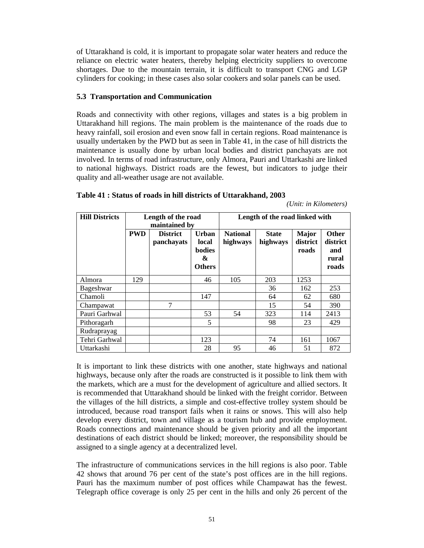of Uttarakhand is cold, it is important to propagate solar water heaters and reduce the reliance on electric water heaters, thereby helping electricity suppliers to overcome shortages. Due to the mountain terrain, it is difficult to transport CNG and LGP cylinders for cooking; in these cases also solar cookers and solar panels can be used.

## **5.3 Transportation and Communication**

Roads and connectivity with other regions, villages and states is a big problem in Uttarakhand hill regions. The main problem is the maintenance of the roads due to heavy rainfall, soil erosion and even snow fall in certain regions. Road maintenance is usually undertaken by the PWD but as seen in Table 41, in the case of hill districts the maintenance is usually done by urban local bodies and district panchayats are not involved. In terms of road infrastructure, only Almora, Pauri and Uttarkashi are linked to national highways. District roads are the fewest, but indicators to judge their quality and all-weather usage are not available.

| <b>Hill Districts</b> |            | Length of the road<br>maintained by |                                                              | Length of the road linked with |                          |                                   |                                                   |  |
|-----------------------|------------|-------------------------------------|--------------------------------------------------------------|--------------------------------|--------------------------|-----------------------------------|---------------------------------------------------|--|
|                       | <b>PWD</b> | <b>District</b><br>panchayats       | <b>Urban</b><br>local<br><b>bodies</b><br>&<br><b>Others</b> | <b>National</b><br>highways    | <b>State</b><br>highways | <b>Major</b><br>district<br>roads | <b>Other</b><br>district<br>and<br>rural<br>roads |  |
| Almora                | 129        |                                     | 46                                                           | 105                            | 203                      | 1253                              |                                                   |  |
| Bageshwar             |            |                                     |                                                              |                                | 36                       | 162                               | 253                                               |  |
| Chamoli               |            |                                     | 147                                                          |                                | 64                       | 62                                | 680                                               |  |
| Champawat             |            | 7                                   |                                                              |                                | 15                       | 54                                | 390                                               |  |
| Pauri Garhwal         |            |                                     | 53                                                           | 54                             | 323                      | 114                               | 2413                                              |  |
| Pithoragarh           |            |                                     | 5                                                            |                                | 98                       | 23                                | 429                                               |  |
| Rudraprayag           |            |                                     |                                                              |                                |                          |                                   |                                                   |  |
| Tehri Garhwal         |            |                                     | 123                                                          |                                | 74                       | 161                               | 1067                                              |  |
| Uttarkashi            |            |                                     | 28                                                           | 95                             | 46                       | 51                                | 872                                               |  |

**Table 41 : Status of roads in hill districts of Uttarakhand, 2003** 

*(Unit: in Kilometers)* 

It is important to link these districts with one another, state highways and national highways, because only after the roads are constructed is it possible to link them with the markets, which are a must for the development of agriculture and allied sectors. It is recommended that Uttarakhand should be linked with the freight corridor. Between the villages of the hill districts, a simple and cost-effective trolley system should be introduced, because road transport fails when it rains or snows. This will also help develop every district, town and village as a tourism hub and provide employment. Roads connections and maintenance should be given priority and all the important destinations of each district should be linked; moreover, the responsibility should be assigned to a single agency at a decentralized level.

The infrastructure of communications services in the hill regions is also poor. Table 42 shows that around 76 per cent of the state's post offices are in the hill regions. Pauri has the maximum number of post offices while Champawat has the fewest. Telegraph office coverage is only 25 per cent in the hills and only 26 percent of the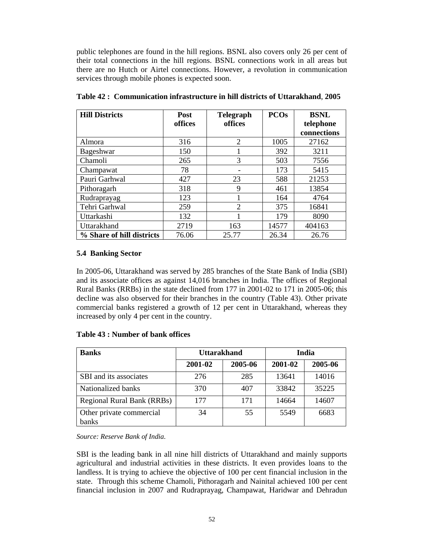public telephones are found in the hill regions. BSNL also covers only 26 per cent of their total connections in the hill regions. BSNL connections work in all areas but there are no Hutch or Airtel connections. However, a revolution in communication services through mobile phones is expected soon.

| <b>Hill Districts</b>     | <b>Post</b> | <b>Telegraph</b> | <b>PCOs</b> | <b>BSNL</b> |
|---------------------------|-------------|------------------|-------------|-------------|
|                           | offices     | offices          |             | telephone   |
|                           |             |                  |             | connections |
| Almora                    | 316         | 2                | 1005        | 27162       |
| Bageshwar                 | 150         |                  | 392         | 3211        |
| Chamoli                   | 265         | 3                | 503         | 7556        |
| Champawat                 | 78          |                  | 173         | 5415        |
| Pauri Garhwal             | 427         | 23               | 588         | 21253       |
| Pithoragarh               | 318         | 9                | 461         | 13854       |
| Rudraprayag               | 123         |                  | 164         | 4764        |
| Tehri Garhwal             | 259         | $\overline{2}$   | 375         | 16841       |
| Uttarkashi                | 132         |                  | 179         | 8090        |
| Uttarakhand               | 2719        | 163              | 14577       | 404163      |
| % Share of hill districts | 76.06       | 25.77            | 26.34       | 26.76       |

**Table 42 : Communication infrastructure in hill districts of Uttarakhand**, **2005** 

## **5.4 Banking Sector**

In 2005-06, Uttarakhand was served by 285 branches of the State Bank of India (SBI) and its associate offices as against 14,016 branches in India. The offices of Regional Rural Banks (RRBs) in the state declined from 177 in 2001-02 to 171 in 2005-06; this decline was also observed for their branches in the country (Table 43). Other private commercial banks registered a growth of 12 per cent in Uttarakhand, whereas they increased by only 4 per cent in the country.

## **Table 43 : Number of bank offices**

| <b>Banks</b>                      | <b>Uttarakhand</b> |         | India   |         |  |
|-----------------------------------|--------------------|---------|---------|---------|--|
|                                   | 2001-02            | 2005-06 | 2001-02 | 2005-06 |  |
| SBI and its associates            | 276                | 285     | 13641   | 14016   |  |
| Nationalized banks                | 370                | 407     | 33842   | 35225   |  |
| <b>Regional Rural Bank (RRBs)</b> | 177                | 171     | 14664   | 14607   |  |
| Other private commercial          | 34                 | 55      | 5549    | 6683    |  |
| banks                             |                    |         |         |         |  |

*Source: Reserve Bank of India.* 

SBI is the leading bank in all nine hill districts of Uttarakhand and mainly supports agricultural and industrial activities in these districts. It even provides loans to the landless. It is trying to achieve the objective of 100 per cent financial inclusion in the state. Through this scheme Chamoli, Pithoragarh and Nainital achieved 100 per cent financial inclusion in 2007 and Rudraprayag, Champawat, Haridwar and Dehradun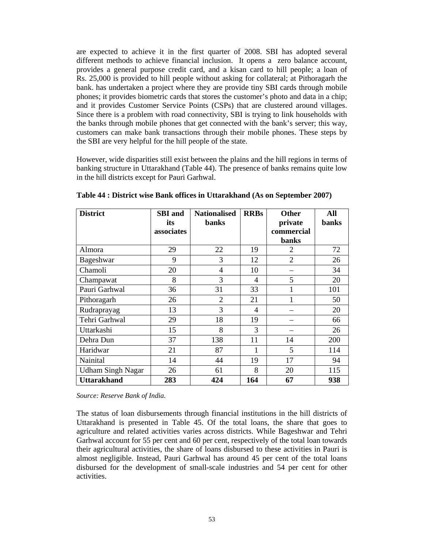are expected to achieve it in the first quarter of 2008. SBI has adopted several different methods to achieve financial inclusion. It opens a zero balance account, provides a general purpose credit card, and a kisan card to hill people; a loan of Rs. 25,000 is provided to hill people without asking for collateral; at Pithoragarh the bank. has undertaken a project where they are provide tiny SBI cards through mobile phones; it provides biometric cards that stores the customer's photo and data in a chip; and it provides Customer Service Points (CSPs) that are clustered around villages. Since there is a problem with road connectivity, SBI is trying to link households with the banks through mobile phones that get connected with the bank's server; this way, customers can make bank transactions through their mobile phones. These steps by the SBI are very helpful for the hill people of the state.

However, wide disparities still exist between the plains and the hill regions in terms of banking structure in Uttarakhand (Table 44). The presence of banks remains quite low in the hill districts except for Pauri Garhwal.

| <b>District</b>          | <b>SBI</b> and<br>its | <b>Nationalised</b><br><b>banks</b> | <b>RRBs</b> | <b>Other</b><br>private | All<br>banks |
|--------------------------|-----------------------|-------------------------------------|-------------|-------------------------|--------------|
|                          | associates            |                                     |             | commercial              |              |
|                          |                       |                                     |             | <b>banks</b>            |              |
| Almora                   | 29                    | 22                                  | 19          | 2                       | 72           |
| Bageshwar                | 9                     | 3                                   | 12          | $\overline{2}$          | 26           |
| Chamoli                  | 20                    | 4                                   | 10          |                         | 34           |
| Champawat                | 8                     | 3                                   | 4           | 5                       | 20           |
| Pauri Garhwal            | 36                    | 31                                  | 33          | 1                       | 101          |
| Pithoragarh              | 26                    | $\overline{2}$                      | 21          |                         | 50           |
| Rudraprayag              | 13                    | 3                                   | 4           |                         | 20           |
| Tehri Garhwal            | 29                    | 18                                  | 19          |                         | 66           |
| Uttarkashi               | 15                    | 8                                   | 3           |                         | 26           |
| Dehra Dun                | 37                    | 138                                 | 11          | 14                      | 200          |
| Haridwar                 | 21                    | 87                                  | 1           | 5                       | 114          |
| Nainital                 | 14                    | 44                                  | 19          | 17                      | 94           |
| <b>Udham Singh Nagar</b> | 26                    | 61                                  | 8           | 20                      | 115          |
| <b>Uttarakhand</b>       | 283                   | 424                                 | 164         | 67                      | 938          |

**Table 44 : District wise Bank offices in Uttarakhand (As on September 2007)** 

*Source: Reserve Bank of India.* 

The status of loan disbursements through financial institutions in the hill districts of Uttarakhand is presented in Table 45. Of the total loans, the share that goes to agriculture and related activities varies across districts. While Bageshwar and Tehri Garhwal account for 55 per cent and 60 per cent, respectively of the total loan towards their agricultural activities, the share of loans disbursed to these activities in Pauri is almost negligible. Instead, Pauri Garhwal has around 45 per cent of the total loans disbursed for the development of small-scale industries and 54 per cent for other activities.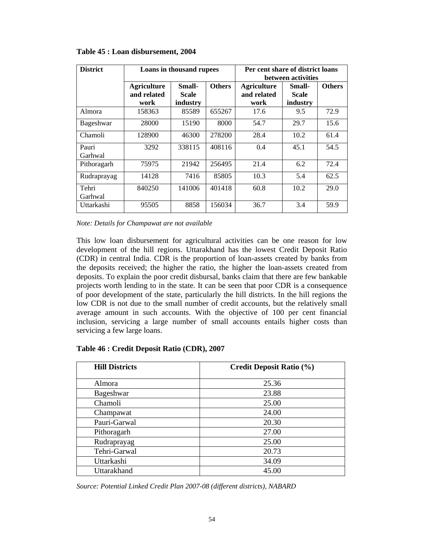| <b>District</b>  | Loans in thousand rupees          |                                         |        | Per cent share of district loans<br>between activities |                        |               |  |
|------------------|-----------------------------------|-----------------------------------------|--------|--------------------------------------------------------|------------------------|---------------|--|
|                  | <b>Agriculture</b><br>and related | <b>Others</b><br>Small-<br><b>Scale</b> |        | <b>Agriculture</b><br>and related                      | Small-<br><b>Scale</b> | <b>Others</b> |  |
|                  | work                              | industry                                |        | work                                                   | industry               |               |  |
| Almora           | 158363                            | 85589                                   | 655267 | 17.6                                                   | 9.5                    | 72.9          |  |
| Bageshwar        | 28000                             | 15190                                   | 8000   | 54.7                                                   | 29.7                   | 15.6          |  |
| Chamoli          | 128900                            | 46300                                   | 278200 | 28.4                                                   | 10.2                   | 61.4          |  |
| Pauri<br>Garhwal | 3292                              | 338115                                  | 408116 | 0.4                                                    | 45.1                   | 54.5          |  |
| Pithoragarh      | 75975                             | 21942                                   | 256495 | 21.4                                                   | 6.2                    | 72.4          |  |
| Rudraprayag      | 14128                             | 7416                                    | 85805  | 10.3                                                   | 5.4                    | 62.5          |  |
| Tehri<br>Garhwal | 840250                            | 141006                                  | 401418 | 60.8                                                   | 10.2                   | 29.0          |  |
| Uttarkashi       | 95505                             | 8858                                    | 156034 | 36.7                                                   | 3.4                    | 59.9          |  |

## **Table 45 : Loan disbursement, 2004**

*Note: Details for Champawat are not available*

This low loan disbursement for agricultural activities can be one reason for low development of the hill regions. Uttarakhand has the lowest Credit Deposit Ratio (CDR) in central India. CDR is the proportion of loan-assets created by banks from the deposits received; the higher the ratio, the higher the loan-assets created from deposits. To explain the poor credit disbursal, banks claim that there are few bankable projects worth lending to in the state. It can be seen that poor CDR is a consequence of poor development of the state, particularly the hill districts. In the hill regions the low CDR is not due to the small number of credit accounts, but the relatively small average amount in such accounts. With the objective of 100 per cent financial inclusion, servicing a large number of small accounts entails higher costs than servicing a few large loans.

| <b>Hill Districts</b> | <b>Credit Deposit Ratio (%)</b> |
|-----------------------|---------------------------------|
| Almora                | 25.36                           |
| Bageshwar             | 23.88                           |
| Chamoli               | 25.00                           |
| Champawat             | 24.00                           |
| Pauri-Garwal          | 20.30                           |
| Pithoragarh           | 27.00                           |
| Rudraprayag           | 25.00                           |
| Tehri-Garwal          | 20.73                           |
| Uttarkashi            | 34.09                           |
| Uttarakhand           | 45.00                           |

## **Table 46 : Credit Deposit Ratio (CDR), 2007**

*Source: Potential Linked Credit Plan 2007-08 (different districts), NABARD*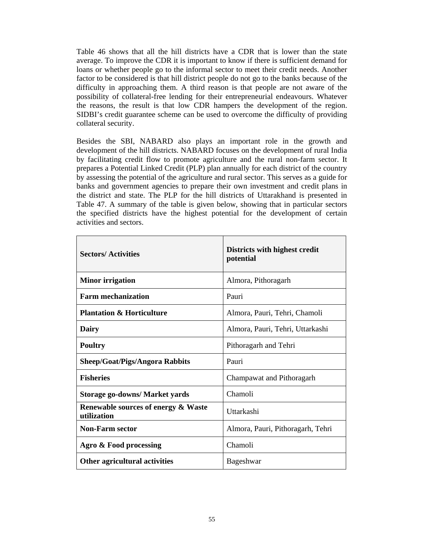Table 46 shows that all the hill districts have a CDR that is lower than the state average. To improve the CDR it is important to know if there is sufficient demand for loans or whether people go to the informal sector to meet their credit needs. Another factor to be considered is that hill district people do not go to the banks because of the difficulty in approaching them. A third reason is that people are not aware of the possibility of collateral-free lending for their entrepreneurial endeavours. Whatever the reasons, the result is that low CDR hampers the development of the region. SIDBI's credit guarantee scheme can be used to overcome the difficulty of providing collateral security.

Besides the SBI, NABARD also plays an important role in the growth and development of the hill districts. NABARD focuses on the development of rural India by facilitating credit flow to promote agriculture and the rural non-farm sector. It prepares a Potential Linked Credit (PLP) plan annually for each district of the country by assessing the potential of the agriculture and rural sector. This serves as a guide for banks and government agencies to prepare their own investment and credit plans in the district and state. The PLP for the hill districts of Uttarakhand is presented in Table 47. A summary of the table is given below, showing that in particular sectors the specified districts have the highest potential for the development of certain activities and sectors.

| <b>Sectors/Activities</b>                                     | Districts with highest credit<br>potential |
|---------------------------------------------------------------|--------------------------------------------|
| <b>Minor irrigation</b>                                       | Almora, Pithoragarh                        |
| <b>Farm mechanization</b>                                     | Pauri                                      |
| <b>Plantation &amp; Horticulture</b>                          | Almora, Pauri, Tehri, Chamoli              |
| Dairy                                                         | Almora, Pauri, Tehri, Uttarkashi           |
| <b>Poultry</b>                                                | Pithoragarh and Tehri                      |
| <b>Sheep/Goat/Pigs/Angora Rabbits</b>                         | Pauri                                      |
| <b>Fisheries</b>                                              | Champawat and Pithoragarh                  |
| Storage go-downs/ Market yards                                | Chamoli                                    |
| <b>Renewable sources of energy &amp; Waste</b><br>utilization | Uttarkashi                                 |
| <b>Non-Farm sector</b>                                        | Almora, Pauri, Pithoragarh, Tehri          |
| Agro & Food processing                                        | Chamoli                                    |
| Other agricultural activities                                 | Bageshwar                                  |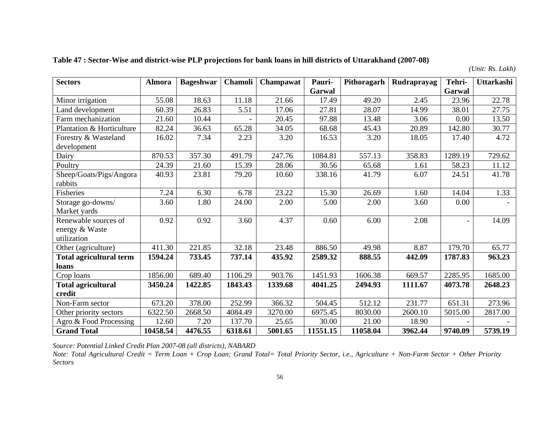|  |  | Table 47 : Sector-Wise and district-wise PLP projections for bank loans in hill districts of Uttarakhand (2007-08) |  |
|--|--|--------------------------------------------------------------------------------------------------------------------|--|
|--|--|--------------------------------------------------------------------------------------------------------------------|--|

*(Unit: Rs. Lakh)* 

| <b>Sectors</b>                 | <b>Almora</b> | <b>Bageshwar</b> | Chamoli | Champawat | Pauri-   | Pithoragarh | Rudraprayag | Tehri-  | Uttarkashi |
|--------------------------------|---------------|------------------|---------|-----------|----------|-------------|-------------|---------|------------|
|                                |               |                  |         |           | Garwal   |             |             | Garwal  |            |
| Minor irrigation               | 55.08         | 18.63            | 11.18   | 21.66     | 17.49    | 49.20       | 2.45        | 23.96   | 22.78      |
| Land development               | 60.39         | 26.83            | 5.51    | 17.06     | 27.81    | 28.07       | 14.99       | 38.01   | 27.75      |
| Farm mechanization             | 21.60         | 10.44            |         | 20.45     | 97.88    | 13.48       | 3.06        | 0.00    | 13.50      |
| Plantation & Horticulture      | 82.24         | 36.63            | 65.28   | 34.05     | 68.68    | 45.43       | 20.89       | 142.80  | 30.77      |
| Forestry & Wasteland           | 16.02         | 7.34             | 2.23    | 3.20      | 16.53    | 3.20        | 18.05       | 17.40   | 4.72       |
| development                    |               |                  |         |           |          |             |             |         |            |
| Dairy                          | 870.53        | 357.30           | 491.79  | 247.76    | 1084.81  | 557.13      | 358.83      | 1289.19 | 729.62     |
| Poultry                        | 24.39         | 21.60            | 15.39   | 28.06     | 30.56    | 65.68       | 1.61        | 58.23   | 11.12      |
| Sheep/Goats/Pigs/Angora        | 40.93         | 23.81            | 79.20   | 10.60     | 338.16   | 41.79       | 6.07        | 24.51   | 41.78      |
| rabbits                        |               |                  |         |           |          |             |             |         |            |
| Fisheries                      | 7.24          | 6.30             | 6.78    | 23.22     | 15.30    | 26.69       | 1.60        | 14.04   | 1.33       |
| Storage go-downs/              | 3.60          | 1.80             | 24.00   | 2.00      | 5.00     | 2.00        | 3.60        | 0.00    |            |
| Market yards                   |               |                  |         |           |          |             |             |         |            |
| Renewable sources of           | 0.92          | 0.92             | 3.60    | 4.37      | 0.60     | 6.00        | 2.08        |         | 14.09      |
| energy & Waste                 |               |                  |         |           |          |             |             |         |            |
| utilization                    |               |                  |         |           |          |             |             |         |            |
| Other (agriculture)            | 411.30        | 221.85           | 32.18   | 23.48     | 886.50   | 49.98       | 8.87        | 179.70  | 65.77      |
| <b>Total agricultural term</b> | 1594.24       | 733.45           | 737.14  | 435.92    | 2589.32  | 888.55      | 442.09      | 1787.83 | 963.23     |
| loans                          |               |                  |         |           |          |             |             |         |            |
| Crop loans                     | 1856.00       | 689.40           | 1106.29 | 903.76    | 1451.93  | 1606.38     | 669.57      | 2285.95 | 1685.00    |
| <b>Total agricultural</b>      | 3450.24       | 1422.85          | 1843.43 | 1339.68   | 4041.25  | 2494.93     | 1111.67     | 4073.78 | 2648.23    |
| credit                         |               |                  |         |           |          |             |             |         |            |
| Non-Farm sector                | 673.20        | 378.00           | 252.99  | 366.32    | 504.45   | 512.12      | 231.77      | 651.31  | 273.96     |
| Other priority sectors         | 6322.50       | 2668.50          | 4084.49 | 3270.00   | 6975.45  | 8030.00     | 2600.10     | 5015.00 | 2817.00    |
| Agro & Food Processing         | 12.60         | 7.20             | 137.70  | 25.65     | 30.00    | 21.00       | 18.90       |         |            |
| <b>Grand Total</b>             | 10458.54      | 4476.55          | 6318.61 | 5001.65   | 11551.15 | 11058.04    | 3962.44     | 9740.09 | 5739.19    |

*Source: Potential Linked Credit Plan 2007-08 (all districts), NABARD* 

*Note: Total Agricultural Credit = Term Loan + Crop Loan; Grand Total= Total Priority Sector, i.e., Agriculture + Non-Farm Sector + Other Priority Sectors*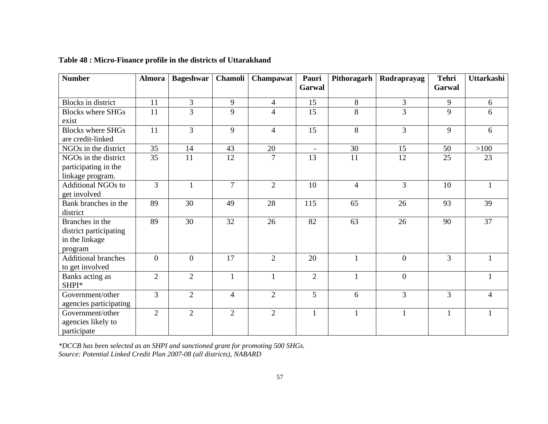| <b>Number</b>                                                          | <b>Almora</b>  | <b>Bageshwar</b> | Chamoli        | Champawat      | Pauri<br>Garwal          | Pithoragarh    | Rudraprayag    | <b>Tehri</b><br>Garwal | <b>Uttarkashi</b> |
|------------------------------------------------------------------------|----------------|------------------|----------------|----------------|--------------------------|----------------|----------------|------------------------|-------------------|
| <b>Blocks</b> in district                                              | 11             | 3                | 9              | $\overline{4}$ | 15                       | 8              | 3              | 9                      | 6                 |
| <b>Blocks where SHGs</b>                                               | 11             | 3                | 9              | $\overline{4}$ | 15                       | 8              | 3              | 9                      | 6                 |
| exist                                                                  |                |                  |                |                |                          |                |                |                        |                   |
| <b>Blocks where SHGs</b><br>are credit-linked                          | 11             | $\overline{3}$   | 9              | $\overline{4}$ | 15                       | 8              | $\overline{3}$ | 9                      | 6                 |
| NGOs in the district                                                   | 35             | 14               | 43             | 20             | $\overline{\phantom{a}}$ | 30             | 15             | 50                     | $>100$            |
| NGOs in the district<br>participating in the                           | 35             | 11               | 12             | $\overline{7}$ | 13                       | 11             | 12             | 25                     | 23                |
| linkage program.                                                       |                |                  |                |                |                          |                |                |                        |                   |
| <b>Additional NGOs to</b><br>get involved                              | $\overline{3}$ | 1                | $\overline{7}$ | $\overline{2}$ | 10                       | $\overline{4}$ | $\overline{3}$ | 10                     | $\mathbf{1}$      |
| Bank branches in the<br>district                                       | 89             | 30               | 49             | 28             | 115                      | 65             | 26             | 93                     | 39                |
| Branches in the<br>district participating<br>in the linkage<br>program | 89             | 30               | 32             | 26             | 82                       | 63             | 26             | 90                     | 37                |
| <b>Additional branches</b><br>to get involved                          | $\overline{0}$ | $\theta$         | 17             | $\overline{2}$ | 20                       | $\mathbf{1}$   | $\mathbf{0}$   | $\overline{3}$         | 1                 |
| Banks acting as<br>SHPI*                                               | $\overline{2}$ | $\overline{2}$   | $\mathbf{1}$   | $\mathbf{1}$   | $\overline{2}$           | $\mathbf{1}$   | $\mathbf{0}$   |                        | 1                 |
| Government/other<br>agencies participating                             | $\overline{3}$ | $\overline{2}$   | $\overline{4}$ | $\overline{2}$ | 5                        | 6              | $\overline{3}$ | 3                      | $\overline{4}$    |
| Government/other<br>agencies likely to<br>participate                  | $\overline{2}$ | $\overline{2}$   | $\overline{2}$ | $\overline{2}$ | $\mathbf{1}$             | $\mathbf{1}$   | $\mathbf{1}$   | $\mathbf{1}$           | $\mathbf{1}$      |

## **Table 48 : Micro-Finance profile in the districts of Uttarakhand**

*\*DCCB has been selected as an SHPI and sanctioned grant for promoting 500 SHGs. Source: Potential Linked Credit Plan 2007-08 (all districts), NABARD*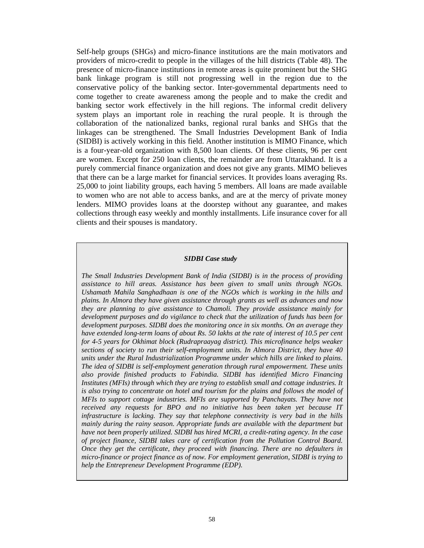Self-help groups (SHGs) and micro-finance institutions are the main motivators and providers of micro-credit to people in the villages of the hill districts (Table 48). The presence of micro-finance institutions in remote areas is quite prominent but the SHG bank linkage program is still not progressing well in the region due to the conservative policy of the banking sector. Inter-governmental departments need to come together to create awareness among the people and to make the credit and banking sector work effectively in the hill regions. The informal credit delivery system plays an important role in reaching the rural people. It is through the collaboration of the nationalized banks, regional rural banks and SHGs that the linkages can be strengthened. The Small Industries Development Bank of India (SIDBI) is actively working in this field. Another institution is MIMO Finance, which is a four-year-old organization with 8,500 loan clients. Of these clients, 96 per cent are women. Except for 250 loan clients, the remainder are from Uttarakhand. It is a purely commercial finance organization and does not give any grants. MIMO believes that there can be a large market for financial services. It provides loans averaging Rs. 25,000 to joint liability groups, each having 5 members. All loans are made available to women who are not able to access banks, and are at the mercy of private money lenders. MIMO provides loans at the doorstep without any guarantee, and makes collections through easy weekly and monthly installments. Life insurance cover for all clients and their spouses is mandatory.

#### *SIDBI Case study*

*The Small Industries Development Bank of India (SIDBI) is in the process of providing assistance to hill areas. Assistance has been given to small units through NGOs. Ushamath Mahila Sanghadhaan is one of the NGOs which is working in the hills and plains. In Almora they have given assistance through grants as well as advances and now they are planning to give assistance to Chamoli. They provide assistance mainly for development purposes and do vigilance to check that the utilization of funds has been for development purposes. SIDBI does the monitoring once in six months. On an average they have extended long-term loans of about Rs. 50 lakhs at the rate of interest of 10.5 per cent for 4-5 years for Okhimat block (Rudrapraayag district). This microfinance helps weaker sections of society to run their self-employment units. In Almora District, they have 40 units under the Rural Industrialization Programme under which hills are linked to plains. The idea of SIDBI is self-employment generation through rural empowerment. These units also provide finished products to Fabindia. SIDBI has identified Micro Financing Institutes (MFIs) through which they are trying to establish small and cottage industries. It is also trying to concentrate on hotel and tourism for the plains and follows the model of MFIs to support cottage industries. MFIs are supported by Panchayats. They have not received any requests for BPO and no initiative has been taken yet because IT infrastructure is lacking. They say that telephone connectivity is very bad in the hills mainly during the rainy season. Appropriate funds are available with the department but have not been properly utilized. SIDBI has hired MCRI, a credit-rating agency. In the case of project finance, SIDBI takes care of certification from the Pollution Control Board. Once they get the certificate, they proceed with financing. There are no defaulters in micro-finance or project finance as of now. For employment generation, SIDBI is trying to help the Entrepreneur Development Programme (EDP).*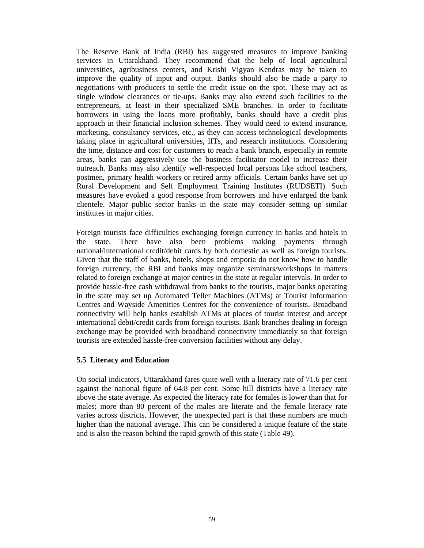The Reserve Bank of India (RBI) has suggested measures to improve banking services in Uttarakhand. They recommend that the help of local agricultural universities, agribusiness centers, and Krishi Vigyan Kendras may be taken to improve the quality of input and output. Banks should also be made a party to negotiations with producers to settle the credit issue on the spot. These may act as single window clearances or tie-ups. Banks may also extend such facilities to the entrepreneurs, at least in their specialized SME branches. In order to facilitate borrowers in using the loans more profitably, banks should have a credit plus approach in their financial inclusion schemes. They would need to extend insurance, marketing, consultancy services, etc., as they can access technological developments taking place in agricultural universities, IITs, and research institutions. Considering the time, distance and cost for customers to reach a bank branch, especially in remote areas, banks can aggressively use the business facilitator model to increase their outreach. Banks may also identify well-respected local persons like school teachers, postmen, primary health workers or retired army officials. Certain banks have set up Rural Development and Self Employment Training Institutes (RUDSETI). Such measures have evoked a good response from borrowers and have enlarged the bank clientele. Major public sector banks in the state may consider setting up similar institutes in major cities.

Foreign tourists face difficulties exchanging foreign currency in banks and hotels in the state. There have also been problems making payments through national/international credit/debit cards by both domestic as well as foreign tourists. Given that the staff of banks, hotels, shops and emporia do not know how to handle foreign currency, the RBI and banks may organize seminars/workshops in matters related to foreign exchange at major centres in the state at regular intervals. In order to provide hassle-free cash withdrawal from banks to the tourists, major banks operating in the state may set up Automated Teller Machines (ATMs) at Tourist Information Centres and Wayside Amenities Centres for the convenience of tourists. Broadband connectivity will help banks establish ATMs at places of tourist interest and accept international debit/credit cards from foreign tourists. Bank branches dealing in foreign exchange may be provided with broadband connectivity immediately so that foreign tourists are extended hassle-free conversion facilities without any delay.

## **5.5 Literacy and Education**

On social indicators, Uttarakhand fares quite well with a literacy rate of 71.6 per cent against the national figure of 64.8 per cent. Some hill districts have a literacy rate above the state average. As expected the literacy rate for females is lower than that for males; more than 80 percent of the males are literate and the female literacy rate varies across districts. However, the unexpected part is that these numbers are much higher than the national average. This can be considered a unique feature of the state and is also the reason behind the rapid growth of this state (Table 49).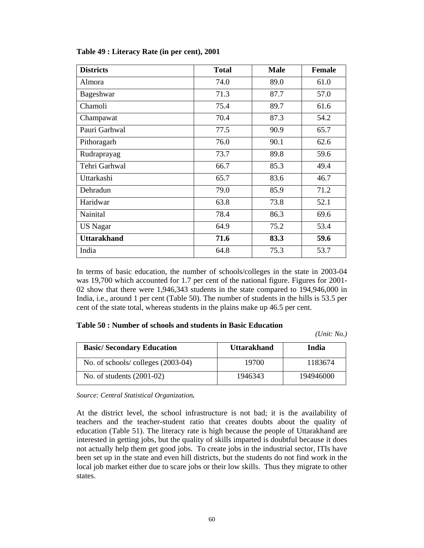| <b>Districts</b>   | <b>Total</b> | <b>Male</b> | <b>Female</b> |
|--------------------|--------------|-------------|---------------|
| Almora             | 74.0         | 89.0        | 61.0          |
| Bageshwar          | 71.3         | 87.7        | 57.0          |
| Chamoli            | 75.4         | 89.7        | 61.6          |
| Champawat          | 70.4         | 87.3        | 54.2          |
| Pauri Garhwal      | 77.5         | 90.9        | 65.7          |
| Pithoragarh        | 76.0         | 90.1        | 62.6          |
| Rudraprayag        | 73.7         | 89.8        | 59.6          |
| Tehri Garhwal      | 66.7         | 85.3        | 49.4          |
| Uttarkashi         | 65.7         | 83.6        | 46.7          |
| Dehradun           | 79.0         | 85.9        | 71.2          |
| Haridwar           | 63.8         | 73.8        | 52.1          |
| Nainital           | 78.4         | 86.3        | 69.6          |
| US Nagar           | 64.9         | 75.2        | 53.4          |
| <b>Uttarakhand</b> | 71.6         | 83.3        | 59.6          |
| India              | 64.8         | 75.3        | 53.7          |

## **Table 49 : Literacy Rate (in per cent), 2001**

In terms of basic education, the number of schools/colleges in the state in 2003-04 was 19,700 which accounted for 1.7 per cent of the national figure. Figures for 2001- 02 show that there were 1,946,343 students in the state compared to 194,946,000 in India, i.e., around 1 per cent (Table 50). The number of students in the hills is 53.5 per cent of the state total, whereas students in the plains make up 46.5 per cent.

#### **Table 50 : Number of schools and students in Basic Education**

*(Unit: No.)* 

| <b>Basic/Secondary Education</b>  | <b>Uttarakhand</b> | India     |
|-----------------------------------|--------------------|-----------|
| No. of schools/colleges (2003-04) | 19700              | 1183674   |
| No. of students $(2001-02)$       | 1946343            | 194946000 |

*Source: Central Statistical Organization.*

At the district level, the school infrastructure is not bad; it is the availability of teachers and the teacher-student ratio that creates doubts about the quality of education (Table 51). The literacy rate is high because the people of Uttarakhand are interested in getting jobs, but the quality of skills imparted is doubtful because it does not actually help them get good jobs. To create jobs in the industrial sector, ITIs have been set up in the state and even hill districts, but the students do not find work in the local job market either due to scare jobs or their low skills. Thus they migrate to other states.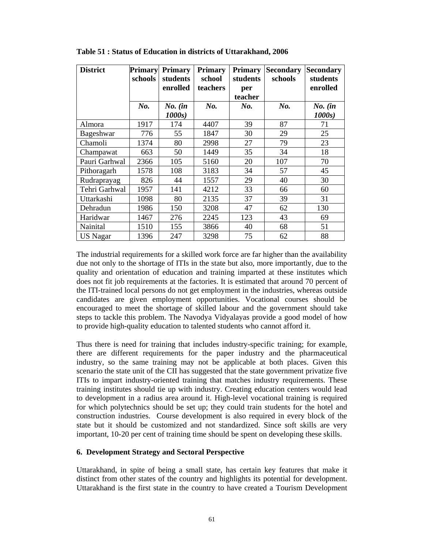| <b>District</b> | Primary<br>schools | <b>Primary</b><br>students<br>enrolled | <b>Primary</b><br>school<br>teachers | <b>Primary</b><br>students<br>per<br>teacher | <b>Secondary</b><br>schools | <b>Secondary</b><br>students<br>enrolled |
|-----------------|--------------------|----------------------------------------|--------------------------------------|----------------------------------------------|-----------------------------|------------------------------------------|
|                 | No.                | $No.$ (in<br>1000s                     | No.                                  | $N_{0}$ .                                    | No.                         | $No.$ (in<br>1000s                       |
| Almora          | 1917               | 174                                    | 4407                                 | 39                                           | 87                          | 71                                       |
| Bageshwar       | 776                | 55                                     | 1847                                 | 30                                           | 29                          | 25                                       |
| Chamoli         | 1374               | 80                                     | 2998                                 | 27                                           | 79                          | 23                                       |
| Champawat       | 663                | 50                                     | 1449                                 | 35                                           | 34                          | 18                                       |
| Pauri Garhwal   | 2366               | 105                                    | 5160                                 | 20                                           | 107                         | 70                                       |
| Pithoragarh     | 1578               | 108                                    | 3183                                 | 34                                           | 57                          | 45                                       |
| Rudraprayag     | 826                | 44                                     | 1557                                 | 29                                           | 40                          | 30                                       |
| Tehri Garhwal   | 1957               | 141                                    | 4212                                 | 33                                           | 66                          | 60                                       |
| Uttarkashi      | 1098               | 80                                     | 2135                                 | 37                                           | 39                          | 31                                       |
| Dehradun        | 1986               | 150                                    | 3208                                 | 47                                           | 62                          | 130                                      |
| Haridwar        | 1467               | 276                                    | 2245                                 | 123                                          | 43                          | 69                                       |
| Nainital        | 1510               | 155                                    | 3866                                 | 40                                           | 68                          | 51                                       |
| <b>US Nagar</b> | 1396               | 247                                    | 3298                                 | 75                                           | 62                          | 88                                       |

**Table 51 : Status of Education in districts of Uttarakhand, 2006** 

The industrial requirements for a skilled work force are far higher than the availability due not only to the shortage of ITIs in the state but also, more importantly, due to the quality and orientation of education and training imparted at these institutes which does not fit job requirements at the factories. It is estimated that around 70 percent of the ITI-trained local persons do not get employment in the industries, whereas outside candidates are given employment opportunities. Vocational courses should be encouraged to meet the shortage of skilled labour and the government should take steps to tackle this problem. The Navodya Vidyalayas provide a good model of how to provide high-quality education to talented students who cannot afford it.

Thus there is need for training that includes industry-specific training; for example, there are different requirements for the paper industry and the pharmaceutical industry, so the same training may not be applicable at both places. Given this scenario the state unit of the CII has suggested that the state government privatize five ITIs to impart industry-oriented training that matches industry requirements. These training institutes should tie up with industry. Creating education centers would lead to development in a radius area around it. High-level vocational training is required for which polytechnics should be set up; they could train students for the hotel and construction industries. Course development is also required in every block of the state but it should be customized and not standardized. Since soft skills are very important, 10-20 per cent of training time should be spent on developing these skills.

## **6. Development Strategy and Sectoral Perspective**

Uttarakhand, in spite of being a small state, has certain key features that make it distinct from other states of the country and highlights its potential for development. Uttarakhand is the first state in the country to have created a Tourism Development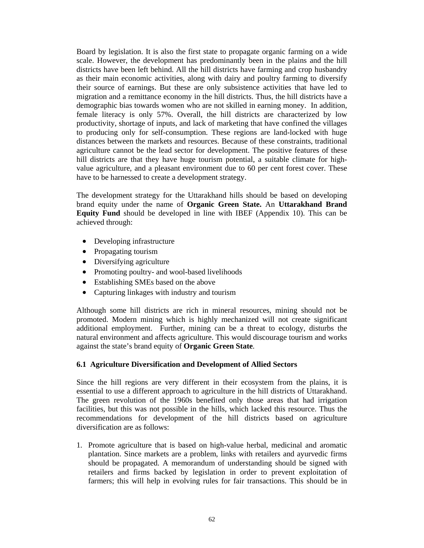Board by legislation. It is also the first state to propagate organic farming on a wide scale. However, the development has predominantly been in the plains and the hill districts have been left behind. All the hill districts have farming and crop husbandry as their main economic activities, along with dairy and poultry farming to diversify their source of earnings. But these are only subsistence activities that have led to migration and a remittance economy in the hill districts. Thus, the hill districts have a demographic bias towards women who are not skilled in earning money. In addition, female literacy is only 57%. Overall, the hill districts are characterized by low productivity, shortage of inputs, and lack of marketing that have confined the villages to producing only for self-consumption. These regions are land-locked with huge distances between the markets and resources. Because of these constraints, traditional agriculture cannot be the lead sector for development. The positive features of these hill districts are that they have huge tourism potential, a suitable climate for highvalue agriculture, and a pleasant environment due to 60 per cent forest cover. These have to be harnessed to create a development strategy.

The development strategy for the Uttarakhand hills should be based on developing brand equity under the name of **Organic Green State.** An **Uttarakhand Brand Equity Fund** should be developed in line with IBEF (Appendix 10). This can be achieved through:

- Developing infrastructure
- Propagating tourism
- Diversifying agriculture
- Promoting poultry- and wool-based livelihoods
- Establishing SMEs based on the above
- Capturing linkages with industry and tourism

Although some hill districts are rich in mineral resources, mining should not be promoted. Modern mining which is highly mechanized will not create significant additional employment. Further, mining can be a threat to ecology, disturbs the natural environment and affects agriculture. This would discourage tourism and works against the state's brand equity of **Organic Green State**.

## **6.1 Agriculture Diversification and Development of Allied Sectors**

Since the hill regions are very different in their ecosystem from the plains, it is essential to use a different approach to agriculture in the hill districts of Uttarakhand. The green revolution of the 1960s benefited only those areas that had irrigation facilities, but this was not possible in the hills, which lacked this resource. Thus the recommendations for development of the hill districts based on agriculture diversification are as follows:

1. Promote agriculture that is based on high-value herbal, medicinal and aromatic plantation. Since markets are a problem, links with retailers and ayurvedic firms should be propagated. A memorandum of understanding should be signed with retailers and firms backed by legislation in order to prevent exploitation of farmers; this will help in evolving rules for fair transactions. This should be in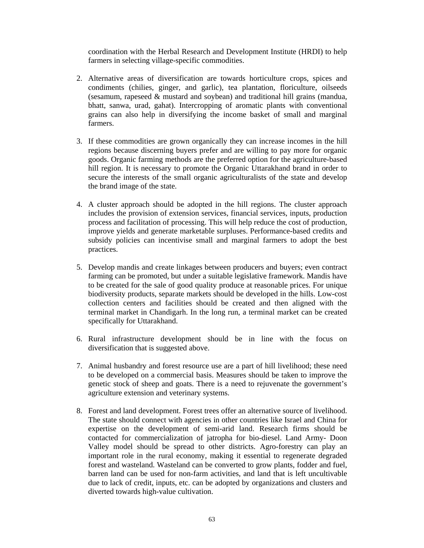coordination with the Herbal Research and Development Institute (HRDI) to help farmers in selecting village-specific commodities.

- 2. Alternative areas of diversification are towards horticulture crops, spices and condiments (chilies, ginger, and garlic), tea plantation, floriculture, oilseeds (sesamum, rapeseed & mustard and soybean) and traditional hill grains (mandua, bhatt, sanwa, urad, gahat). Intercropping of aromatic plants with conventional grains can also help in diversifying the income basket of small and marginal farmers.
- 3. If these commodities are grown organically they can increase incomes in the hill regions because discerning buyers prefer and are willing to pay more for organic goods. Organic farming methods are the preferred option for the agriculture-based hill region. It is necessary to promote the Organic Uttarakhand brand in order to secure the interests of the small organic agriculturalists of the state and develop the brand image of the state.
- 4. A cluster approach should be adopted in the hill regions. The cluster approach includes the provision of extension services, financial services, inputs, production process and facilitation of processing. This will help reduce the cost of production, improve yields and generate marketable surpluses. Performance-based credits and subsidy policies can incentivise small and marginal farmers to adopt the best practices.
- 5. Develop mandis and create linkages between producers and buyers; even contract farming can be promoted, but under a suitable legislative framework. Mandis have to be created for the sale of good quality produce at reasonable prices. For unique biodiversity products, separate markets should be developed in the hills. Low-cost collection centers and facilities should be created and then aligned with the terminal market in Chandigarh. In the long run, a terminal market can be created specifically for Uttarakhand.
- 6. Rural infrastructure development should be in line with the focus on diversification that is suggested above.
- 7. Animal husbandry and forest resource use are a part of hill livelihood; these need to be developed on a commercial basis. Measures should be taken to improve the genetic stock of sheep and goats. There is a need to rejuvenate the government's agriculture extension and veterinary systems.
- 8. Forest and land development. Forest trees offer an alternative source of livelihood. The state should connect with agencies in other countries like Israel and China for expertise on the development of semi-arid land. Research firms should be contacted for commercialization of jatropha for bio-diesel. Land Army- Doon Valley model should be spread to other districts. Agro-forestry can play an important role in the rural economy, making it essential to regenerate degraded forest and wasteland. Wasteland can be converted to grow plants, fodder and fuel, barren land can be used for non-farm activities, and land that is left uncultivable due to lack of credit, inputs, etc. can be adopted by organizations and clusters and diverted towards high-value cultivation.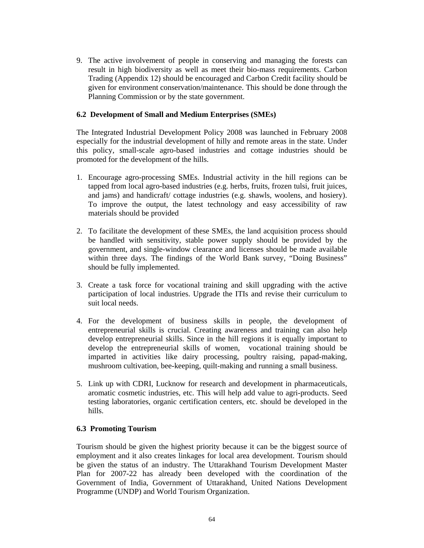9. The active involvement of people in conserving and managing the forests can result in high biodiversity as well as meet their bio-mass requirements. Carbon Trading (Appendix 12) should be encouraged and Carbon Credit facility should be given for environment conservation/maintenance. This should be done through the Planning Commission or by the state government.

## **6.2 Development of Small and Medium Enterprises (SMEs)**

The Integrated Industrial Development Policy 2008 was launched in February 2008 especially for the industrial development of hilly and remote areas in the state. Under this policy, small-scale agro-based industries and cottage industries should be promoted for the development of the hills.

- 1. Encourage agro-processing SMEs. Industrial activity in the hill regions can be tapped from local agro-based industries (e.g. herbs, fruits, frozen tulsi, fruit juices, and jams) and handicraft/ cottage industries (e.g. shawls, woolens, and hosiery). To improve the output, the latest technology and easy accessibility of raw materials should be provided
- 2. To facilitate the development of these SMEs, the land acquisition process should be handled with sensitivity, stable power supply should be provided by the government, and single-window clearance and licenses should be made available within three days. The findings of the World Bank survey, "Doing Business" should be fully implemented.
- 3. Create a task force for vocational training and skill upgrading with the active participation of local industries. Upgrade the ITIs and revise their curriculum to suit local needs.
- 4. For the development of business skills in people, the development of entrepreneurial skills is crucial. Creating awareness and training can also help develop entrepreneurial skills. Since in the hill regions it is equally important to develop the entrepreneurial skills of women, vocational training should be imparted in activities like dairy processing, poultry raising, papad-making, mushroom cultivation, bee-keeping, quilt-making and running a small business.
- 5. Link up with CDRI, Lucknow for research and development in pharmaceuticals, aromatic cosmetic industries, etc. This will help add value to agri-products. Seed testing laboratories, organic certification centers, etc. should be developed in the hills.

## **6.3 Promoting Tourism**

Tourism should be given the highest priority because it can be the biggest source of employment and it also creates linkages for local area development. Tourism should be given the status of an industry. The Uttarakhand Tourism Development Master Plan for 2007-22 has already been developed with the coordination of the Government of India, Government of Uttarakhand, United Nations Development Programme (UNDP) and World Tourism Organization.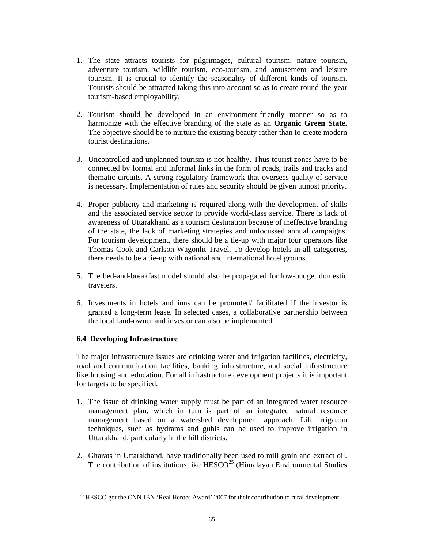- 1. The state attracts tourists for pilgrimages, cultural tourism, nature tourism, adventure tourism, wildlife tourism, eco-tourism, and amusement and leisure tourism. It is crucial to identify the seasonality of different kinds of tourism. Tourists should be attracted taking this into account so as to create round-the-year tourism-based employability.
- 2. Tourism should be developed in an environment-friendly manner so as to harmonize with the effective branding of the state as an **Organic Green State.**  The objective should be to nurture the existing beauty rather than to create modern tourist destinations.
- 3. Uncontrolled and unplanned tourism is not healthy. Thus tourist zones have to be connected by formal and informal links in the form of roads, trails and tracks and thematic circuits. A strong regulatory framework that oversees quality of service is necessary. Implementation of rules and security should be given utmost priority.
- 4. Proper publicity and marketing is required along with the development of skills and the associated service sector to provide world-class service. There is lack of awareness of Uttarakhand as a tourism destination because of ineffective branding of the state, the lack of marketing strategies and unfocussed annual campaigns. For tourism development, there should be a tie-up with major tour operators like Thomas Cook and Carlson Wagonlit Travel. To develop hotels in all categories, there needs to be a tie-up with national and international hotel groups.
- 5. The bed-and-breakfast model should also be propagated for low-budget domestic travelers.
- 6. Investments in hotels and inns can be promoted/ facilitated if the investor is granted a long-term lease. In selected cases, a collaborative partnership between the local land-owner and investor can also be implemented.

## **6.4 Developing Infrastructure**

 $\overline{a}$ 

The major infrastructure issues are drinking water and irrigation facilities, electricity, road and communication facilities, banking infrastructure, and social infrastructure like housing and education. For all infrastructure development projects it is important for targets to be specified.

- 1. The issue of drinking water supply must be part of an integrated water resource management plan, which in turn is part of an integrated natural resource management based on a watershed development approach. Lift irrigation techniques, such as hydrams and guhls can be used to improve irrigation in Uttarakhand, particularly in the hill districts.
- 2. Gharats in Uttarakhand, have traditionally been used to mill grain and extract oil. The contribution of institutions like  $HESCO<sup>25</sup>$  (Himalayan Environmental Studies

<sup>&</sup>lt;sup>25</sup> HESCO got the CNN-IBN 'Real Heroes Award' 2007 for their contribution to rural development.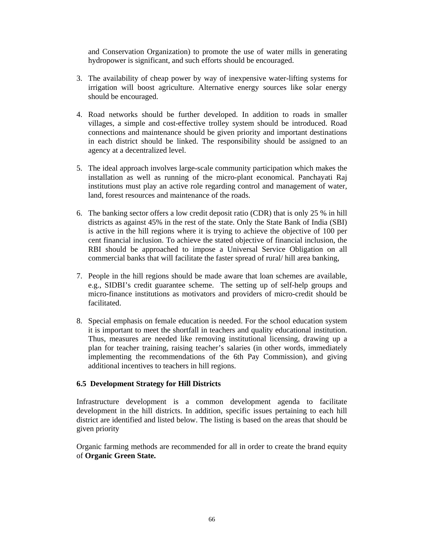and Conservation Organization) to promote the use of water mills in generating hydropower is significant, and such efforts should be encouraged.

- 3. The availability of cheap power by way of inexpensive water-lifting systems for irrigation will boost agriculture. Alternative energy sources like solar energy should be encouraged.
- 4. Road networks should be further developed. In addition to roads in smaller villages, a simple and cost-effective trolley system should be introduced. Road connections and maintenance should be given priority and important destinations in each district should be linked. The responsibility should be assigned to an agency at a decentralized level.
- 5. The ideal approach involves large-scale community participation which makes the installation as well as running of the micro-plant economical. Panchayati Raj institutions must play an active role regarding control and management of water, land, forest resources and maintenance of the roads.
- 6. The banking sector offers a low credit deposit ratio (CDR) that is only 25 % in hill districts as against 45% in the rest of the state. Only the State Bank of India (SBI) is active in the hill regions where it is trying to achieve the objective of 100 per cent financial inclusion. To achieve the stated objective of financial inclusion, the RBI should be approached to impose a Universal Service Obligation on all commercial banks that will facilitate the faster spread of rural/ hill area banking,
- 7. People in the hill regions should be made aware that loan schemes are available, e.g., SIDBI's credit guarantee scheme. The setting up of self-help groups and micro-finance institutions as motivators and providers of micro-credit should be facilitated.
- 8. Special emphasis on female education is needed. For the school education system it is important to meet the shortfall in teachers and quality educational institution. Thus, measures are needed like removing institutional licensing, drawing up a plan for teacher training, raising teacher's salaries (in other words, immediately implementing the recommendations of the 6th Pay Commission), and giving additional incentives to teachers in hill regions.

#### **6.5 Development Strategy for Hill Districts**

Infrastructure development is a common development agenda to facilitate development in the hill districts. In addition, specific issues pertaining to each hill district are identified and listed below. The listing is based on the areas that should be given priority

Organic farming methods are recommended for all in order to create the brand equity of **Organic Green State.**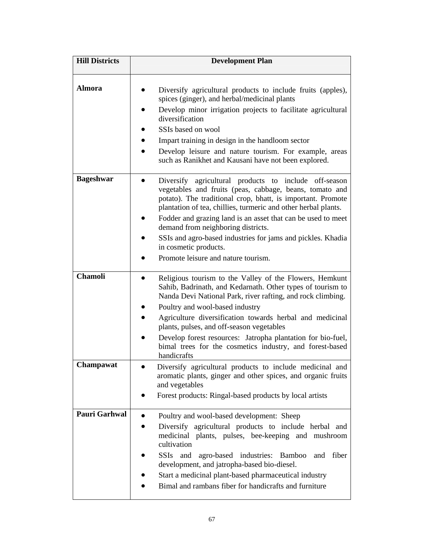| <b>Hill Districts</b> | <b>Development Plan</b>                                                                                                                                                                                                                                                                                                                                                                                                                                                                |
|-----------------------|----------------------------------------------------------------------------------------------------------------------------------------------------------------------------------------------------------------------------------------------------------------------------------------------------------------------------------------------------------------------------------------------------------------------------------------------------------------------------------------|
| <b>Almora</b>         | Diversify agricultural products to include fruits (apples),<br>spices (ginger), and herbal/medicinal plants<br>Develop minor irrigation projects to facilitate agricultural<br>diversification<br>SSIs based on wool<br>Impart training in design in the handloom sector<br>Develop leisure and nature tourism. For example, areas<br>such as Ranikhet and Kausani have not been explored.                                                                                             |
| <b>Bageshwar</b>      | Diversify agricultural products to include off-season<br>vegetables and fruits (peas, cabbage, beans, tomato and<br>potato). The traditional crop, bhatt, is important. Promote<br>plantation of tea, chillies, turmeric and other herbal plants.<br>Fodder and grazing land is an asset that can be used to meet<br>demand from neighboring districts.<br>SSIs and agro-based industries for jams and pickles. Khadia<br>in cosmetic products.<br>Promote leisure and nature tourism. |
| <b>Chamoli</b>        | Religious tourism to the Valley of the Flowers, Hemkunt<br>Sahib, Badrinath, and Kedarnath. Other types of tourism to<br>Nanda Devi National Park, river rafting, and rock climbing.<br>Poultry and wool-based industry<br>Agriculture diversification towards herbal and medicinal<br>plants, pulses, and off-season vegetables<br>Develop forest resources: Jatropha plantation for bio-fuel,<br>bimal trees for the cosmetics industry, and forest-based<br>handicrafts             |
| Champawat             | Diversify agricultural products to include medicinal and<br>aromatic plants, ginger and other spices, and organic fruits<br>and vegetables<br>Forest products: Ringal-based products by local artists                                                                                                                                                                                                                                                                                  |
| Pauri Garhwal         | Poultry and wool-based development: Sheep<br>Diversify agricultural products to include herbal and<br>medicinal plants, pulses, bee-keeping and mushroom<br>cultivation<br>SSIs and agro-based industries: Bamboo<br>fiber<br>and<br>development, and jatropha-based bio-diesel.<br>Start a medicinal plant-based pharmaceutical industry<br>Bimal and rambans fiber for handicrafts and furniture                                                                                     |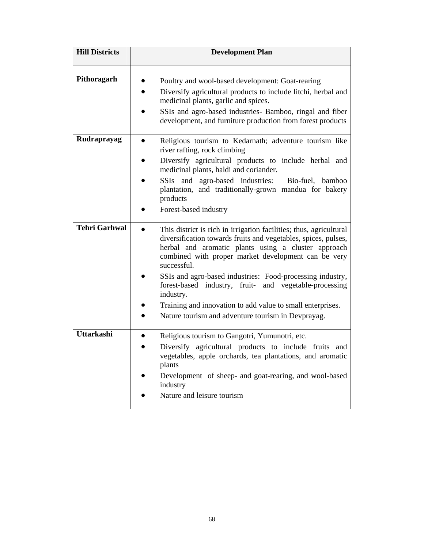| <b>Hill Districts</b> | <b>Development Plan</b>                                                                                                                                                                                                                                                                                                                                                                                                                                                                                                   |
|-----------------------|---------------------------------------------------------------------------------------------------------------------------------------------------------------------------------------------------------------------------------------------------------------------------------------------------------------------------------------------------------------------------------------------------------------------------------------------------------------------------------------------------------------------------|
| Pithoragarh           | Poultry and wool-based development: Goat-rearing<br>Diversify agricultural products to include litchi, herbal and<br>medicinal plants, garlic and spices.<br>SSIs and agro-based industries- Bamboo, ringal and fiber<br>development, and furniture production from forest products                                                                                                                                                                                                                                       |
| Rudraprayag           | Religious tourism to Kedarnath; adventure tourism like<br>$\bullet$<br>river rafting, rock climbing<br>Diversify agricultural products to include herbal and<br>medicinal plants, haldi and coriander.<br>SSIs and agro-based industries:<br>Bio-fuel, bamboo<br>plantation, and traditionally-grown mandua for bakery<br>products<br>Forest-based industry                                                                                                                                                               |
| <b>Tehri Garhwal</b>  | This district is rich in irrigation facilities; thus, agricultural<br>diversification towards fruits and vegetables, spices, pulses,<br>herbal and aromatic plants using a cluster approach<br>combined with proper market development can be very<br>successful.<br>SSIs and agro-based industries: Food-processing industry,<br>forest-based industry, fruit- and vegetable-processing<br>industry.<br>Training and innovation to add value to small enterprises.<br>Nature tourism and adventure tourism in Devprayag. |
| <b>Uttarkashi</b>     | Religious tourism to Gangotri, Yumunotri, etc.<br>Diversify agricultural products to include fruits and<br>vegetables, apple orchards, tea plantations, and aromatic<br>plants<br>Development of sheep- and goat-rearing, and wool-based<br>industry<br>Nature and leisure tourism                                                                                                                                                                                                                                        |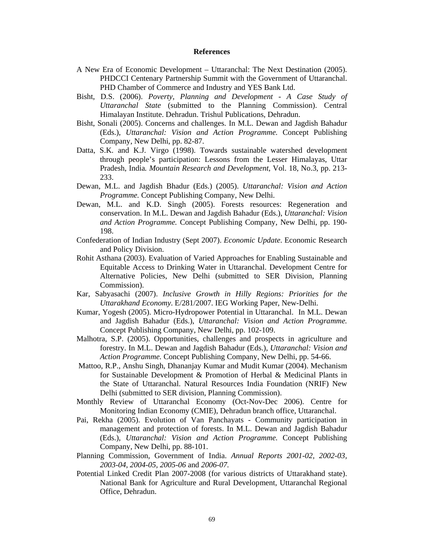#### **References**

- A New Era of Economic Development Uttaranchal: The Next Destination (2005). PHDCCI Centenary Partnership Summit with the Government of Uttaranchal. PHD Chamber of Commerce and Industry and YES Bank Ltd.
- Bisht, D.S. (2006). *Poverty, Planning and Development A Case Study of Uttaranchal State* (submitted to the Planning Commission). Central Himalayan Institute. Dehradun. Trishul Publications, Dehradun.
- Bisht, Sonali (2005). Concerns and challenges. In M.L. Dewan and Jagdish Bahadur (Eds.), *Uttaranchal: Vision and Action Programme.* Concept Publishing Company, New Delhi, pp. 82-87.
- Datta, S.K. and K.J. Virgo (1998). Towards sustainable watershed development through people's participation: Lessons from the Lesser Himalayas, Uttar Pradesh, India*. Mountain Research and Development*, Vol. 18, No.3, pp. 213- 233.
- Dewan, M.L. and Jagdish Bhadur (Eds.) (2005). *Uttaranchal: Vision and Action Programme.* Concept Publishing Company, New Delhi.
- Dewan, M.L. and K.D. Singh (2005). Forests resources: Regeneration and conservation. In M.L. Dewan and Jagdish Bahadur (Eds.), *Uttaranchal: Vision and Action Programme.* Concept Publishing Company, New Delhi, pp. 190- 198.
- Confederation of Indian Industry (Sept 2007). *Economic Update*. Economic Research and Policy Division.
- Rohit Asthana (2003). Evaluation of Varied Approaches for Enabling Sustainable and Equitable Access to Drinking Water in Uttaranchal. Development Centre for Alternative Policies, New Delhi (submitted to SER Division, Planning Commission).
- Kar, Sabyasachi (2007). *Inclusive Growth in Hilly Regions: Priorities for the Uttarakhand Economy*. E/281/2007. IEG Working Paper, New-Delhi.
- Kumar, Yogesh (2005). Micro-Hydropower Potential in Uttaranchal. In M.L. Dewan and Jagdish Bahadur (Eds.), *Uttaranchal: Vision and Action Programme.*  Concept Publishing Company, New Delhi, pp. 102-109.
- Malhotra, S.P. (2005). Opportunities, challenges and prospects in agriculture and forestry. In M.L. Dewan and Jagdish Bahadur (Eds.), *Uttaranchal: Vision and Action Programme.* Concept Publishing Company, New Delhi, pp. 54-66.
- Mattoo, R.P., Anshu Singh, Dhananjay Kumar and Mudit Kumar (2004). Mechanism for Sustainable Development & Promotion of Herbal & Medicinal Plants in the State of Uttaranchal. Natural Resources India Foundation (NRIF) New Delhi (submitted to SER division, Planning Commission).
- Monthly Review of Uttaranchal Economy (Oct-Nov-Dec 2006). Centre for Monitoring Indian Economy (CMIE), Dehradun branch office, Uttaranchal.
- Pai, Rekha (2005). Evolution of Van Panchayats Community participation in management and protection of forests. In M.L. Dewan and Jagdish Bahadur (Eds.), *Uttaranchal: Vision and Action Programme.* Concept Publishing Company, New Delhi, pp. 88-101.
- Planning Commission, Government of India. *Annual Reports 2001-02, 2002-03, 2003-04, 2004-05, 2005-06* and *2006-07.*
- Potential Linked Credit Plan 2007-2008 (for various districts of Uttarakhand state). National Bank for Agriculture and Rural Development, Uttaranchal Regional Office, Dehradun.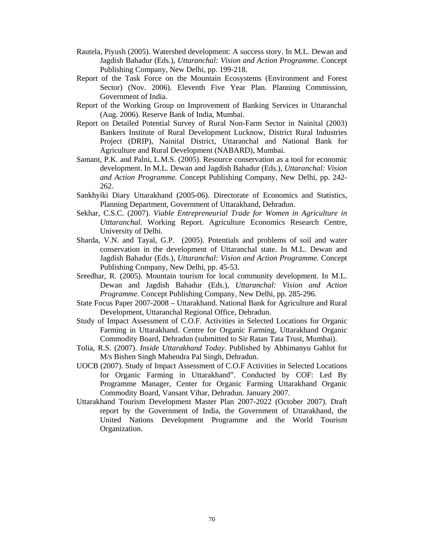- Rautela, Piyush (2005). Watershed development: A success story. In M.L. Dewan and Jagdish Bahadur (Eds.), *Uttaranchal: Vision and Action Programme.* Concept Publishing Company, New Delhi, pp. 199-218.
- Report of the Task Force on the Mountain Ecosystems (Environment and Forest Sector) (Nov. 2006). Eleventh Five Year Plan. Planning Commission, Government of India.
- Report of the Working Group on Improvement of Banking Services in Uttaranchal (Aug. 2006). Reserve Bank of India, Mumbai.
- Report on Detailed Potential Survey of Rural Non-Farm Sector in Nainital (2003) Bankers Institute of Rural Development Lucknow, District Rural Industries Project (DRIP), Nainital District, Uttaranchal and National Bank for Agriculture and Rural Development (NABARD), Mumbai.
- Samant, P.K. and Palni, L.M.S. (2005). Resource conservation as a tool for economic development. In M.L. Dewan and Jagdish Bahadur (Eds.), *Uttaranchal: Vision and Action Programme.* Concept Publishing Company, New Delhi, pp. 242- 262.
- Sankhyiki Diary Uttarakhand (2005-06). Directorate of Economics and Statistics, Planning Department, Government of Uttarakhand, Dehradun.
- Sekhar, C.S.C. (2007). *Viable Entrepreneurial Trade for Women in Agriculture in Utttaranchal.* Working Report. Agriculture Economics Research Centre, University of Delhi.
- Sharda, V.N. and Tayal, G.P. (2005). Potentials and problems of soil and water conservation in the development of Uttaranchal state. In M.L. Dewan and Jagdish Bahadur (Eds.), *Uttaranchal: Vision and Action Programme.* Concept Publishing Company, New Delhi, pp. 45-53.
- Sreedhar, R. (2005). Mountain tourism for local community development. In M.L. Dewan and Jagdish Bahadur (Eds.), *Uttaranchal: Vision and Action Programme.* Concept Publishing Company, New Delhi, pp. 285-296.
- State Focus Paper 2007-2008 Uttarakhand. National Bank for Agriculture and Rural Development, Uttaranchal Regional Office, Dehradun.
- Study of Impact Assessment of C.O.F. Activities in Selected Locations for Organic Farming in Uttarakhand. Centre for Organic Farming, Uttarakhand Organic Commodity Board, Dehradun (submitted to Sir Ratan Tata Trust, Mumbai).
- Tolia, R.S. (2007). *Inside Uttarakhand Today*. Published by Abhimanyu Gahlot for M/s Bishen Singh Mahendra Pal Singh, Dehradun.
- UOCB (2007). Study of Impact Assessment of C.O.F Activities in Selected Locations for Organic Farming in Uttarakhand". Conducted by COF: Led By Programme Manager, Center for Organic Farming Uttarakhand Organic Commodity Board, Vansant Vihar, Dehradun. January 2007.
- Uttarakhand Tourism Development Master Plan 2007-2022 (October 2007). Draft report by the Government of India, the Government of Uttarakhand, the United Nations Development Programme and the World Tourism Organization.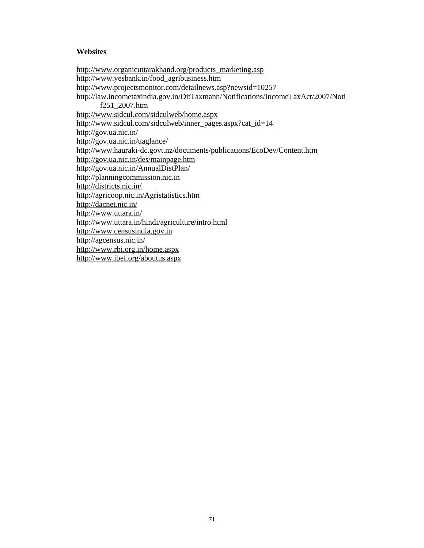#### **Websites**

http://www.organicuttarakhand.org/products\_marketing.asp http://www.yesbank.in/food\_agribusiness.htm http://www.projectsmonitor.com/detailnews.asp?newsid=10257 http://law.incometaxindia.gov.in/DitTaxmann/Notifications/IncomeTaxAct/2007/Noti f251\_2007.htm http://www.sidcul.com/sidculweb/home.aspx http://www.sidcul.com/sidculweb/inner\_pages.aspx?cat\_id=14 http://gov.ua.nic.in/ http://gov.ua.nic.in/uaglance/ http://www.hauraki-dc.govt.nz/documents/publications/EcoDev/Content.htm http://gov.ua.nic.in/des/mainpage.htm http://gov.ua.nic.in/AnnualDistPlan/ http://planningcommission.nic.in http://districts.nic.in/ http://agricoop.nic.in/Agristatistics.htm http://dacnet.nic.in/ http://www.uttara.in/ http://www.uttara.in/hindi/agriculture/intro.html http://www.censusindia.gov.in http://agcensus.nic.in/ http://www.rbi.org.in/home.aspx http://www.ibef.org/aboutus.aspx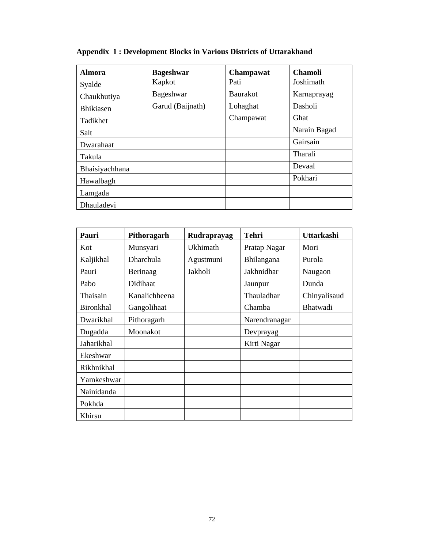| Almora           | <b>Bageshwar</b> | Champawat       | <b>Chamoli</b> |
|------------------|------------------|-----------------|----------------|
| Syalde           | Kapkot           | Pati            | Joshimath      |
| Chaukhutiya      | Bageshwar        | <b>Baurakot</b> | Karnaprayag    |
| <b>Bhikiasen</b> | Garud (Baijnath) | Lohaghat        | Dasholi        |
| Tadikhet         |                  | Champawat       | Ghat           |
| Salt             |                  |                 | Narain Bagad   |
| Dwarahaat        |                  |                 | Gairsain       |
| Takula           |                  |                 | Tharali        |
| Bhaisiyachhana   |                  |                 | Devaal         |
| Hawalbagh        |                  |                 | Pokhari        |
| Lamgada          |                  |                 |                |
| Dhauladevi       |                  |                 |                |

## **Appendix 1 : Development Blocks in Various Districts of Uttarakhand**

| Pauri      | Pithoragarh   | Rudraprayag | <b>Tehri</b>  | Uttarkashi   |
|------------|---------------|-------------|---------------|--------------|
| Kot        | Munsyari      | Ukhimath    | Pratap Nagar  | Mori         |
| Kaljikhal  | Dharchula     | Agustmuni   | Bhilangana    | Purola       |
| Pauri      | Berinaag      | Jakholi     | Jakhnidhar    | Naugaon      |
| Pabo       | Didihaat      |             | Jaunpur       | Dunda        |
| Thaisain   | Kanalichheena |             | Thauladhar    | Chinyalisaud |
| Bironkhal  | Gangolihaat   |             | Chamba        | Bhatwadi     |
| Dwarikhal  | Pithoragarh   |             | Narendranagar |              |
| Dugadda    | Moonakot      |             | Devprayag     |              |
| Jaharikhal |               |             | Kirti Nagar   |              |
| Ekeshwar   |               |             |               |              |
| Rikhnikhal |               |             |               |              |
| Yamkeshwar |               |             |               |              |
| Nainidanda |               |             |               |              |
| Pokhda     |               |             |               |              |
| Khirsu     |               |             |               |              |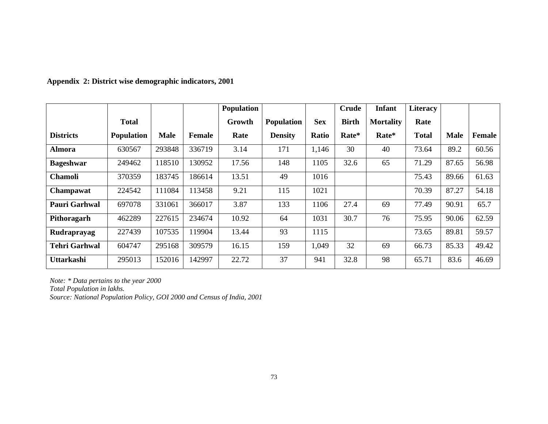|                      |                   |             |               | <b>Population</b> |                   |            | <b>Crude</b> | <b>Infant</b>    | <b>Literacy</b> |             |        |
|----------------------|-------------------|-------------|---------------|-------------------|-------------------|------------|--------------|------------------|-----------------|-------------|--------|
|                      | <b>Total</b>      |             |               | Growth            | <b>Population</b> | <b>Sex</b> | <b>Birth</b> | <b>Mortality</b> | Rate            |             |        |
| <b>Districts</b>     | <b>Population</b> | <b>Male</b> | <b>Female</b> | Rate              | <b>Density</b>    | Ratio      | Rate*        | Rate*            | <b>Total</b>    | <b>Male</b> | Female |
| Almora               | 630567            | 293848      | 336719        | 3.14              | 171               | 1,146      | 30           | 40               | 73.64           | 89.2        | 60.56  |
| <b>Bageshwar</b>     | 249462            | 118510      | 130952        | 17.56             | 148               | 1105       | 32.6         | 65               | 71.29           | 87.65       | 56.98  |
| <b>Chamoli</b>       | 370359            | 183745      | 186614        | 13.51             | 49                | 1016       |              |                  | 75.43           | 89.66       | 61.63  |
| Champawat            | 224542            | 111084      | 113458        | 9.21              | 115               | 1021       |              |                  | 70.39           | 87.27       | 54.18  |
| <b>Pauri Garhwal</b> | 697078            | 331061      | 366017        | 3.87              | 133               | 1106       | 27.4         | 69               | 77.49           | 90.91       | 65.7   |
| Pithoragarh          | 462289            | 227615      | 234674        | 10.92             | 64                | 1031       | 30.7         | 76               | 75.95           | 90.06       | 62.59  |
| Rudraprayag          | 227439            | 107535      | 119904        | 13.44             | 93                | 1115       |              |                  | 73.65           | 89.81       | 59.57  |
| <b>Tehri Garhwal</b> | 604747            | 295168      | 309579        | 16.15             | 159               | 1,049      | 32           | 69               | 66.73           | 85.33       | 49.42  |
| <b>Uttarkashi</b>    | 295013            | 152016      | 142997        | 22.72             | 37                | 941        | 32.8         | 98               | 65.71           | 83.6        | 46.69  |

**Appendix 2: District wise demographic indicators, 2001** 

*Note: \* Data pertains to the year 2000* 

*Total Population in lakhs.* 

*Source: National Population Policy, GOI 2000 and Census of India, 2001*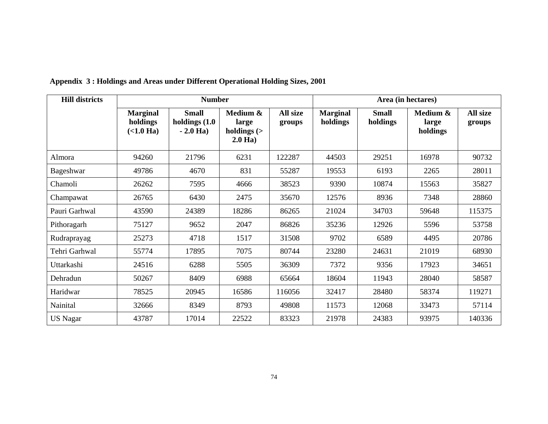| <b>Hill districts</b> |                                            | <b>Number</b>                                  |                                                | Area (in hectares) |                             |                          |                               |                    |
|-----------------------|--------------------------------------------|------------------------------------------------|------------------------------------------------|--------------------|-----------------------------|--------------------------|-------------------------------|--------------------|
|                       | <b>Marginal</b><br>holdings<br>$(<1.0$ Ha) | <b>Small</b><br>holdings $(1.0)$<br>$-2.0$ Ha) | Medium &<br>large<br>holdings $($<br>$2.0$ Ha) | All size<br>groups | <b>Marginal</b><br>holdings | <b>Small</b><br>holdings | Medium &<br>large<br>holdings | All size<br>groups |
| Almora                | 94260                                      | 21796                                          | 6231                                           | 122287             | 44503                       | 29251                    | 16978                         | 90732              |
| Bageshwar             | 49786                                      | 4670                                           | 831                                            | 55287              | 19553                       | 6193                     | 2265                          | 28011              |
| Chamoli               | 26262                                      | 7595                                           | 4666                                           | 38523              | 9390                        | 10874                    | 15563                         | 35827              |
| Champawat             | 26765                                      | 6430                                           | 2475                                           | 35670              | 12576                       | 8936                     | 7348                          | 28860              |
| Pauri Garhwal         | 43590                                      | 24389                                          | 18286                                          | 86265              | 21024                       | 34703                    | 59648                         | 115375             |
| Pithoragarh           | 75127                                      | 9652                                           | 2047                                           | 86826              | 35236                       | 12926                    | 5596                          | 53758              |
| Rudraprayag           | 25273                                      | 4718                                           | 1517                                           | 31508              | 9702                        | 6589                     | 4495                          | 20786              |
| Tehri Garhwal         | 55774                                      | 17895                                          | 7075                                           | 80744              | 23280                       | 24631                    | 21019                         | 68930              |
| Uttarkashi            | 24516                                      | 6288                                           | 5505                                           | 36309              | 7372                        | 9356                     | 17923                         | 34651              |
| Dehradun              | 50267                                      | 8409                                           | 6988                                           | 65664              | 18604                       | 11943                    | 28040                         | 58587              |
| Haridwar              | 78525                                      | 20945                                          | 16586                                          | 116056             | 32417                       | 28480                    | 58374                         | 119271             |
| Nainital              | 32666                                      | 8349                                           | 8793                                           | 49808              | 11573                       | 12068                    | 33473                         | 57114              |
| <b>US Nagar</b>       | 43787                                      | 17014                                          | 22522                                          | 83323              | 21978                       | 24383                    | 93975                         | 140336             |

### **Appendix 3 : Holdings and Areas under Different Operational Holding Sizes, 2001**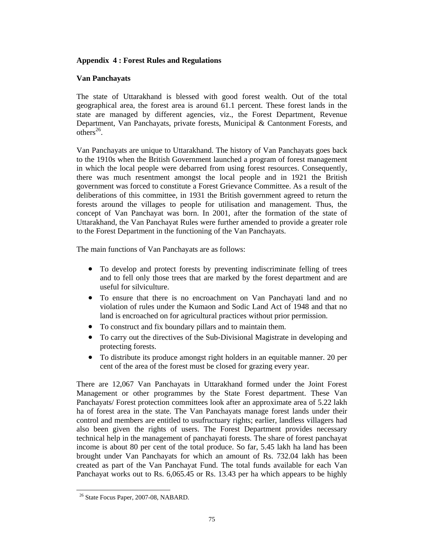#### **Appendix 4 : Forest Rules and Regulations**

#### **Van Panchayats**

The state of Uttarakhand is blessed with good forest wealth. Out of the total geographical area, the forest area is around 61.1 percent. These forest lands in the state are managed by different agencies, viz., the Forest Department, Revenue Department, Van Panchayats, private forests, Municipal & Cantonment Forests, and others<sup>26</sup>.

Van Panchayats are unique to Uttarakhand. The history of Van Panchayats goes back to the 1910s when the British Government launched a program of forest management in which the local people were debarred from using forest resources. Consequently, there was much resentment amongst the local people and in 1921 the British government was forced to constitute a Forest Grievance Committee. As a result of the deliberations of this committee, in 1931 the British government agreed to return the forests around the villages to people for utilisation and management. Thus, the concept of Van Panchayat was born. In 2001, after the formation of the state of Uttarakhand, the Van Panchayat Rules were further amended to provide a greater role to the Forest Department in the functioning of the Van Panchayats.

The main functions of Van Panchayats are as follows:

- To develop and protect forests by preventing indiscriminate felling of trees and to fell only those trees that are marked by the forest department and are useful for silviculture.
- To ensure that there is no encroachment on Van Panchayati land and no violation of rules under the Kumaon and Sodic Land Act of 1948 and that no land is encroached on for agricultural practices without prior permission.
- To construct and fix boundary pillars and to maintain them.
- To carry out the directives of the Sub-Divisional Magistrate in developing and protecting forests.
- To distribute its produce amongst right holders in an equitable manner. 20 per cent of the area of the forest must be closed for grazing every year.

There are 12,067 Van Panchayats in Uttarakhand formed under the Joint Forest Management or other programmes by the State Forest department. These Van Panchayats/ Forest protection committees look after an approximate area of 5.22 lakh ha of forest area in the state. The Van Panchayats manage forest lands under their control and members are entitled to usufructuary rights; earlier, landless villagers had also been given the rights of users. The Forest Department provides necessary technical help in the management of panchayati forests. The share of forest panchayat income is about 80 per cent of the total produce. So far, 5.45 lakh ha land has been brought under Van Panchayats for which an amount of Rs. 732.04 lakh has been created as part of the Van Panchayat Fund. The total funds available for each Van Panchayat works out to Rs. 6,065.45 or Rs. 13.43 per ha which appears to be highly

 $\overline{a}$ 

<sup>26</sup> State Focus Paper, 2007-08, NABARD.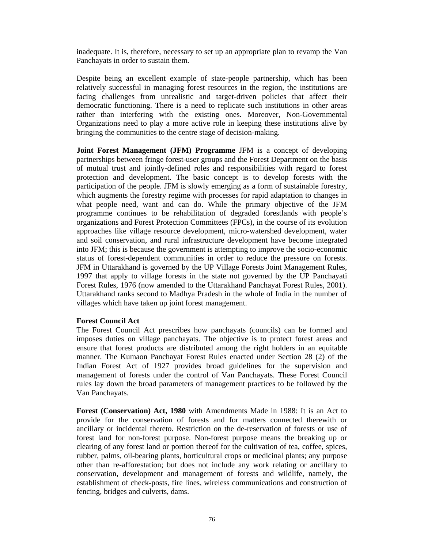inadequate. It is, therefore, necessary to set up an appropriate plan to revamp the Van Panchayats in order to sustain them.

Despite being an excellent example of state-people partnership, which has been relatively successful in managing forest resources in the region, the institutions are facing challenges from unrealistic and target-driven policies that affect their democratic functioning. There is a need to replicate such institutions in other areas rather than interfering with the existing ones. Moreover, Non-Governmental Organizations need to play a more active role in keeping these institutions alive by bringing the communities to the centre stage of decision-making.

**Joint Forest Management (JFM) Programme** JFM is a concept of developing partnerships between fringe forest-user groups and the Forest Department on the basis of mutual trust and jointly-defined roles and responsibilities with regard to forest protection and development. The basic concept is to develop forests with the participation of the people. JFM is slowly emerging as a form of sustainable forestry, which augments the forestry regime with processes for rapid adaptation to changes in what people need, want and can do. While the primary objective of the JFM programme continues to be rehabilitation of degraded forestlands with people's organizations and Forest Protection Committees (FPCs), in the course of its evolution approaches like village resource development, micro-watershed development, water and soil conservation, and rural infrastructure development have become integrated into JFM; this is because the government is attempting to improve the socio-economic status of forest-dependent communities in order to reduce the pressure on forests. JFM in Uttarakhand is governed by the UP Village Forests Joint Management Rules, 1997 that apply to village forests in the state not governed by the UP Panchayati Forest Rules, 1976 (now amended to the Uttarakhand Panchayat Forest Rules, 2001). Uttarakhand ranks second to Madhya Pradesh in the whole of India in the number of villages which have taken up joint forest management.

#### **Forest Council Act**

The Forest Council Act prescribes how panchayats (councils) can be formed and imposes duties on village panchayats. The objective is to protect forest areas and ensure that forest products are distributed among the right holders in an equitable manner. The Kumaon Panchayat Forest Rules enacted under Section 28 (2) of the Indian Forest Act of 1927 provides broad guidelines for the supervision and management of forests under the control of Van Panchayats. These Forest Council rules lay down the broad parameters of management practices to be followed by the Van Panchayats.

**Forest (Conservation) Act, 1980** with Amendments Made in 1988: It is an Act to provide for the conservation of forests and for matters connected therewith or ancillary or incidental thereto. Restriction on the de-reservation of forests or use of forest land for non-forest purpose. Non-forest purpose means the breaking up or clearing of any forest land or portion thereof for the cultivation of tea, coffee, spices, rubber, palms, oil-bearing plants, horticultural crops or medicinal plants; any purpose other than re-afforestation; but does not include any work relating or ancillary to conservation, development and management of forests and wildlife, namely, the establishment of check-posts, fire lines, wireless communications and construction of fencing, bridges and culverts, dams.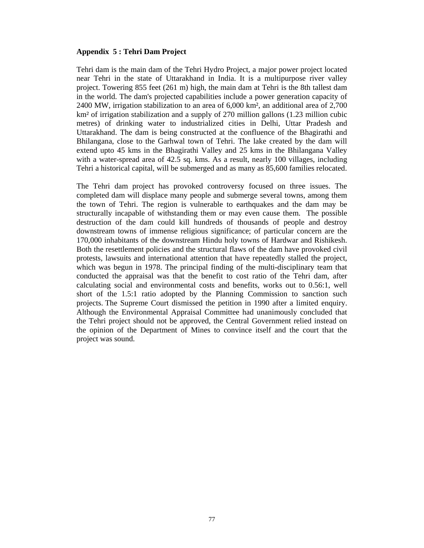#### **Appendix 5 : Tehri Dam Project**

Tehri dam is the main dam of the Tehri Hydro Project, a major power project located near Tehri in the state of Uttarakhand in India. It is a multipurpose river valley project. Towering 855 feet (261 m) high, the main dam at Tehri is the 8th tallest dam in the world. The dam's projected capabilities include a power generation capacity of 2400 MW, irrigation stabilization to an area of 6,000 km², an additional area of 2,700 km² of irrigation stabilization and a supply of 270 million gallons (1.23 million cubic metres) of drinking water to industrialized cities in Delhi, Uttar Pradesh and Uttarakhand. The dam is being constructed at the confluence of the Bhagirathi and Bhilangana, close to the Garhwal town of Tehri. The lake created by the dam will extend upto 45 kms in the Bhagirathi Valley and 25 kms in the Bhilangana Valley with a water-spread area of 42.5 sq. kms. As a result, nearly 100 villages, including Tehri a historical capital, will be submerged and as many as 85,600 families relocated.

The Tehri dam project has provoked controversy focused on three issues. The completed dam will displace many people and submerge several towns, among them the town of Tehri. The region is vulnerable to earthquakes and the dam may be structurally incapable of withstanding them or may even cause them. The possible destruction of the dam could kill hundreds of thousands of people and destroy downstream towns of immense religious significance; of particular concern are the 170,000 inhabitants of the downstream Hindu holy towns of Hardwar and Rishikesh. Both the resettlement policies and the structural flaws of the dam have provoked civil protests, lawsuits and international attention that have repeatedly stalled the project, which was begun in 1978. The principal finding of the multi-disciplinary team that conducted the appraisal was that the benefit to cost ratio of the Tehri dam, after calculating social and environmental costs and benefits, works out to 0.56:1, well short of the 1.5:1 ratio adopted by the Planning Commission to sanction such projects. The Supreme Court dismissed the petition in 1990 after a limited enquiry. Although the Environmental Appraisal Committee had unanimously concluded that the Tehri project should not be approved, the Central Government relied instead on the opinion of the Department of Mines to convince itself and the court that the project was sound.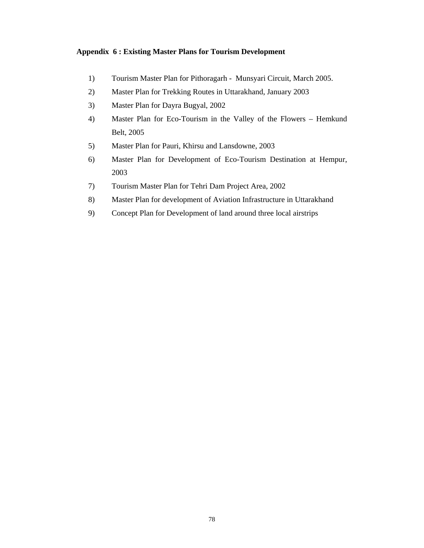#### **Appendix 6 : Existing Master Plans for Tourism Development**

- 1) Tourism Master Plan for Pithoragarh Munsyari Circuit, March 2005.
- 2) Master Plan for Trekking Routes in Uttarakhand, January 2003
- 3) Master Plan for Dayra Bugyal, 2002
- 4) Master Plan for Eco-Tourism in the Valley of the Flowers Hemkund Belt, 2005
- 5) Master Plan for Pauri, Khirsu and Lansdowne, 2003
- 6) Master Plan for Development of Eco-Tourism Destination at Hempur, 2003
- 7) Tourism Master Plan for Tehri Dam Project Area, 2002
- 8) Master Plan for development of Aviation Infrastructure in Uttarakhand
- 9) Concept Plan for Development of land around three local airstrips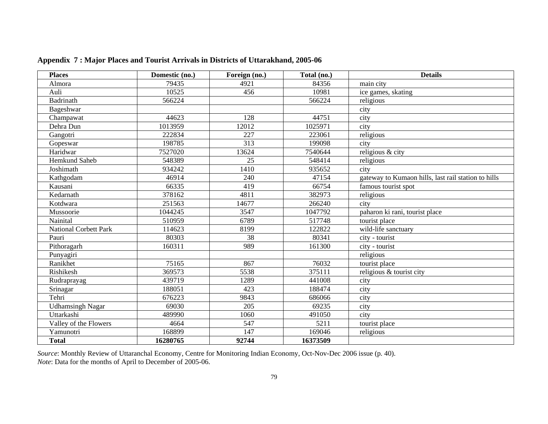| <b>Places</b>                | Domestic (no.) | Foreign (no.)     | Total (no.) | <b>Details</b>                                      |
|------------------------------|----------------|-------------------|-------------|-----------------------------------------------------|
| Almora                       | 79435          | 4921              | 84356       | main city                                           |
| Auli                         | 10525          | 456               | 10981       | ice games, skating                                  |
| Badrinath                    | 566224         |                   | 566224      | religious                                           |
| Bageshwar                    |                |                   |             | city                                                |
| Champawat                    | 44623          | 128               | 44751       | city                                                |
| Dehra Dun                    | 1013959        | 12012             | 1025971     | city                                                |
| Gangotri                     | 222834         | 227               | 223061      | religious                                           |
| Gopeswar                     | 198785         | 313               | 199098      | city                                                |
| Haridwar                     | 7527020        | 13624             | 7540644     | religious & city                                    |
| <b>Hemkund Saheb</b>         | 548389         | 25                | 548414      | religious                                           |
| Joshimath                    | 934242         | $14\overline{10}$ | 935652      | city                                                |
| Kathgodam                    | 46914          | 240               | 47154       | gateway to Kumaon hills, last rail station to hills |
| Kausani                      | 66335          | 419               | 66754       | famous tourist spot                                 |
| Kedarnath                    | 378162         | 4811              | 382973      | religious                                           |
| Kotdwara                     | 251563         | 14677             | 266240      | city                                                |
| Mussoorie                    | 1044245        | 3547              | 1047792     | paharon ki rani, tourist place                      |
| Nainital                     | 510959         | 6789              | 517748      | tourist place                                       |
| <b>National Corbett Park</b> | 114623         | 8199              | 122822      | wild-life sanctuary                                 |
| Pauri                        | 80303          | $\overline{38}$   | 80341       | city - tourist                                      |
| Pithoragarh                  | 160311         | 989               | 161300      | city - tourist                                      |
| Punyagiri                    |                |                   |             | religious                                           |
| Ranikhet                     | 75165          | 867               | 76032       | tourist place                                       |
| Rishikesh                    | 369573         | 5538              | 375111      | religious & tourist city                            |
| Rudraprayag                  | 439719         | 1289              | 441008      | city                                                |
| Srinagar                     | 188051         | 423               | 188474      | city                                                |
| Tehri                        | 676223         | 9843              | 686066      | city                                                |
| <b>Udhamsingh Nagar</b>      | 69030          | 205               | 69235       | city                                                |
| Uttarkashi                   | 489990         | 1060              | 491050      | city                                                |
| Valley of the Flowers        | 4664           | 547               | 5211        | tourist place                                       |
| Yamunotri                    | 168899         | 147               | 169046      | religious                                           |
| <b>Total</b>                 | 16280765       | 92744             | 16373509    |                                                     |

**Appendix 7 : Major Places and Tourist Arrivals in Districts of Uttarakhand, 2005-06** 

*Source*: Monthly Review of Uttaranchal Economy, Centre for Monitoring Indian Economy, Oct-Nov-Dec 2006 issue (p. 40). *Note*: Data for the months of April to December of 2005-06.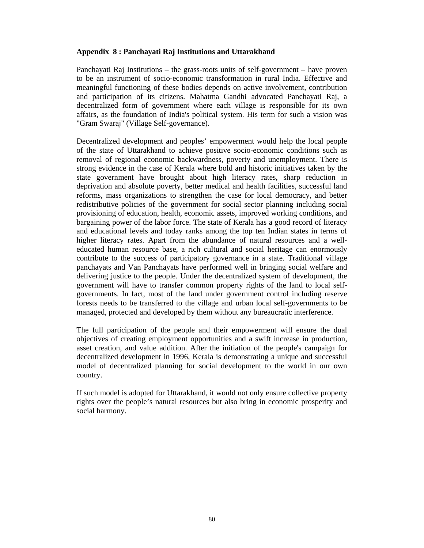#### **Appendix 8 : Panchayati Raj Institutions and Uttarakhand**

Panchayati Raj Institutions – the grass-roots units of self-government – have proven to be an instrument of socio-economic transformation in rural India. Effective and meaningful functioning of these bodies depends on active involvement, contribution and participation of its citizens. Mahatma Gandhi advocated Panchayati Raj, a decentralized form of government where each village is responsible for its own affairs, as the foundation of India's political system. His term for such a vision was "Gram Swaraj" (Village Self-governance).

Decentralized development and peoples' empowerment would help the local people of the state of Uttarakhand to achieve positive socio-economic conditions such as removal of regional economic backwardness, poverty and unemployment. There is strong evidence in the case of Kerala where bold and historic initiatives taken by the state government have brought about high literacy rates, sharp reduction in deprivation and absolute poverty, better medical and health facilities, successful land reforms, mass organizations to strengthen the case for local democracy, and better redistributive policies of the government for social sector planning including social provisioning of education, health, economic assets, improved working conditions, and bargaining power of the labor force. The state of Kerala has a good record of literacy and educational levels and today ranks among the top ten Indian states in terms of higher literacy rates. Apart from the abundance of natural resources and a welleducated human resource base, a rich cultural and social heritage can enormously contribute to the success of participatory governance in a state. Traditional village panchayats and Van Panchayats have performed well in bringing social welfare and delivering justice to the people. Under the decentralized system of development, the government will have to transfer common property rights of the land to local selfgovernments. In fact, most of the land under government control including reserve forests needs to be transferred to the village and urban local self-governments to be managed, protected and developed by them without any bureaucratic interference.

The full participation of the people and their empowerment will ensure the dual objectives of creating employment opportunities and a swift increase in production, asset creation, and value addition. After the initiation of the people's campaign for decentralized development in 1996, Kerala is demonstrating a unique and successful model of decentralized planning for social development to the world in our own country.

If such model is adopted for Uttarakhand, it would not only ensure collective property rights over the people's natural resources but also bring in economic prosperity and social harmony.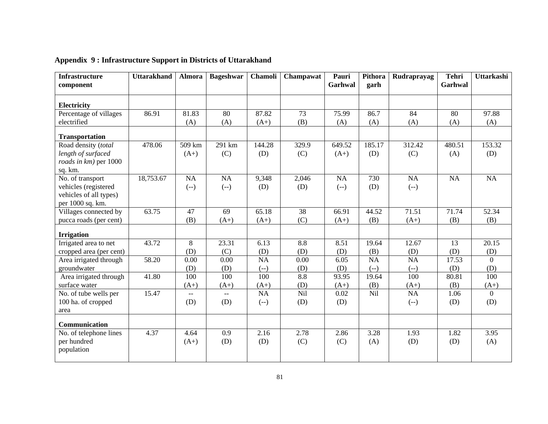| <b>Infrastructure</b><br>component | <b>Uttarakhand</b> | Almora | <b>Bageshwar</b> | Chamoli | Champawat | Pauri<br>Garhwal | <b>Pithora</b><br>garh | Rudraprayag | <b>Tehri</b><br>Garhwal | Uttarkashi     |
|------------------------------------|--------------------|--------|------------------|---------|-----------|------------------|------------------------|-------------|-------------------------|----------------|
|                                    |                    |        |                  |         |           |                  |                        |             |                         |                |
| Electricity                        |                    |        |                  |         |           |                  |                        |             |                         |                |
| Percentage of villages             | 86.91              | 81.83  | 80               | 87.82   | 73        | 75.99            | 86.7                   | 84          | 80                      | 97.88          |
| electrified                        |                    | (A)    | (A)              | $(A+)$  | (B)       | (A)              | (A)                    | (A)         | (A)                     | (A)            |
| <b>Transportation</b>              |                    |        |                  |         |           |                  |                        |             |                         |                |
| Road density (total                | 478.06             | 509 km | 291 km           | 144.28  | 329.9     | 649.52           | 185.17                 | 312.42      | 480.51                  | 153.32         |
| length of surfaced                 |                    | $(A+)$ | (C)              | (D)     | (C)       | $(A+)$           | (D)                    | (C)         | (A)                     | (D)            |
| roads in km) per 1000              |                    |        |                  |         |           |                  |                        |             |                         |                |
| sq. km.                            |                    |        |                  |         |           |                  |                        |             |                         |                |
| No. of transport                   | 18,753.67          | NA     | NA               | 9,348   | 2,046     | <b>NA</b>        | 730                    | NA          | NA                      | NA             |
| vehicles (registered               |                    | $(-)$  | $(-)$            | (D)     | (D)       | $(-)$            | (D)                    | $(-)$       |                         |                |
| vehicles of all types)             |                    |        |                  |         |           |                  |                        |             |                         |                |
| per 1000 sq. km.                   |                    |        |                  |         |           |                  |                        |             |                         |                |
| Villages connected by              | 63.75              | 47     | 69               | 65.18   | 38        | 66.91            | 44.52                  | 71.51       | 71.74                   | 52.34          |
| pucca roads (per cent)             |                    | (B)    | $(A+)$           | $(A+)$  | (C)       | $(A+)$           | (B)                    | $(A+)$      | (B)                     | (B)            |
| <b>Irrigation</b>                  |                    |        |                  |         |           |                  |                        |             |                         |                |
| Irrigated area to net              | 43.72              | 8      | 23.31            | 6.13    | 8.8       | 8.51             | 19.64                  | 12.67       | 13                      | 20.15          |
| cropped area (per cent)            |                    | (D)    | (C)              | (D)     | (D)       | (D)              | (B)                    | (D)         | (D)                     | (D)            |
| Area irrigated through             | $\overline{58.20}$ | 0.00   | 0.00             | NA      | 0.00      | 6.05             | NA                     | NA          | 17.53                   | $\Omega$       |
| groundwater                        |                    | (D)    | (D)              | $(-)$   | (D)       | (D)              | $(-)$                  | $(-)$       | (D)                     | (D)            |
| Area irrigated through             | 41.80              | 100    | 100              | 100     | 8.8       | 93.95            | 19.64                  | 100         | 80.81                   | 100            |
| surface water                      |                    | $(A+)$ | $(A+)$           | $(A+)$  | (D)       | $(A+)$           | (B)                    | $(A+)$      | (B)                     | $(A+)$         |
| No. of tube wells per              | 15.47              | $- -$  | $-$              | NA      | Nil       | 0.02             | Nil                    | NA          | 1.06                    | $\overline{0}$ |
| 100 ha. of cropped                 |                    | (D)    | (D)              | $(-)$   | (D)       | (D)              |                        | $(-)$       | (D)                     | (D)            |
| area                               |                    |        |                  |         |           |                  |                        |             |                         |                |
| Communication                      |                    |        |                  |         |           |                  |                        |             |                         |                |
| No. of telephone lines             | 4.37               | 4.64   | 0.9              | 2.16    | 2.78      | 2.86             | 3.28                   | 1.93        | 1.82                    | 3.95           |
| per hundred                        |                    | $(A+)$ | (D)              | (D)     | (C)       | (C)              | (A)                    | (D)         | (D)                     | (A)            |
| population                         |                    |        |                  |         |           |                  |                        |             |                         |                |
|                                    |                    |        |                  |         |           |                  |                        |             |                         |                |

 **Appendix 9 : Infrastructure Support in Districts of Uttarakhand**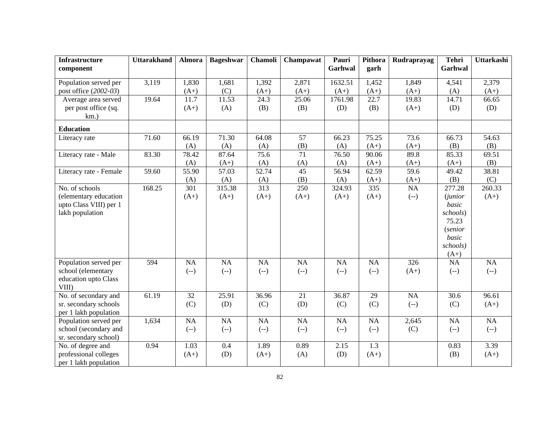| <b>Infrastructure</b>  | <b>Uttarakhand</b> | Almora | <b>Bageshwar</b>   | Chamoli          | Champawat | Pauri   | Pithora            | Rudraprayag | <b>Tehri</b>   | <b>Uttarkashi</b> |
|------------------------|--------------------|--------|--------------------|------------------|-----------|---------|--------------------|-------------|----------------|-------------------|
| component              |                    |        |                    |                  |           | Garhwal | garh               |             | Garhwal        |                   |
|                        |                    |        |                    |                  |           |         |                    |             |                |                   |
| Population served per  | 3,119              | 1,830  | 1,681              | 1,392            | 2,871     | 1632.51 | 1,452              | 1,849       | 4,541          | 2,379             |
| post office (2002-03)  |                    | $(A+)$ | (C)                | $(A+)$           | $(A+)$    | $(A+)$  | $(A+)$             | $(A+)$      | (A)            | $(A+)$            |
| Average area served    | 19.64              | 11.7   | 11.53              | 24.3             | 25.06     | 1761.98 | 22.7               | 19.83       | 14.71          | 66.65             |
| per post office (sq.   |                    | $(A+)$ | (A)                | (B)              | (B)       | (D)     | (B)                | $(A+)$      | (D)            | (D)               |
| $km.$ )                |                    |        |                    |                  |           |         |                    |             |                |                   |
| <b>Education</b>       |                    |        |                    |                  |           |         |                    |             |                |                   |
| Literacy rate          | 71.60              | 66.19  | 71.30              | 64.08            | 57        | 66.23   | 75.25              | 73.6        | 66.73          | 54.63             |
|                        |                    | (A)    | (A)                | (A)              | (B)       | (A)     | $(A+)$             | $(A+)$      | (B)            | (B)               |
| Literacy rate - Male   | 83.30              | 78.42  | 87.64              | 75.6             | 71        | 76.50   | 90.06              | 89.8        | 85.33          | 69.51             |
|                        |                    | (A)    | $(A+)$             | (A)              | (A)       | (A)     | $(A+)$             | $(A+)$      | $(A+)$         | (B)               |
| Literacy rate - Female | 59.60              | 55.90  | $\overline{57.03}$ | 52.74            | 45        | 56.94   | $\overline{62.59}$ | 59.6        | 49.42          | 38.81             |
|                        |                    | (A)    | (A)                | (A)              | (B)       | (A)     | $(A+)$             | $(A+)$      | (B)            | (C)               |
| No. of schools         | 168.25             | 301    | 315.38             | $\overline{313}$ | 250       | 324.93  | 335                | NA          | 277.28         | 260.33            |
| (elementary education  |                    | $(A+)$ | $(A+)$             | $(A+)$           | $(A+)$    | $(A+)$  | $(A+)$             | $(-)$       | <i>(junior</i> | $(A+)$            |
| upto Class VIII) per 1 |                    |        |                    |                  |           |         |                    |             | basic          |                   |
| lakh population        |                    |        |                    |                  |           |         |                    |             | schools)       |                   |
|                        |                    |        |                    |                  |           |         |                    |             | 75.23          |                   |
|                        |                    |        |                    |                  |           |         |                    |             | <i>(senior</i> |                   |
|                        |                    |        |                    |                  |           |         |                    |             | basic          |                   |
|                        |                    |        |                    |                  |           |         |                    |             | schools)       |                   |
|                        |                    |        |                    |                  |           |         |                    |             | $(A+)$         |                   |
| Population served per  | 594                | NA     | NA                 | NA               | NA        | NA      | NA                 | 326         | NA             | NA                |
| school (elementary     |                    | $(-)$  | $(-)$              | $(-)$            | $(-)$     | $(-)$   | $(-)$              | $(A+)$      | $(-)$          | $(-)$             |
| education upto Class   |                    |        |                    |                  |           |         |                    |             |                |                   |
| VIII)                  |                    |        |                    |                  |           |         |                    |             |                |                   |
| No. of secondary and   | 61.19              | 32     | 25.91              | 36.96            | 21        | 36.87   | 29                 | NA          | 30.6           | 96.61             |
| sr. secondary schools  |                    | (C)    | (D)                | (C)              | (D)       | (C)     | (C)                | $(-)$       | (C)            | $(A+)$            |
| per 1 lakh population  |                    |        |                    |                  |           |         |                    |             |                |                   |
| Population served per  | 1,634              | NA     | NA                 | NA               | NA        | NA      | NA                 | 2,645       | NA             | NA                |
| school (secondary and  |                    | $(-)$  | $(-)$              | $(-)$            | $(-)$     | $(-)$   | $(-)$              | (C)         | $(-)$          | $(-)$             |
| sr. secondary school)  |                    |        |                    |                  |           |         |                    |             |                |                   |
| No. of degree and      | 0.94               | 1.03   | 0.4                | 1.89             | 0.89      | 2.15    | 1.3                |             | 0.83           | 3.39              |
| professional colleges  |                    | $(A+)$ | (D)                | $(A+)$           | (A)       | (D)     | $(A+)$             |             | (B)            | $(A+)$            |
| per 1 lakh population  |                    |        |                    |                  |           |         |                    |             |                |                   |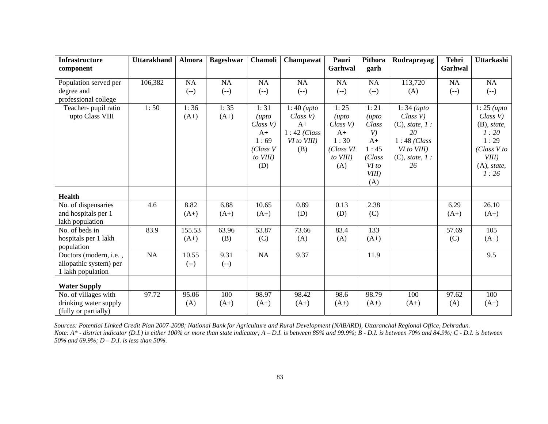| <b>Infrastructure</b>  | <b>Uttarakhand</b> | <b>Almora</b> | <b>Bageshwar</b> | Chamoli          | Champawat     | Pauri     | Pithora        | Rudraprayag          | <b>Tehri</b> | Uttarkashi     |
|------------------------|--------------------|---------------|------------------|------------------|---------------|-----------|----------------|----------------------|--------------|----------------|
| component              |                    |               |                  |                  |               | Garhwal   | garh           |                      | Garhwal      |                |
| Population served per  | 106,382            | NA            | <b>NA</b>        | <b>NA</b>        | <b>NA</b>     | NA        | NA             | 113,720              | NA           | NA             |
| degree and             |                    | $(-)$         | $(-)$            | $(-)$            | $(-)$         | $(-)$     | $(-)$          | (A)                  | $(-)$        | $(-)$          |
| professional college   |                    |               |                  |                  |               |           |                |                      |              |                |
| Teacher- pupil ratio   | 1:50               | 1:36          | 1:35             | 1:31             | $1:40$ (upto  | 1:25      | 1:21           | $1:34$ (upto         |              | $1:25$ (upto   |
| upto Class VIII        |                    | $(A+)$        | $(A+)$           | $(\mu p \tau o)$ | Class V       | (upto)    | $(\mu p \tau)$ | Class V              |              | Class V        |
|                        |                    |               |                  | Class V          | $A+$          | Class V   | Class          | $(C)$ , state, $1$ : |              | $(B)$ , state, |
|                        |                    |               |                  | $A+$             | $1:42$ (Class | $A+$      | V)             | 20                   |              | 1:20           |
|                        |                    |               |                  | 1:69             | VI to VIII)   | 1:30      | $A+$           | $1:48$ (Class        |              | 1:29           |
|                        |                    |               |                  | (Class V)        | (B)           | (Class VI | 1:45           | VI to VIII)          |              | (Class V to    |
|                        |                    |               |                  | to VIII)         |               | to VIII)  | (Class         | $(C)$ , state, $1$ : |              | VIII)          |
|                        |                    |               |                  | (D)              |               | (A)       | VI to          | 26                   |              | $(A)$ , state, |
|                        |                    |               |                  |                  |               |           | VIII)          |                      |              | 1:26           |
|                        |                    |               |                  |                  |               |           | (A)            |                      |              |                |
| <b>Health</b>          |                    |               |                  |                  |               |           |                |                      |              |                |
| No. of dispensaries    | 4.6                | 8.82          | 6.88             | 10.65            | 0.89          | 0.13      | 2.38           |                      | 6.29         | 26.10          |
| and hospitals per 1    |                    | $(A+)$        | $(A+)$           | $(A+)$           | (D)           | (D)       | (C)            |                      | $(A+)$       | $(A+)$         |
| lakh population        |                    |               |                  |                  |               |           |                |                      |              |                |
| No. of beds in         | 83.9               | 155.53        | 63.96            | 53.87            | 73.66         | 83.4      | 133            |                      | 57.69        | 105            |
| hospitals per 1 lakh   |                    | $(A+)$        | (B)              | (C)              | (A)           | (A)       | $(A+)$         |                      | (C)          | $(A+)$         |
| population             |                    |               |                  |                  |               |           |                |                      |              |                |
| Doctors (modern, i.e., | NA                 | 10.55         | 9.31             | NA               | 9.37          |           | 11.9           |                      |              | 9.5            |
| allopathic system) per |                    | $(-)$         | $(-)$            |                  |               |           |                |                      |              |                |
| 1 lakh population      |                    |               |                  |                  |               |           |                |                      |              |                |
| <b>Water Supply</b>    |                    |               |                  |                  |               |           |                |                      |              |                |
| No. of villages with   | 97.72              | 95.06         | 100              | 98.97            | 98.42         | 98.6      | 98.79          | 100                  | 97.62        | 100            |
| drinking water supply  |                    | (A)           | $(A+)$           | $(A+)$           | $(A+)$        | $(A+)$    | $(A+)$         | $(A+)$               | (A)          | $(A+)$         |
| (fully or partially)   |                    |               |                  |                  |               |           |                |                      |              |                |

 *Sources: Potential Linked Credit Plan 2007-2008; National Bank for Agriculture and Rural Development (NABARD), Uttaranchal Regional Office, Dehradun. Note: A\* - district indicator (D.I.) is either 100% or more than state indicator; A – D.I. is between 85% and 99.9%; B - D.I. is between 70% and 84.9%; C - D.I. is between 50% and 69.9%; D – D.I. is less than 50%*.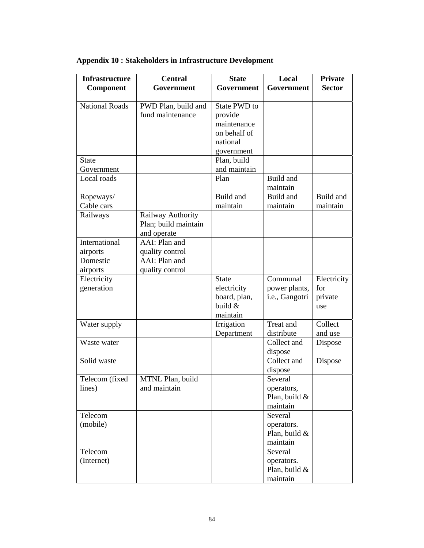| <b>Infrastructure</b> | <b>Central</b>       | <b>State</b> | Local          | <b>Private</b> |
|-----------------------|----------------------|--------------|----------------|----------------|
| Component             | Government           | Government   | Government     | <b>Sector</b>  |
|                       |                      |              |                |                |
| <b>National Roads</b> | PWD Plan, build and  | State PWD to |                |                |
|                       | fund maintenance     | provide      |                |                |
|                       |                      | maintenance  |                |                |
|                       |                      | on behalf of |                |                |
|                       |                      | national     |                |                |
|                       |                      | government   |                |                |
| <b>State</b>          |                      | Plan, build  |                |                |
| Government            |                      | and maintain |                |                |
| Local roads           |                      | Plan         | Build and      |                |
|                       |                      |              | maintain       |                |
| Ropeways/             |                      | Build and    | Build and      | Build and      |
| Cable cars            |                      | maintain     | maintain       | maintain       |
| Railways              | Railway Authority    |              |                |                |
|                       | Plan; build maintain |              |                |                |
|                       | and operate          |              |                |                |
| International         | AAI: Plan and        |              |                |                |
| airports              | quality control      |              |                |                |
| Domestic              | AAI: Plan and        |              |                |                |
| airports              | quality control      |              |                |                |
| Electricity           |                      | <b>State</b> | Communal       | Electricity    |
| generation            |                      | electricity  | power plants,  | for            |
|                       |                      | board, plan, | i.e., Gangotri | private        |
|                       |                      | build &      |                | use            |
|                       |                      | maintain     | Treat and      |                |
| Water supply          |                      | Irrigation   | distribute     | Collect        |
| Waste water           |                      | Department   | Collect and    | and use        |
|                       |                      |              | dispose        | Dispose        |
| Solid waste           |                      |              | Collect and    |                |
|                       |                      |              | dispose        | Dispose        |
| Telecom (fixed        | MTNL Plan, build     |              | Several        |                |
| lines)                | and maintain         |              | operators,     |                |
|                       |                      |              | Plan, build &  |                |
|                       |                      |              | maintain       |                |
| Telecom               |                      |              | Several        |                |
| (mobile)              |                      |              | operators.     |                |
|                       |                      |              | Plan, build &  |                |
|                       |                      |              | maintain       |                |
| Telecom               |                      |              | Several        |                |
| (Internet)            |                      |              | operators.     |                |
|                       |                      |              | Plan, build &  |                |
|                       |                      |              | maintain       |                |

### **Appendix 10 : Stakeholders in Infrastructure Development**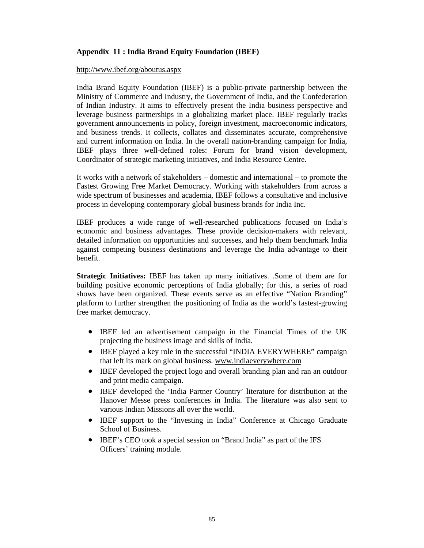#### **Appendix 11 : India Brand Equity Foundation (IBEF)**

#### http://www.ibef.org/aboutus.aspx

India Brand Equity Foundation (IBEF) is a public-private partnership between the Ministry of Commerce and Industry, the Government of India, and the Confederation of Indian Industry. It aims to effectively present the India business perspective and leverage business partnerships in a globalizing market place. IBEF regularly tracks government announcements in policy, foreign investment, macroeconomic indicators, and business trends. It collects, collates and disseminates accurate, comprehensive and current information on India. In the overall nation-branding campaign for India, IBEF plays three well-defined roles: Forum for brand vision development, Coordinator of strategic marketing initiatives, and India Resource Centre.

It works with a network of stakeholders – domestic and international – to promote the Fastest Growing Free Market Democracy. Working with stakeholders from across a wide spectrum of businesses and academia, IBEF follows a consultative and inclusive process in developing contemporary global business brands for India Inc.

IBEF produces a wide range of well-researched publications focused on India's economic and business advantages. These provide decision-makers with relevant, detailed information on opportunities and successes, and help them benchmark India against competing business destinations and leverage the India advantage to their benefit.

**Strategic Initiatives:** IBEF has taken up many initiatives. .Some of them are for building positive economic perceptions of India globally; for this, a series of road shows have been organized. These events serve as an effective "Nation Branding" platform to further strengthen the positioning of India as the world's fastest-growing free market democracy.

- IBEF led an advertisement campaign in the Financial Times of the UK projecting the business image and skills of India.
- IBEF played a key role in the successful "INDIA EVERYWHERE" campaign that left its mark on global business. www.indiaeverywhere.com
- IBEF developed the project logo and overall branding plan and ran an outdoor and print media campaign.
- IBEF developed the 'India Partner Country' literature for distribution at the Hanover Messe press conferences in India. The literature was also sent to various Indian Missions all over the world.
- IBEF support to the "Investing in India" Conference at Chicago Graduate School of Business.
- IBEF's CEO took a special session on "Brand India" as part of the IFS Officers' training module.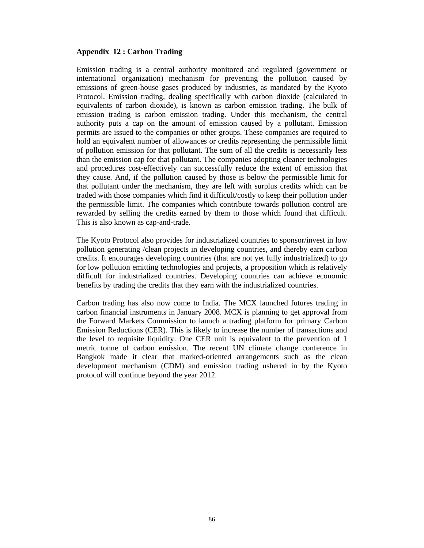#### **Appendix 12 : Carbon Trading**

Emission trading is a central authority monitored and regulated (government or international organization) mechanism for preventing the pollution caused by emissions of green-house gases produced by industries, as mandated by the Kyoto Protocol. Emission trading, dealing specifically with carbon dioxide (calculated in equivalents of carbon dioxide), is known as carbon emission trading. The bulk of emission trading is carbon emission trading. Under this mechanism, the central authority puts a cap on the amount of emission caused by a pollutant. Emission permits are issued to the companies or other groups. These companies are required to hold an equivalent number of allowances or credits representing the permissible limit of pollution emission for that pollutant. The sum of all the credits is necessarily less than the emission cap for that pollutant. The companies adopting cleaner technologies and procedures cost-effectively can successfully reduce the extent of emission that they cause. And, if the pollution caused by those is below the permissible limit for that pollutant under the mechanism, they are left with surplus credits which can be traded with those companies which find it difficult/costly to keep their pollution under the permissible limit. The companies which contribute towards pollution control are rewarded by selling the credits earned by them to those which found that difficult. This is also known as cap-and-trade.

The Kyoto Protocol also provides for industrialized countries to sponsor/invest in low pollution generating /clean projects in developing countries, and thereby earn carbon credits. It encourages developing countries (that are not yet fully industrialized) to go for low pollution emitting technologies and projects, a proposition which is relatively difficult for industrialized countries. Developing countries can achieve economic benefits by trading the credits that they earn with the industrialized countries.

Carbon trading has also now come to India. The MCX launched futures trading in carbon financial instruments in January 2008. MCX is planning to get approval from the Forward Markets Commission to launch a trading platform for primary Carbon Emission Reductions (CER). This is likely to increase the number of transactions and the level to requisite liquidity. One CER unit is equivalent to the prevention of 1 metric tonne of carbon emission. The recent UN climate change conference in Bangkok made it clear that marked-oriented arrangements such as the clean development mechanism (CDM) and emission trading ushered in by the Kyoto protocol will continue beyond the year 2012.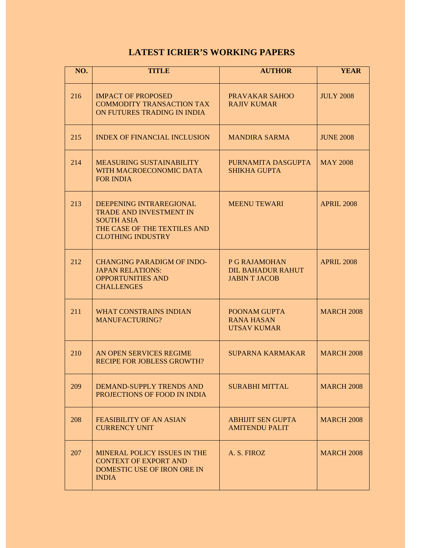# **LATEST ICRIER'S WORKING PAPERS**

| NO. | <b>TITLE</b>                                                                                                                               | <b>AUTHOR</b>                                                     | <b>YEAR</b>       |
|-----|--------------------------------------------------------------------------------------------------------------------------------------------|-------------------------------------------------------------------|-------------------|
| 216 | <b>IMPACT OF PROPOSED</b><br><b>COMMODITY TRANSACTION TAX</b><br>ON FUTURES TRADING IN INDIA                                               | <b>PRAVAKAR SAHOO</b><br><b>RAJIV KUMAR</b>                       | <b>JULY 2008</b>  |
| 215 | <b>INDEX OF FINANCIAL INCLUSION</b>                                                                                                        | <b>MANDIRA SARMA</b>                                              | <b>JUNE 2008</b>  |
| 214 | <b>MEASURING SUSTAINABILITY</b><br>WITH MACROECONOMIC DATA<br><b>FOR INDIA</b>                                                             | PURNAMITA DASGUPTA<br><b>SHIKHA GUPTA</b>                         | <b>MAY 2008</b>   |
| 213 | DEEPENING INTRAREGIONAL<br><b>TRADE AND INVESTMENT IN</b><br><b>SOUTH ASIA</b><br>THE CASE OF THE TEXTILES AND<br><b>CLOTHING INDUSTRY</b> | <b>MEENU TEWARI</b>                                               | <b>APRIL 2008</b> |
| 212 | <b>CHANGING PARADIGM OF INDO-</b><br><b>JAPAN RELATIONS:</b><br><b>OPPORTUNITIES AND</b><br><b>CHALLENGES</b>                              | P G RAJAMOHAN<br><b>DIL BAHADUR RAHUT</b><br><b>JABIN T JACOB</b> | <b>APRIL 2008</b> |
| 211 | <b>WHAT CONSTRAINS INDIAN</b><br><b>MANUFACTURING?</b>                                                                                     | POONAM GUPTA<br><b>RANA HASAN</b><br><b>UTSAV KUMAR</b>           | <b>MARCH 2008</b> |
| 210 | AN OPEN SERVICES REGIME<br><b>RECIPE FOR JOBLESS GROWTH?</b>                                                                               | <b>SUPARNA KARMAKAR</b>                                           | <b>MARCH 2008</b> |
| 209 | DEMAND-SUPPLY TRENDS AND<br>PROJECTIONS OF FOOD IN INDIA                                                                                   | <b>SURABHI MITTAL</b>                                             | <b>MARCH 2008</b> |
| 208 | <b>FEASIBILITY OF AN ASIAN</b><br><b>CURRENCY UNIT</b>                                                                                     | <b>ABHIJIT SEN GUPTA</b><br><b>AMITENDU PALIT</b>                 | <b>MARCH 2008</b> |
| 207 | <b>MINERAL POLICY ISSUES IN THE</b><br><b>CONTEXT OF EXPORT AND</b><br>DOMESTIC USE OF IRON ORE IN<br><b>INDIA</b>                         | A. S. FIROZ                                                       | <b>MARCH 2008</b> |